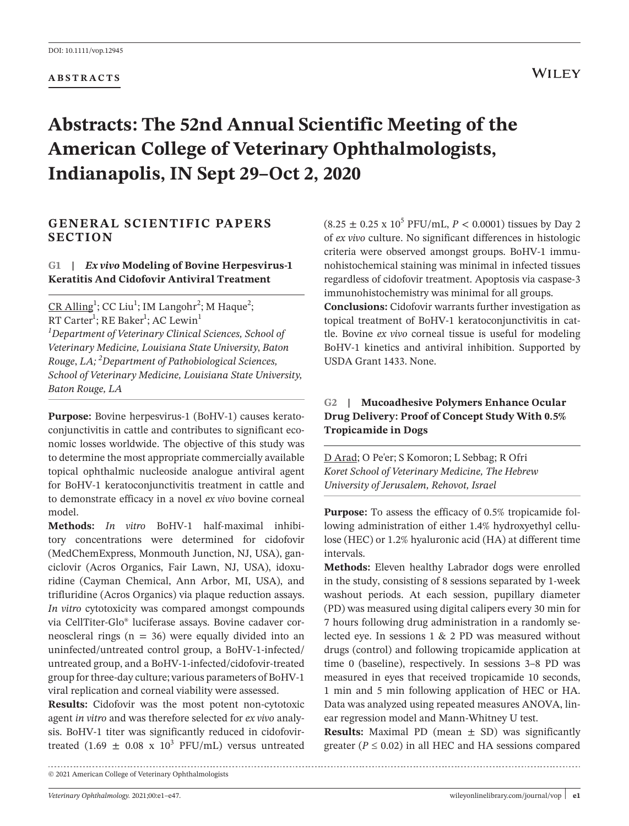#### **ABSTRACTS**

# **WILEY**

# **Abstracts: The 52nd Annual Scientific Meeting of the American College of Veterinary Ophthalmologists, Indianapolis, IN Sept 29–Oct 2, 2020**

# **GENERAL SCIENTIFIC PAPERS SECTION**

# **G1 |** *Ex vivo* **Modeling of Bovine Herpesvirus-1 Keratitis And Cidofovir Antiviral Treatment**

 $CR$  Alling<sup>1</sup>; CC Liu<sup>1</sup>; IM Langohr<sup>2</sup>; M Haque<sup>2</sup>; RT Carter<sup>1</sup>; RE Baker<sup>1</sup>; AC Lewin<sup>1</sup> *1 Department of Veterinary Clinical Sciences, School of Veterinary Medicine, Louisiana State University*, *Baton Rouge*, *LA; <sup>2</sup> Department of Pathobiological Sciences, School of Veterinary Medicine, Louisiana State University, Baton Rouge, LA*

**Purpose:** Bovine herpesvirus-1 (BoHV-1) causes keratoconjunctivitis in cattle and contributes to significant economic losses worldwide. The objective of this study was to determine the most appropriate commercially available topical ophthalmic nucleoside analogue antiviral agent for BoHV-1 keratoconjunctivitis treatment in cattle and to demonstrate efficacy in a novel *ex vivo* bovine corneal model.

**Methods:** *In vitro* BoHV-1 half-maximal inhibitory concentrations were determined for cidofovir (MedChemExpress, Monmouth Junction, NJ, USA), ganciclovir (Acros Organics, Fair Lawn, NJ, USA), idoxuridine (Cayman Chemical, Ann Arbor, MI, USA), and trifluridine (Acros Organics) via plaque reduction assays. *In vitro* cytotoxicity was compared amongst compounds via CellTiter-Glo® luciferase assays. Bovine cadaver corneoscleral rings ( $n = 36$ ) were equally divided into an uninfected/untreated control group, a BoHV-1-infected/ untreated group, and a BoHV-1-infected/cidofovir-treated group for three-day culture; various parameters of BoHV-1 viral replication and corneal viability were assessed.

**Results:** Cidofovir was the most potent non-cytotoxic agent *in vitro* and was therefore selected for *ex vivo* analysis. BoHV-1 titer was significantly reduced in cidofovirtreated  $(1.69 \pm 0.08 \times 10^3 \text{ PFU/mL})$  versus untreated

 $(8.25 \pm 0.25 \times 10^5 \text{ PFU/mL}, P < 0.0001)$  tissues by Day 2 of *ex vivo* culture. No significant differences in histologic criteria were observed amongst groups. BoHV-1 immunohistochemical staining was minimal in infected tissues regardless of cidofovir treatment. Apoptosis via caspase-3 immunohistochemistry was minimal for all groups.

**Conclusions:** Cidofovir warrants further investigation as topical treatment of BoHV-1 keratoconjunctivitis in cattle. Bovine *ex vivo* corneal tissue is useful for modeling BoHV-1 kinetics and antiviral inhibition. Supported by USDA Grant 1433. None.

# **G2 | Mucoadhesive Polymers Enhance Ocular Drug Delivery: Proof of Concept Study With 0.5% Tropicamide in Dogs**

D Arad; O Pe'er; S Komoron; L Sebbag; R Ofri *Koret School of Veterinary Medicine, The Hebrew University of Jerusalem, Rehovot, Israel*

**Purpose:** To assess the efficacy of 0.5% tropicamide following administration of either 1.4% hydroxyethyl cellulose (HEC) or 1.2% hyaluronic acid (HA) at different time intervals.

**Methods:** Eleven healthy Labrador dogs were enrolled in the study, consisting of 8 sessions separated by 1-week washout periods. At each session, pupillary diameter (PD) was measured using digital calipers every 30 min for 7 hours following drug administration in a randomly selected eye. In sessions 1 & 2 PD was measured without drugs (control) and following tropicamide application at time 0 (baseline), respectively. In sessions 3–8 PD was measured in eyes that received tropicamide 10 seconds, 1 min and 5 min following application of HEC or HA. Data was analyzed using repeated measures ANOVA, linear regression model and Mann-Whitney U test.

**Results:** Maximal PD (mean  $\pm$  SD) was significantly greater ( $P \le 0.02$ ) in all HEC and HA sessions compared

<sup>© 2021</sup> American College of Veterinary Ophthalmologists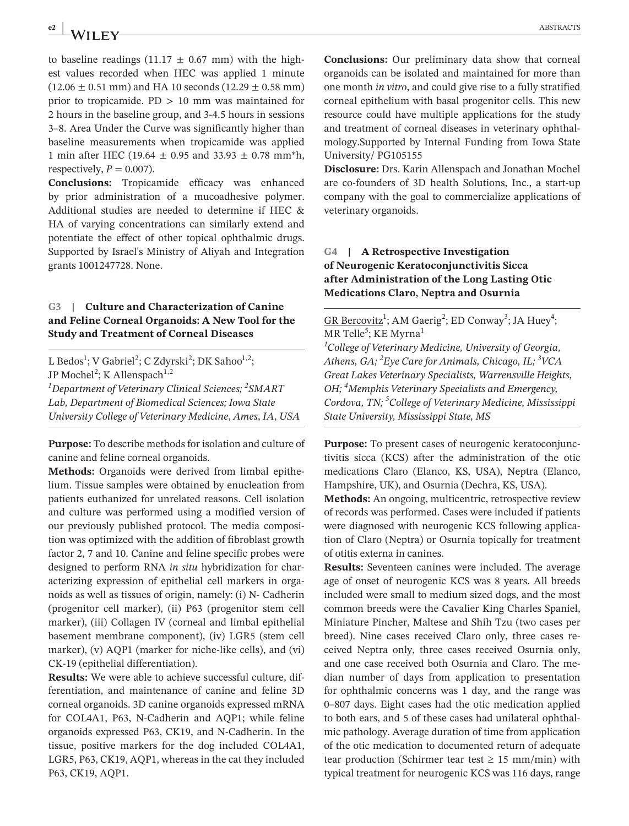# **e2 ABSTRACTS ABSTRACTS**

to baseline readings (11.17  $\pm$  0.67 mm) with the highest values recorded when HEC was applied 1 minute  $(12.06 \pm 0.51 \text{ mm})$  and HA 10 seconds  $(12.29 \pm 0.58 \text{ mm})$ prior to tropicamide.  $PD > 10$  mm was maintained for 2 hours in the baseline group, and 3-4.5 hours in sessions 3–8. Area Under the Curve was significantly higher than baseline measurements when tropicamide was applied 1 min after HEC (19.64  $\pm$  0.95 and 33.93  $\pm$  0.78 mm<sup>\*h</sup>, respectively,  $P = 0.007$ ).

**Conclusions:** Tropicamide efficacy was enhanced by prior administration of a mucoadhesive polymer. Additional studies are needed to determine if HEC & HA of varying concentrations can similarly extend and potentiate the effect of other topical ophthalmic drugs. Supported by Israel's Ministry of Aliyah and Integration grants 1001247728. None.

# **G3 | Culture and Characterization of Canine and Feline Corneal Organoids: A New Tool for the Study and Treatment of Corneal Diseases**

L Bedos<sup>1</sup>; V Gabriel<sup>2</sup>; C Zdyrski<sup>2</sup>; DK Sahoo<sup>1,2</sup>; JP Mochel<sup>2</sup>; K Allenspach<sup>1,2</sup> *1 Department of Veterinary Clinical Sciences; <sup>2</sup> SMART Lab, Department of Biomedical Sciences; Iowa State University College of Veterinary Medicine*, *Ames*, *IA*, *USA*

**Purpose:** To describe methods for isolation and culture of canine and feline corneal organoids.

**Methods:** Organoids were derived from limbal epithelium. Tissue samples were obtained by enucleation from patients euthanized for unrelated reasons. Cell isolation and culture was performed using a modified version of our previously published protocol. The media composition was optimized with the addition of fibroblast growth factor 2, 7 and 10. Canine and feline specific probes were designed to perform RNA *in situ* hybridization for characterizing expression of epithelial cell markers in organoids as well as tissues of origin, namely: (i) N- Cadherin (progenitor cell marker), (ii) P63 (progenitor stem cell marker), (iii) Collagen IV (corneal and limbal epithelial basement membrane component), (iv) LGR5 (stem cell marker), (v) AQP1 (marker for niche-like cells), and (vi) CK-19 (epithelial differentiation).

**Results:** We were able to achieve successful culture, differentiation, and maintenance of canine and feline 3D corneal organoids. 3D canine organoids expressed mRNA for COL4A1, P63, N-Cadherin and AQP1; while feline organoids expressed P63, CK19, and N-Cadherin. In the tissue, positive markers for the dog included COL4A1, LGR5, P63, CK19, AQP1, whereas in the cat they included P63, CK19, AQP1.

**Conclusions:** Our preliminary data show that corneal organoids can be isolated and maintained for more than one month *in vitro*, and could give rise to a fully stratified corneal epithelium with basal progenitor cells. This new resource could have multiple applications for the study and treatment of corneal diseases in veterinary ophthalmology.Supported by Internal Funding from Iowa State University/ PG105155

**Disclosure:** Drs. Karin Allenspach and Jonathan Mochel are co-founders of 3D health Solutions, Inc., a start-up company with the goal to commercialize applications of veterinary organoids.

# **G4 | A Retrospective Investigation of Neurogenic Keratoconjunctivitis Sicca after Administration of the Long Lasting Otic Medications Claro, Neptra and Osurnia**

 $GR$  Bercovitz<sup>1</sup>; AM Gaerig<sup>2</sup>; ED Conway<sup>3</sup>; JA Huey<sup>4</sup>; MR Telle<sup>5</sup>; KE Myrna<sup>1</sup>

*1 College of Veterinary Medicine, University of Georgia, Athens, GA; <sup>2</sup> Eye Care for Animals, Chicago, IL; 3 VCA Great Lakes Veterinary Specialists, Warrensville Heights, OH; <sup>4</sup> Memphis Veterinary Specialists and Emergency, Cordova, TN; <sup>5</sup> College of Veterinary Medicine, Mississippi State University, Mississippi State, MS*

**Purpose:** To present cases of neurogenic keratoconjunctivitis sicca (KCS) after the administration of the otic medications Claro (Elanco, KS, USA), Neptra (Elanco, Hampshire, UK), and Osurnia (Dechra, KS, USA).

**Methods:** An ongoing, multicentric, retrospective review of records was performed. Cases were included if patients were diagnosed with neurogenic KCS following application of Claro (Neptra) or Osurnia topically for treatment of otitis externa in canines.

**Results:** Seventeen canines were included. The average age of onset of neurogenic KCS was 8 years. All breeds included were small to medium sized dogs, and the most common breeds were the Cavalier King Charles Spaniel, Miniature Pincher, Maltese and Shih Tzu (two cases per breed). Nine cases received Claro only, three cases received Neptra only, three cases received Osurnia only, and one case received both Osurnia and Claro. The median number of days from application to presentation for ophthalmic concerns was 1 day, and the range was 0–807 days. Eight cases had the otic medication applied to both ears, and 5 of these cases had unilateral ophthalmic pathology. Average duration of time from application of the otic medication to documented return of adequate tear production (Schirmer tear test  $\geq$  15 mm/min) with typical treatment for neurogenic KCS was 116 days, range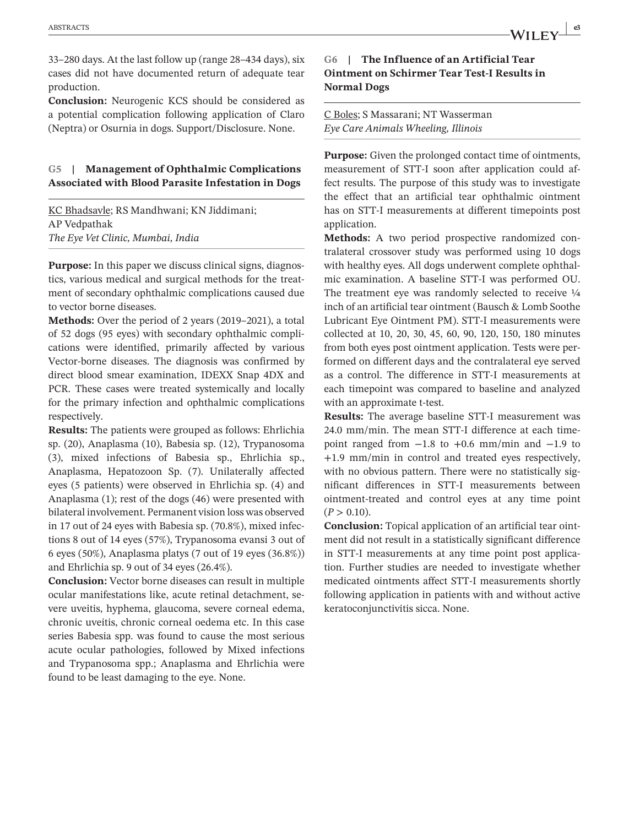33–280 days. At the last follow up (range 28–434 days), six cases did not have documented return of adequate tear production.

**Conclusion:** Neurogenic KCS should be considered as a potential complication following application of Claro (Neptra) or Osurnia in dogs. Support/Disclosure. None.

#### **G5 | Management of Ophthalmic Complications Associated with Blood Parasite Infestation in Dogs**

KC Bhadsavle; RS Mandhwani; KN Jiddimani; AP Vedpathak *The Eye Vet Clinic, Mumbai, India*

**Purpose:** In this paper we discuss clinical signs, diagnostics, various medical and surgical methods for the treatment of secondary ophthalmic complications caused due to vector borne diseases.

**Methods:** Over the period of 2 years (2019–2021), a total of 52 dogs (95 eyes) with secondary ophthalmic complications were identified, primarily affected by various Vector-borne diseases. The diagnosis was confirmed by direct blood smear examination, IDEXX Snap 4DX and PCR. These cases were treated systemically and locally for the primary infection and ophthalmic complications respectively.

**Results:** The patients were grouped as follows: Ehrlichia sp. (20), Anaplasma (10), Babesia sp. (12), Trypanosoma (3), mixed infections of Babesia sp., Ehrlichia sp., Anaplasma, Hepatozoon Sp. (7). Unilaterally affected eyes (5 patients) were observed in Ehrlichia sp. (4) and Anaplasma (1); rest of the dogs (46) were presented with bilateral involvement. Permanent vision loss was observed in 17 out of 24 eyes with Babesia sp. (70.8%), mixed infections 8 out of 14 eyes (57%), Trypanosoma evansi 3 out of 6 eyes (50%), Anaplasma platys (7 out of 19 eyes (36.8%)) and Ehrlichia sp. 9 out of 34 eyes (26.4%).

**Conclusion:** Vector borne diseases can result in multiple ocular manifestations like, acute retinal detachment, severe uveitis, hyphema, glaucoma, severe corneal edema, chronic uveitis, chronic corneal oedema etc. In this case series Babesia spp. was found to cause the most serious acute ocular pathologies, followed by Mixed infections and Trypanosoma spp.; Anaplasma and Ehrlichia were found to be least damaging to the eye. None.

# **G6 | The Influence of an Artificial Tear Ointment on Schirmer Tear Test-I Results in Normal Dogs**

C Boles; S Massarani; NT Wasserman *Eye Care Animals Wheeling, Illinois*

**Purpose:** Given the prolonged contact time of ointments, measurement of STT-I soon after application could affect results. The purpose of this study was to investigate the effect that an artificial tear ophthalmic ointment has on STT-I measurements at different timepoints post application.

**Methods:** A two period prospective randomized contralateral crossover study was performed using 10 dogs with healthy eyes. All dogs underwent complete ophthalmic examination. A baseline STT-I was performed OU. The treatment eye was randomly selected to receive  $\frac{1}{4}$ inch of an artificial tear ointment (Bausch & Lomb Soothe Lubricant Eye Ointment PM). STT-I measurements were collected at 10, 20, 30, 45, 60, 90, 120, 150, 180 minutes from both eyes post ointment application. Tests were performed on different days and the contralateral eye served as a control. The difference in STT-I measurements at each timepoint was compared to baseline and analyzed with an approximate t-test.

**Results:** The average baseline STT-I measurement was 24.0 mm/min. The mean STT-I difference at each timepoint ranged from  $-1.8$  to  $+0.6$  mm/min and  $-1.9$  to +1.9 mm/min in control and treated eyes respectively, with no obvious pattern. There were no statistically significant differences in STT-I measurements between ointment-treated and control eyes at any time point  $(P > 0.10)$ .

**Conclusion:** Topical application of an artificial tear ointment did not result in a statistically significant difference in STT-I measurements at any time point post application. Further studies are needed to investigate whether medicated ointments affect STT-I measurements shortly following application in patients with and without active keratoconjunctivitis sicca. None.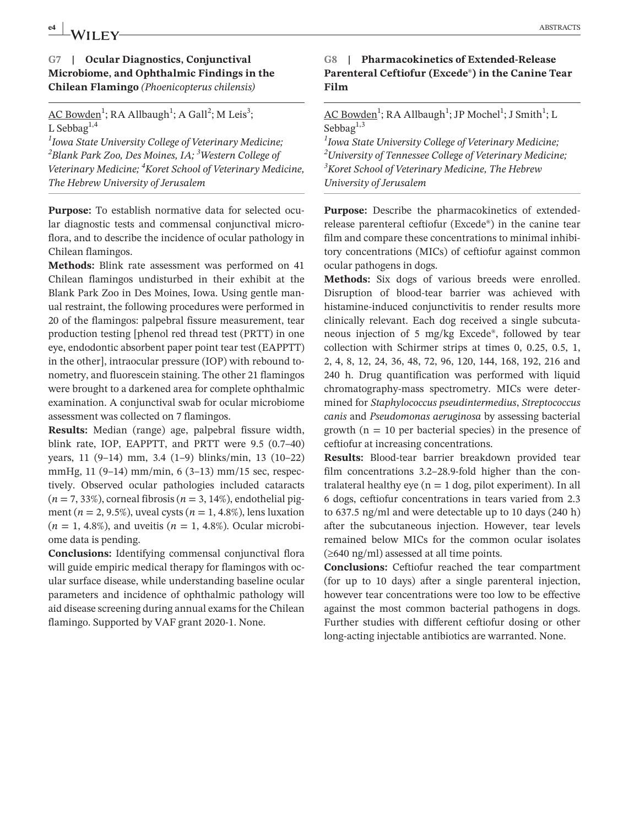# **e4 ABSTRACTS ABSTRACTS**

# **G7 | Ocular Diagnostics, Conjunctival Microbiome, and Ophthalmic Findings in the Chilean Flamingo** *(Phoenicopterus chilensis)*

AC Bowden<sup>1</sup>; RA Allbaugh<sup>1</sup>; A Gall<sup>2</sup>; M Leis<sup>3</sup>; L Sebbag<sup>1,4</sup>

*1 Iowa State University College of Veterinary Medicine; 2 Blank Park Zoo, Des Moines, IA; <sup>3</sup> Western College of Veterinary Medicine; 4 Koret School of Veterinary Medicine, The Hebrew University of Jerusalem*

**Purpose:** To establish normative data for selected ocular diagnostic tests and commensal conjunctival microflora, and to describe the incidence of ocular pathology in Chilean flamingos.

**Methods:** Blink rate assessment was performed on 41 Chilean flamingos undisturbed in their exhibit at the Blank Park Zoo in Des Moines, Iowa. Using gentle manual restraint, the following procedures were performed in 20 of the flamingos: palpebral fissure measurement, tear production testing [phenol red thread test (PRTT) in one eye, endodontic absorbent paper point tear test (EAPPTT) in the other], intraocular pressure (IOP) with rebound tonometry, and fluorescein staining. The other 21 flamingos were brought to a darkened area for complete ophthalmic examination. A conjunctival swab for ocular microbiome assessment was collected on 7 flamingos.

**Results:** Median (range) age, palpebral fissure width, blink rate, IOP, EAPPTT, and PRTT were 9.5 (0.7–40) years, 11 (9–14) mm, 3.4 (1–9) blinks/min, 13 (10–22) mmHg, 11 (9–14) mm/min, 6 (3–13) mm/15 sec, respectively. Observed ocular pathologies included cataracts  $(n = 7, 33\%)$ , corneal fibrosis  $(n = 3, 14\%)$ , endothelial pigment (*n* = 2, 9.5%), uveal cysts (*n* = 1, 4.8%), lens luxation  $(n = 1, 4.8\%)$ , and uveitis  $(n = 1, 4.8\%)$ . Ocular microbiome data is pending.

**Conclusions:** Identifying commensal conjunctival flora will guide empiric medical therapy for flamingos with ocular surface disease, while understanding baseline ocular parameters and incidence of ophthalmic pathology will aid disease screening during annual exams for the Chilean flamingo. Supported by VAF grant 2020-1. None.

# **G8 | Pharmacokinetics of Extended-Release Parenteral Ceftiofur (Excede®) in the Canine Tear Film**

<u>AC Bowden<sup>1</sup>;</u> RA Allbaugh<sup>1</sup>; JP Mochel<sup>1</sup>; J Smith<sup>1</sup>; L Sebba $g^{1,3}$ 

 *Iowa State University College of Veterinary Medicine; University of Tennessee College of Veterinary Medicine; Koret School of Veterinary Medicine, The Hebrew University of Jerusalem*

Purpose: Describe the pharmacokinetics of extendedrelease parenteral ceftiofur (Excede®) in the canine tear film and compare these concentrations to minimal inhibitory concentrations (MICs) of ceftiofur against common ocular pathogens in dogs.

**Methods:** Six dogs of various breeds were enrolled. Disruption of blood-tear barrier was achieved with histamine-induced conjunctivitis to render results more clinically relevant. Each dog received a single subcutaneous injection of 5 mg/kg Excede®, followed by tear collection with Schirmer strips at times 0, 0.25, 0.5, 1, 2, 4, 8, 12, 24, 36, 48, 72, 96, 120, 144, 168, 192, 216 and 240 h. Drug quantification was performed with liquid chromatography-mass spectrometry. MICs were determined for *Staphylococcus pseudintermedius*, *Streptococcus canis* and *Pseudomonas aeruginosa* by assessing bacterial growth  $(n = 10$  per bacterial species) in the presence of ceftiofur at increasing concentrations.

**Results:** Blood-tear barrier breakdown provided tear film concentrations 3.2–28.9-fold higher than the contralateral healthy eye ( $n = 1$  dog, pilot experiment). In all 6 dogs, ceftiofur concentrations in tears varied from 2.3 to 637.5 ng/ml and were detectable up to 10 days (240 h) after the subcutaneous injection. However, tear levels remained below MICs for the common ocular isolates  $(\geq 640 \text{ ng/ml})$  assessed at all time points.

**Conclusions:** Ceftiofur reached the tear compartment (for up to 10 days) after a single parenteral injection, however tear concentrations were too low to be effective against the most common bacterial pathogens in dogs. Further studies with different ceftiofur dosing or other long-acting injectable antibiotics are warranted. None.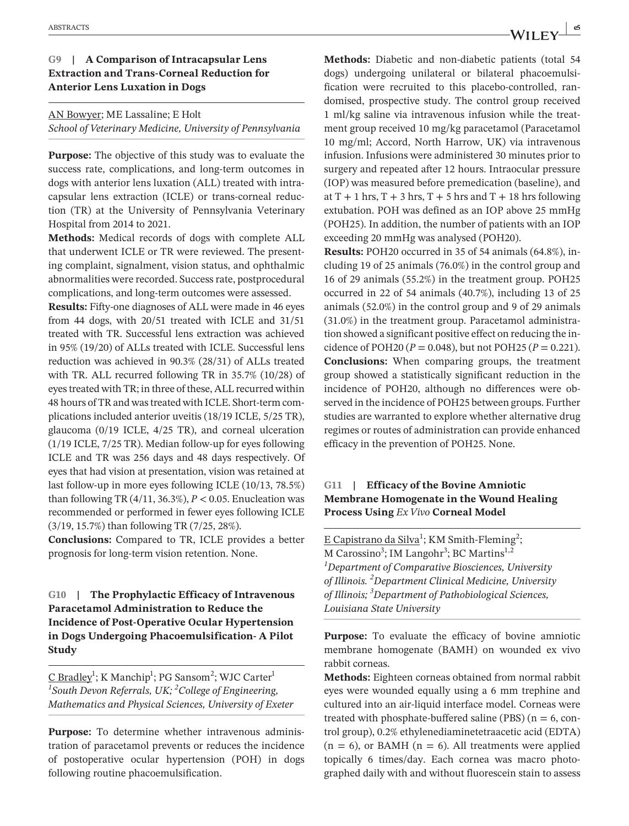#### **G9 | A Comparison of Intracapsular Lens Extraction and Trans-Corneal Reduction for Anterior Lens Luxation in Dogs**

AN Bowyer; ME Lassaline; E Holt *School of Veterinary Medicine, University of Pennsylvania*

**Purpose:** The objective of this study was to evaluate the success rate, complications, and long-term outcomes in dogs with anterior lens luxation (ALL) treated with intracapsular lens extraction (ICLE) or trans-corneal reduction (TR) at the University of Pennsylvania Veterinary Hospital from 2014 to 2021.

**Methods:** Medical records of dogs with complete ALL that underwent ICLE or TR were reviewed. The presenting complaint, signalment, vision status, and ophthalmic abnormalities were recorded. Success rate, postprocedural complications, and long-term outcomes were assessed.

**Results:** Fifty-one diagnoses of ALL were made in 46 eyes from 44 dogs, with 20/51 treated with ICLE and 31/51 treated with TR. Successful lens extraction was achieved in 95% (19/20) of ALLs treated with ICLE. Successful lens reduction was achieved in 90.3% (28/31) of ALLs treated with TR. ALL recurred following TR in 35.7% (10/28) of eyes treated with TR; in three of these, ALL recurred within 48 hours of TR and was treated with ICLE. Short-term complications included anterior uveitis (18/19 ICLE, 5/25 TR), glaucoma (0/19 ICLE, 4/25 TR), and corneal ulceration (1/19 ICLE, 7/25 TR). Median follow-up for eyes following ICLE and TR was 256 days and 48 days respectively. Of eyes that had vision at presentation, vision was retained at last follow-up in more eyes following ICLE (10/13, 78.5%) than following TR  $(4/11, 36.3\%)$ ,  $P < 0.05$ . Enucleation was recommended or performed in fewer eyes following ICLE (3/19, 15.7%) than following TR (7/25, 28%).

**Conclusions:** Compared to TR, ICLE provides a better prognosis for long-term vision retention. None.

**G10 | The Prophylactic Efficacy of Intravenous Paracetamol Administration to Reduce the Incidence of Post-Operative Ocular Hypertension in Dogs Undergoing Phacoemulsification- A Pilot Study**

<u>C Bradley</u><sup>1</sup>; K Manchip<sup>1</sup>; PG Sansom<sup>2</sup>; WJC Carter<sup>1</sup> *1 South Devon Referrals, UK; 2 College of Engineering, Mathematics and Physical Sciences, University of Exeter*

**Purpose:** To determine whether intravenous administration of paracetamol prevents or reduces the incidence of postoperative ocular hypertension (POH) in dogs following routine phacoemulsification.

**Methods:** Diabetic and non-diabetic patients (total 54 dogs) undergoing unilateral or bilateral phacoemulsification were recruited to this placebo-controlled, randomised, prospective study. The control group received 1 ml/kg saline via intravenous infusion while the treatment group received 10 mg/kg paracetamol (Paracetamol 10 mg/ml; Accord, North Harrow, UK) via intravenous infusion. Infusions were administered 30 minutes prior to surgery and repeated after 12 hours. Intraocular pressure (IOP) was measured before premedication (baseline), and at  $T + 1$  hrs,  $T + 3$  hrs,  $T + 5$  hrs and  $T + 18$  hrs following extubation. POH was defined as an IOP above 25 mmHg (POH25). In addition, the number of patients with an IOP exceeding 20 mmHg was analysed (POH20).

**Results:** POH20 occurred in 35 of 54 animals (64.8%), including 19 of 25 animals (76.0%) in the control group and 16 of 29 animals (55.2%) in the treatment group. POH25 occurred in 22 of 54 animals (40.7%), including 13 of 25 animals (52.0%) in the control group and 9 of 29 animals (31.0%) in the treatment group. Paracetamol administration showed a significant positive effect on reducing the incidence of POH20 ( $P = 0.048$ ), but not POH25 ( $P = 0.221$ ). **Conclusions:** When comparing groups, the treatment group showed a statistically significant reduction in the incidence of POH20, although no differences were observed in the incidence of POH25 between groups. Further studies are warranted to explore whether alternative drug regimes or routes of administration can provide enhanced efficacy in the prevention of POH25. None.

#### **G11 | Efficacy of the Bovine Amniotic Membrane Homogenate in the Wound Healing Process Using** *Ex Vivo* **Corneal Model**

 $E$  Capistrano da Silva<sup>1</sup>; KM Smith-Fleming<sup>2</sup>; M Carossino<sup>3</sup>; IM Langohr<sup>3</sup>; BC Martins<sup>1,2</sup> *1 Department of Comparative Biosciences, University of Illinois. <sup>2</sup> Department Clinical Medicine, University of Illinois; <sup>3</sup> Department of Pathobiological Sciences, Louisiana State University*

**Purpose:** To evaluate the efficacy of bovine amniotic membrane homogenate (BAMH) on wounded ex vivo rabbit corneas.

**Methods:** Eighteen corneas obtained from normal rabbit eyes were wounded equally using a 6 mm trephine and cultured into an air-liquid interface model. Corneas were treated with phosphate-buffered saline (PBS) ( $n = 6$ , control group), 0.2% ethylenediaminetetraacetic acid (EDTA)  $(n = 6)$ , or BAMH  $(n = 6)$ . All treatments were applied topically 6 times/day. Each cornea was macro photographed daily with and without fluorescein stain to assess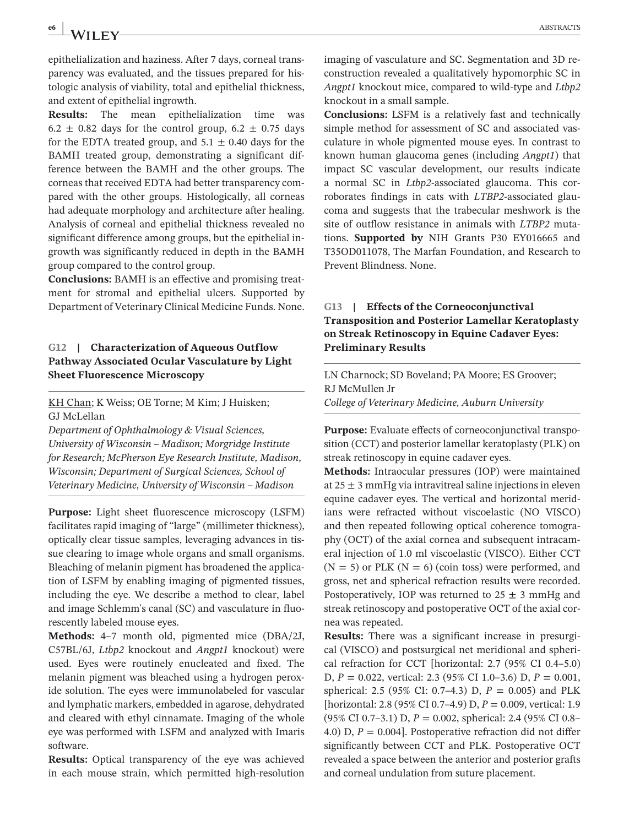# **e6 ABSTRACTS** ABSTRACTS

epithelialization and haziness. After 7 days, corneal transparency was evaluated, and the tissues prepared for histologic analysis of viability, total and epithelial thickness, and extent of epithelial ingrowth.

**Results:** The mean epithelialization time was  $6.2 \pm 0.82$  days for the control group,  $6.2 \pm 0.75$  days for the EDTA treated group, and  $5.1 \pm 0.40$  days for the BAMH treated group, demonstrating a significant difference between the BAMH and the other groups. The corneas that received EDTA had better transparency compared with the other groups. Histologically, all corneas had adequate morphology and architecture after healing. Analysis of corneal and epithelial thickness revealed no significant difference among groups, but the epithelial ingrowth was significantly reduced in depth in the BAMH group compared to the control group.

**Conclusions:** BAMH is an effective and promising treatment for stromal and epithelial ulcers. Supported by Department of Veterinary Clinical Medicine Funds. None.

# **G12 | Characterization of Aqueous Outflow Pathway Associated Ocular Vasculature by Light Sheet Fluorescence Microscopy**

KH Chan; K Weiss; OE Torne; M Kim; J Huisken; GJ McLellan

*Department of Ophthalmology & Visual Sciences, University of Wisconsin – Madison; Morgridge Institute for Research; McPherson Eye Research Institute, Madison, Wisconsin; Department of Surgical Sciences, School of Veterinary Medicine, University of Wisconsin – Madison*

**Purpose:** Light sheet fluorescence microscopy (LSFM) facilitates rapid imaging of "large" (millimeter thickness), optically clear tissue samples, leveraging advances in tissue clearing to image whole organs and small organisms. Bleaching of melanin pigment has broadened the application of LSFM by enabling imaging of pigmented tissues, including the eye. We describe a method to clear, label and image Schlemm's canal (SC) and vasculature in fluorescently labeled mouse eyes.

**Methods:** 4–7 month old, pigmented mice (DBA/2J, C57BL/6J, *Ltbp2* knockout and *Angpt1* knockout) were used. Eyes were routinely enucleated and fixed. The melanin pigment was bleached using a hydrogen peroxide solution. The eyes were immunolabeled for vascular and lymphatic markers, embedded in agarose, dehydrated and cleared with ethyl cinnamate. Imaging of the whole eye was performed with LSFM and analyzed with Imaris software.

**Results:** Optical transparency of the eye was achieved in each mouse strain, which permitted high-resolution imaging of vasculature and SC. Segmentation and 3D reconstruction revealed a qualitatively hypomorphic SC in *Angpt1* knockout mice, compared to wild-type and *Ltbp2* knockout in a small sample.

**Conclusions:** LSFM is a relatively fast and technically simple method for assessment of SC and associated vasculature in whole pigmented mouse eyes. In contrast to known human glaucoma genes (including *Angpt1*) that impact SC vascular development, our results indicate a normal SC in *Ltbp2*-associated glaucoma. This corroborates findings in cats with *LTBP2*-associated glaucoma and suggests that the trabecular meshwork is the site of outflow resistance in animals with *LTBP2* mutations. **Supported by** NIH Grants P30 EY016665 and T35OD011078, The Marfan Foundation, and Research to Prevent Blindness. None.

# **G13 | Effects of the Corneoconjunctival Transposition and Posterior Lamellar Keratoplasty on Streak Retinoscopy in Equine Cadaver Eyes: Preliminary Results**

LN Charnock; SD Boveland; PA Moore; ES Groover; RJ McMullen Jr *College of Veterinary Medicine, Auburn University*

**Purpose:** Evaluate effects of corneoconjunctival transposition (CCT) and posterior lamellar keratoplasty (PLK) on streak retinoscopy in equine cadaver eyes.

**Methods:** Intraocular pressures (IOP) were maintained at  $25 \pm 3$  mmHg via intravitreal saline injections in eleven equine cadaver eyes. The vertical and horizontal meridians were refracted without viscoelastic (NO VISCO) and then repeated following optical coherence tomography (OCT) of the axial cornea and subsequent intracameral injection of 1.0 ml viscoelastic (VISCO). Either CCT  $(N = 5)$  or PLK  $(N = 6)$  (coin toss) were performed, and gross, net and spherical refraction results were recorded. Postoperatively, IOP was returned to  $25 \pm 3$  mmHg and streak retinoscopy and postoperative OCT of the axial cornea was repeated.

**Results:** There was a significant increase in presurgical (VISCO) and postsurgical net meridional and spherical refraction for CCT [horizontal: 2.7 (95% CI 0.4–5.0) D, *P* = 0.022, vertical: 2.3 (95% CI 1.0–3.6) D, *P* = 0.001, spherical: 2.5 (95% CI: 0.7–4.3) D, *P* = 0.005) and PLK [horizontal: 2.8 (95% CI 0.7–4.9) D, *P* = 0.009, vertical: 1.9 (95% CI 0.7–3.1) D, *P* = 0.002, spherical: 2.4 (95% CI 0.8– 4.0) D, *P* = 0.004]. Postoperative refraction did not differ significantly between CCT and PLK. Postoperative OCT revealed a space between the anterior and posterior grafts and corneal undulation from suture placement.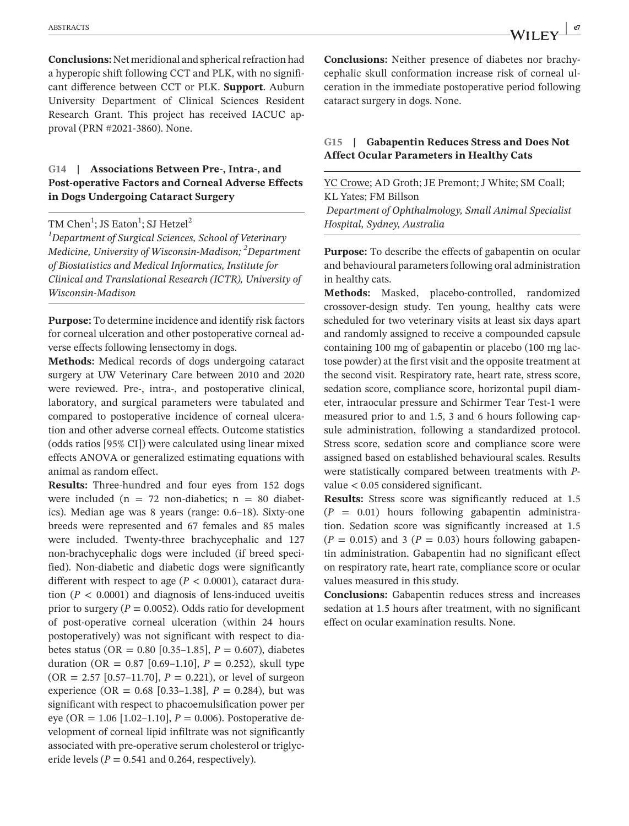**Conclusions:** Net meridional and spherical refraction had a hyperopic shift following CCT and PLK, with no significant difference between CCT or PLK. **Support**. Auburn University Department of Clinical Sciences Resident Research Grant. This project has received IACUC approval (PRN #2021-3860). None.

#### **G14 | Associations Between Pre-, Intra-, and Post-operative Factors and Corneal Adverse Effects in Dogs Undergoing Cataract Surgery**

#### TM Chen $^1$ ; JS Eaton $^1$ ; SJ Hetzel $^2$

*1 Department of Surgical Sciences, School of Veterinary Medicine, University of Wisconsin-Madison; <sup>2</sup> Department of Biostatistics and Medical Informatics, Institute for Clinical and Translational Research (ICTR), University of Wisconsin-Madison*

**Purpose:** To determine incidence and identify risk factors for corneal ulceration and other postoperative corneal adverse effects following lensectomy in dogs.

**Methods:** Medical records of dogs undergoing cataract surgery at UW Veterinary Care between 2010 and 2020 were reviewed. Pre-, intra-, and postoperative clinical, laboratory, and surgical parameters were tabulated and compared to postoperative incidence of corneal ulceration and other adverse corneal effects. Outcome statistics (odds ratios [95% CI]) were calculated using linear mixed effects ANOVA or generalized estimating equations with animal as random effect.

**Results:** Three-hundred and four eyes from 152 dogs were included ( $n = 72$  non-diabetics;  $n = 80$  diabetics). Median age was 8 years (range: 0.6–18). Sixty-one breeds were represented and 67 females and 85 males were included. Twenty-three brachycephalic and 127 non-brachycephalic dogs were included (if breed specified). Non-diabetic and diabetic dogs were significantly different with respect to age ( $P < 0.0001$ ), cataract duration  $(P < 0.0001)$  and diagnosis of lens-induced uveitis prior to surgery ( $P = 0.0052$ ). Odds ratio for development of post-operative corneal ulceration (within 24 hours postoperatively) was not significant with respect to diabetes status (OR =  $0.80$  [0.35–1.85],  $P = 0.607$ ), diabetes duration (OR =  $0.87$  [0.69–1.10],  $P = 0.252$ ), skull type  $(OR = 2.57 [0.57-11.70], P = 0.221)$ , or level of surgeon experience (OR =  $0.68$  [0.33–1.38],  $P = 0.284$ ), but was significant with respect to phacoemulsification power per eye (OR = 1.06 [1.02–1.10], *P* = 0.006). Postoperative development of corneal lipid infiltrate was not significantly associated with pre-operative serum cholesterol or triglyceride levels ( $P = 0.541$  and 0.264, respectively).

**Conclusions:** Neither presence of diabetes nor brachycephalic skull conformation increase risk of corneal ulceration in the immediate postoperative period following cataract surgery in dogs. None.

#### **G15 | Gabapentin Reduces Stress and Does Not Affect Ocular Parameters in Healthy Cats**

YC Crowe; AD Groth; JE Premont; J White; SM Coall; KL Yates; FM Billson

*Department of Ophthalmology, Small Animal Specialist Hospital, Sydney, Australia*

**Purpose:** To describe the effects of gabapentin on ocular and behavioural parameters following oral administration in healthy cats.

**Methods:** Masked, placebo-controlled, randomized crossover-design study. Ten young, healthy cats were scheduled for two veterinary visits at least six days apart and randomly assigned to receive a compounded capsule containing 100 mg of gabapentin or placebo (100 mg lactose powder) at the first visit and the opposite treatment at the second visit. Respiratory rate, heart rate, stress score, sedation score, compliance score, horizontal pupil diameter, intraocular pressure and Schirmer Tear Test-1 were measured prior to and 1.5, 3 and 6 hours following capsule administration, following a standardized protocol. Stress score, sedation score and compliance score were assigned based on established behavioural scales. Results were statistically compared between treatments with *P*value < 0.05 considered significant.

**Results:** Stress score was significantly reduced at 1.5  $(P = 0.01)$  hours following gabapentin administration. Sedation score was significantly increased at 1.5  $(P = 0.015)$  and 3  $(P = 0.03)$  hours following gabapentin administration. Gabapentin had no significant effect on respiratory rate, heart rate, compliance score or ocular values measured in this study.

**Conclusions:** Gabapentin reduces stress and increases sedation at 1.5 hours after treatment, with no significant effect on ocular examination results. None.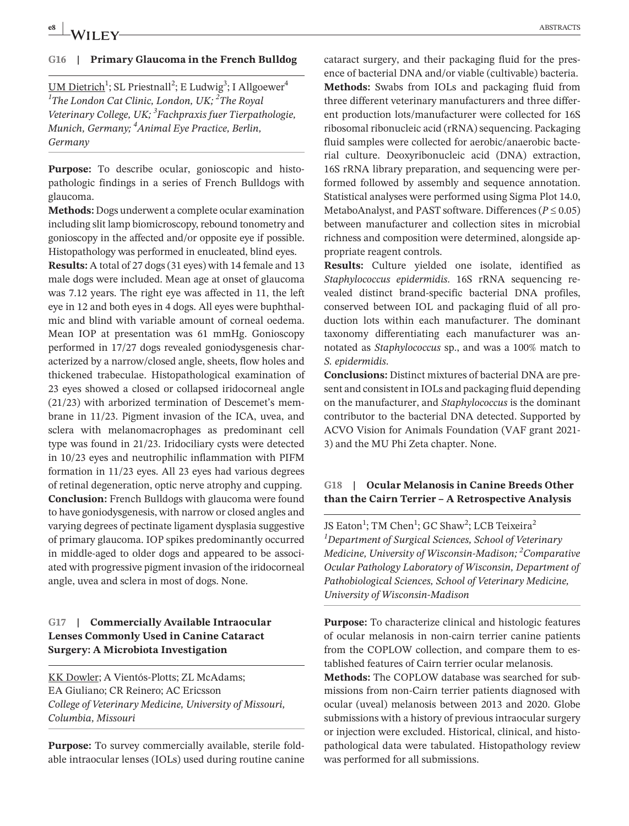# **e8 ABSTRACTS ABSTRACTS**

#### **G16 | Primary Glaucoma in the French Bulldog**

<u>UM Dietrich</u><sup>1</sup>; SL Priestnall<sup>2</sup>; E Ludwig<sup>3</sup>; I Allgoewer<sup>4</sup> *1 The London Cat Clinic, London, UK; <sup>2</sup> The Royal Veterinary College, UK; 3 Fachpraxis fuer Tierpathologie, Munich, Germany; <sup>4</sup> Animal Eye Practice, Berlin, Germany*

**Purpose:** To describe ocular, gonioscopic and histopathologic findings in a series of French Bulldogs with glaucoma.

**Methods:** Dogs underwent a complete ocular examination including slit lamp biomicroscopy, rebound tonometry and gonioscopy in the affected and/or opposite eye if possible. Histopathology was performed in enucleated, blind eyes.

**Results:** A total of 27 dogs (31 eyes) with 14 female and 13 male dogs were included. Mean age at onset of glaucoma was 7.12 years. The right eye was affected in 11, the left eye in 12 and both eyes in 4 dogs. All eyes were buphthalmic and blind with variable amount of corneal oedema. Mean IOP at presentation was 61 mmHg. Gonioscopy performed in 17/27 dogs revealed goniodysgenesis characterized by a narrow/closed angle, sheets, flow holes and thickened trabeculae. Histopathological examination of 23 eyes showed a closed or collapsed iridocorneal angle (21/23) with arborized termination of Descemet's membrane in 11/23. Pigment invasion of the ICA, uvea, and sclera with melanomacrophages as predominant cell type was found in 21/23. Iridociliary cysts were detected in 10/23 eyes and neutrophilic inflammation with PIFM formation in 11/23 eyes. All 23 eyes had various degrees of retinal degeneration, optic nerve atrophy and cupping. **Conclusion:** French Bulldogs with glaucoma were found to have goniodysgenesis, with narrow or closed angles and varying degrees of pectinate ligament dysplasia suggestive of primary glaucoma. IOP spikes predominantly occurred in middle-aged to older dogs and appeared to be associated with progressive pigment invasion of the iridocorneal angle, uvea and sclera in most of dogs. None.

## **G17 | Commercially Available Intraocular Lenses Commonly Used in Canine Cataract Surgery: A Microbiota Investigation**

KK Dowler; A Vientós-Plotts; ZL McAdams; EA Giuliano; CR Reinero; AC Ericsson *College of Veterinary Medicine, University of Missouri, Columbia, Missouri*

**Purpose:** To survey commercially available, sterile foldable intraocular lenses (IOLs) used during routine canine cataract surgery, and their packaging fluid for the presence of bacterial DNA and/or viable (cultivable) bacteria. **Methods:** Swabs from IOLs and packaging fluid from three different veterinary manufacturers and three different production lots/manufacturer were collected for 16S ribosomal ribonucleic acid (rRNA) sequencing. Packaging fluid samples were collected for aerobic/anaerobic bacterial culture. Deoxyribonucleic acid (DNA) extraction, 16S rRNA library preparation, and sequencing were performed followed by assembly and sequence annotation. Statistical analyses were performed using Sigma Plot 14.0, MetaboAnalyst, and PAST software. Differences ( $P \le 0.05$ ) between manufacturer and collection sites in microbial richness and composition were determined, alongside appropriate reagent controls.

**Results:** Culture yielded one isolate, identified as *Staphylococcus epidermidis*. 16S rRNA sequencing revealed distinct brand-specific bacterial DNA profiles, conserved between IOL and packaging fluid of all production lots within each manufacturer. The dominant taxonomy differentiating each manufacturer was annotated as *Staphylococcus* sp., and was a 100% match to *S. epidermidis*.

**Conclusions:** Distinct mixtures of bacterial DNA are present and consistent in IOLs and packaging fluid depending on the manufacturer, and *Staphylococcus* is the dominant contributor to the bacterial DNA detected. Supported by ACVO Vision for Animals Foundation (VAF grant 2021- 3) and the MU Phi Zeta chapter. None.

# **G18 | Ocular Melanosis in Canine Breeds Other than the Cairn Terrier – A Retrospective Analysis**

JS Eaton<sup>1</sup>; TM Chen<sup>1</sup>; GC Shaw<sup>2</sup>; LCB Teixeira<sup>2</sup> *1 Department of Surgical Sciences, School of Veterinary Medicine, University of Wisconsin-Madison; <sup>2</sup> Comparative Ocular Pathology Laboratory of Wisconsin, Department of Pathobiological Sciences, School of Veterinary Medicine, University of Wisconsin-Madison*

**Purpose:** To characterize clinical and histologic features of ocular melanosis in non-cairn terrier canine patients from the COPLOW collection, and compare them to established features of Cairn terrier ocular melanosis.

**Methods:** The COPLOW database was searched for submissions from non-Cairn terrier patients diagnosed with ocular (uveal) melanosis between 2013 and 2020. Globe submissions with a history of previous intraocular surgery or injection were excluded. Historical, clinical, and histopathological data were tabulated. Histopathology review was performed for all submissions.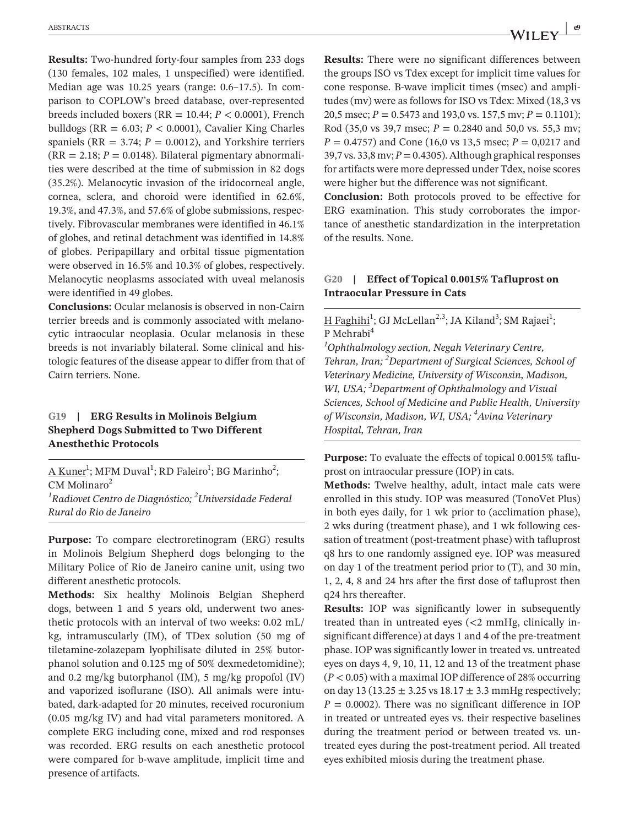**Results:** Two-hundred forty-four samples from 233 dogs (130 females, 102 males, 1 unspecified) were identified. Median age was 10.25 years (range: 0.6–17.5). In comparison to COPLOW's breed database, over-represented breeds included boxers (RR = 10.44; *P* < 0.0001), French bulldogs ( $RR = 6.03$ ;  $P < 0.0001$ ), Cavalier King Charles spaniels ( $RR = 3.74$ ;  $P = 0.0012$ ), and Yorkshire terriers  $(RR = 2.18; P = 0.0148)$ . Bilateral pigmentary abnormalities were described at the time of submission in 82 dogs (35.2%). Melanocytic invasion of the iridocorneal angle, cornea, sclera, and choroid were identified in 62.6%, 19.3%, and 47.3%, and 57.6% of globe submissions, respectively. Fibrovascular membranes were identified in 46.1% of globes, and retinal detachment was identified in 14.8% of globes. Peripapillary and orbital tissue pigmentation were observed in 16.5% and 10.3% of globes, respectively. Melanocytic neoplasms associated with uveal melanosis were identified in 49 globes.

**Conclusions:** Ocular melanosis is observed in non-Cairn terrier breeds and is commonly associated with melanocytic intraocular neoplasia. Ocular melanosis in these breeds is not invariably bilateral. Some clinical and histologic features of the disease appear to differ from that of Cairn terriers. None.

#### **G19 | ERG Results in Molinois Belgium Shepherd Dogs Submitted to Two Different Anesthethic Protocols**

<u>A Kuner</u><sup>1</sup>; MFM Duval<sup>1</sup>; RD Faleiro<sup>1</sup>; BG Marinho<sup>2</sup>;  $CM$  Molinaro<sup>2</sup>

*1 Radiovet Centro de Diagnóstico; 2 Universidade Federal Rural do Rio de Janeiro*

**Purpose:** To compare electroretinogram (ERG) results in Molinois Belgium Shepherd dogs belonging to the Military Police of Rio de Janeiro canine unit, using two different anesthetic protocols.

**Methods:** Six healthy Molinois Belgian Shepherd dogs, between 1 and 5 years old, underwent two anesthetic protocols with an interval of two weeks: 0.02 mL/ kg, intramuscularly (IM), of TDex solution (50 mg of tiletamine-zolazepam lyophilisate diluted in 25% butorphanol solution and 0.125 mg of 50% dexmedetomidine); and 0.2 mg/kg butorphanol (IM), 5 mg/kg propofol (IV) and vaporized isoflurane (ISO). All animals were intubated, dark-adapted for 20 minutes, received rocuronium (0.05 mg/kg IV) and had vital parameters monitored. A complete ERG including cone, mixed and rod responses was recorded. ERG results on each anesthetic protocol were compared for b-wave amplitude, implicit time and presence of artifacts.

**Results:** There were no significant differences between the groups ISO vs Tdex except for implicit time values for cone response. B-wave implicit times (msec) and amplitudes (mv) were as follows for ISO vs Tdex: Mixed (18,3 vs 20,5 msec; *P* = 0.5473 and 193,0 vs. 157,5 mv; *P* = 0.1101); Rod (35.0 vs 39.7 msec;  $P = 0.2840$  and 50.0 vs. 55.3 mv; *P* = 0.4757) and Cone (16,0 vs 13,5 msec; *P* = 0,0217 and 39,7 vs. 33,8 mv;  $P = 0.4305$ ). Although graphical responses for artifacts were more depressed under Tdex, noise scores were higher but the difference was not significant.

**Conclusion:** Both protocols proved to be effective for ERG examination. This study corroborates the importance of anesthetic standardization in the interpretation of the results. None.

#### **G20 | Effect of Topical 0.0015% Tafluprost on Intraocular Pressure in Cats**

H Faghihi<sup>1</sup>; GJ McLellan<sup>2,3</sup>; JA Kiland<sup>3</sup>; SM Rajaei<sup>1</sup>; P Mehrabi<sup>4</sup>

*1 Ophthalmology section, Negah Veterinary Centre, Tehran, Iran; 2 Department of Surgical Sciences, School of Veterinary Medicine, University of Wisconsin, Madison, WI, USA; 3 Department of Ophthalmology and Visual Sciences, School of Medicine and Public Health, University of Wisconsin, Madison, WI, USA; 4 Avina Veterinary Hospital, Tehran, Iran*

**Purpose:** To evaluate the effects of topical 0.0015% tafluprost on intraocular pressure (IOP) in cats.

**Methods:** Twelve healthy, adult, intact male cats were enrolled in this study. IOP was measured (TonoVet Plus) in both eyes daily, for 1 wk prior to (acclimation phase), 2 wks during (treatment phase), and 1 wk following cessation of treatment (post-treatment phase) with tafluprost q8 hrs to one randomly assigned eye. IOP was measured on day 1 of the treatment period prior to (T), and 30 min, 1, 2, 4, 8 and 24 hrs after the first dose of tafluprost then q24 hrs thereafter.

**Results:** IOP was significantly lower in subsequently treated than in untreated eyes (<2 mmHg, clinically insignificant difference) at days 1 and 4 of the pre-treatment phase. IOP was significantly lower in treated vs. untreated eyes on days 4, 9, 10, 11, 12 and 13 of the treatment phase (*P* < 0.05) with a maximal IOP difference of 28% occurring on day 13 (13.25  $\pm$  3.25 vs 18.17  $\pm$  3.3 mmHg respectively;  $P = 0.0002$ ). There was no significant difference in IOP in treated or untreated eyes vs. their respective baselines during the treatment period or between treated vs. untreated eyes during the post-treatment period. All treated eyes exhibited miosis during the treatment phase.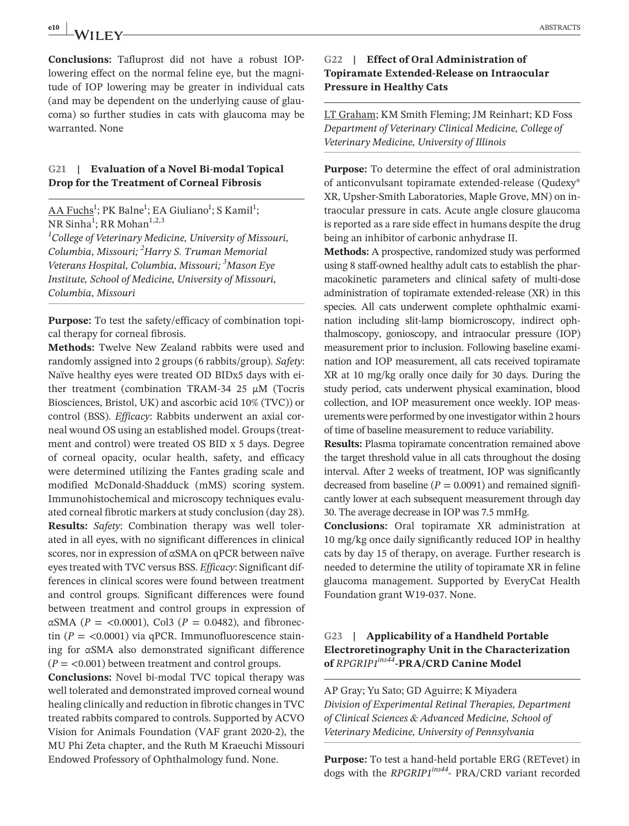**e10 |** ABSTRACTS

**Conclusions:** Tafluprost did not have a robust IOPlowering effect on the normal feline eye, but the magnitude of IOP lowering may be greater in individual cats (and may be dependent on the underlying cause of glaucoma) so further studies in cats with glaucoma may be warranted. None

#### **G21 | Evaluation of a Novel Bi-modal Topical Drop for the Treatment of Corneal Fibrosis**

<u>AA Fuchs<sup>1</sup>;</u> PK Balne<sup>1</sup>; EA Giuliano<sup>1</sup>; S Kamil<sup>1</sup>; NR Sinha<sup>1</sup>; RR Mohan<sup>1,2,3</sup> *1 College of Veterinary Medicine, University of Missouri, Columbia, Missouri; <sup>2</sup> Harry S. Truman Memorial Veterans Hospital, Columbia, Missouri; 3 Mason Eye Institute, School of Medicine, University of Missouri, Columbia, Missouri*

**Purpose:** To test the safety/efficacy of combination topical therapy for corneal fibrosis.

**Methods:** Twelve New Zealand rabbits were used and randomly assigned into 2 groups (6 rabbits/group). *Safety*: Naïve healthy eyes were treated OD BIDx5 days with either treatment (combination TRAM-34 25  $\mu$ M (Tocris Biosciences, Bristol, UK) and ascorbic acid 10% (TVC)) or control (BSS). *Efficacy*: Rabbits underwent an axial corneal wound OS using an established model. Groups (treatment and control) were treated OS BID x 5 days. Degree of corneal opacity, ocular health, safety, and efficacy were determined utilizing the Fantes grading scale and modified McDonald-Shadduck (mMS) scoring system. Immunohistochemical and microscopy techniques evaluated corneal fibrotic markers at study conclusion (day 28). **Results:** *Safety*: Combination therapy was well tolerated in all eyes, with no significant differences in clinical scores, nor in expression of αSMA on qPCR between naïve eyes treated with TVC versus BSS. *Efficacy*: Significant differences in clinical scores were found between treatment and control groups. Significant differences were found between treatment and control groups in expression of αSMA ( $P = \langle 0.0001 \rangle$ , Col3 ( $P = 0.0482$ ), and fibronectin  $(P = \langle 0.0001 \rangle)$  via qPCR. Immunofluorescence staining for αSMA also demonstrated significant difference  $(P = 0.001)$  between treatment and control groups.

**Conclusions:** Novel bi-modal TVC topical therapy was well tolerated and demonstrated improved corneal wound healing clinically and reduction in fibrotic changes in TVC treated rabbits compared to controls. Supported by ACVO Vision for Animals Foundation (VAF grant 2020-2), the MU Phi Zeta chapter, and the Ruth M Kraeuchi Missouri Endowed Professory of Ophthalmology fund. None.

#### **G22 | Effect of Oral Administration of Topiramate Extended-Release on Intraocular Pressure in Healthy Cats**

LT Graham; KM Smith Fleming; JM Reinhart; KD Foss *Department of Veterinary Clinical Medicine, College of Veterinary Medicine, University of Illinois*

**Purpose:** To determine the effect of oral administration of anticonvulsant topiramate extended-release (Qudexy® XR, Upsher-Smith Laboratories, Maple Grove, MN) on intraocular pressure in cats. Acute angle closure glaucoma is reported as a rare side effect in humans despite the drug being an inhibitor of carbonic anhydrase II.

**Methods:** A prospective, randomized study was performed using 8 staff-owned healthy adult cats to establish the pharmacokinetic parameters and clinical safety of multi-dose administration of topiramate extended-release (XR) in this species. All cats underwent complete ophthalmic examination including slit-lamp biomicroscopy, indirect ophthalmoscopy, gonioscopy, and intraocular pressure (IOP) measurement prior to inclusion. Following baseline examination and IOP measurement, all cats received topiramate XR at 10 mg/kg orally once daily for 30 days. During the study period, cats underwent physical examination, blood collection, and IOP measurement once weekly. IOP measurements were performed by one investigator within 2 hours of time of baseline measurement to reduce variability.

**Results:** Plasma topiramate concentration remained above the target threshold value in all cats throughout the dosing interval. After 2 weeks of treatment, IOP was significantly decreased from baseline  $(P = 0.0091)$  and remained significantly lower at each subsequent measurement through day 30. The average decrease in IOP was 7.5 mmHg.

**Conclusions:** Oral topiramate XR administration at 10 mg/kg once daily significantly reduced IOP in healthy cats by day 15 of therapy, on average. Further research is needed to determine the utility of topiramate XR in feline glaucoma management. Supported by EveryCat Health Foundation grant W19-037. None.

## **G23 | Applicability of a Handheld Portable Electroretinography Unit in the Characterization of** *RPGRIP1ins44***-PRA/CRD Canine Model**

AP Gray; Yu Sato; GD Aguirre; K Miyadera *Division of Experimental Retinal Therapies, Department of Clinical Sciences & Advanced Medicine, School of Veterinary Medicine, University of Pennsylvania*

**Purpose:** To test a hand-held portable ERG (RETevet) in dogs with the *RPGRIP1ins44*- PRA/CRD variant recorded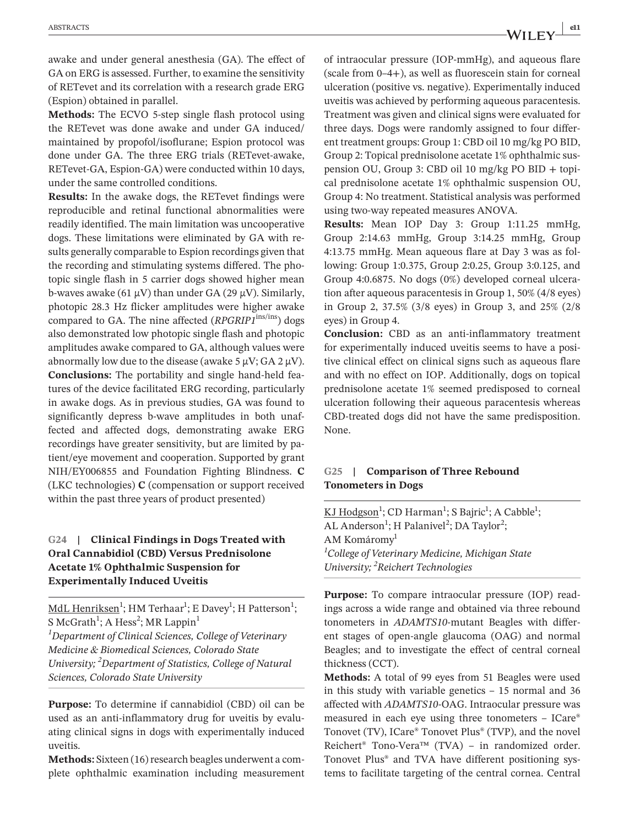awake and under general anesthesia (GA). The effect of GA on ERG is assessed. Further, to examine the sensitivity of RETevet and its correlation with a research grade ERG (Espion) obtained in parallel.

**Methods:** The ECVO 5-step single flash protocol using the RETevet was done awake and under GA induced/ maintained by propofol/isoflurane; Espion protocol was done under GA. The three ERG trials (RETevet-awake, RETevet-GA, Espion-GA) were conducted within 10 days, under the same controlled conditions.

**Results:** In the awake dogs, the RETevet findings were reproducible and retinal functional abnormalities were readily identified. The main limitation was uncooperative dogs. These limitations were eliminated by GA with results generally comparable to Espion recordings given that the recording and stimulating systems differed. The photopic single flash in 5 carrier dogs showed higher mean b-waves awake (61  $\mu$ V) than under GA (29  $\mu$ V). Similarly, photopic 28.3 Hz flicker amplitudes were higher awake compared to GA. The nine affected (*RPGRIP1*ins/ins) dogs also demonstrated low photopic single flash and photopic amplitudes awake compared to GA, although values were abnormally low due to the disease (awake 5  $\mu$ V; GA 2  $\mu$ V). **Conclusions:** The portability and single hand-held features of the device facilitated ERG recording, particularly in awake dogs. As in previous studies, GA was found to significantly depress b-wave amplitudes in both unaffected and affected dogs, demonstrating awake ERG recordings have greater sensitivity, but are limited by patient/eye movement and cooperation. Supported by grant NIH/EY006855 and Foundation Fighting Blindness. **C** (LKC technologies) **C** (compensation or support received within the past three years of product presented)

## **G24 | Clinical Findings in Dogs Treated with Oral Cannabidiol (CBD) Versus Prednisolone Acetate 1% Ophthalmic Suspension for Experimentally Induced Uveitis**

<u>MdL Henriksen</u><sup>1</sup>; HM Terhaar<sup>1</sup>; E Davey<sup>1</sup>; H Patterson<sup>1</sup>; S McGrath $^1$ ; A Hess $^2$ ; MR Lappin $^1$ *1 Department of Clinical Sciences, College of Veterinary* 

*Medicine & Biomedical Sciences, Colorado State University; 2 Department of Statistics, College of Natural Sciences, Colorado State University*

**Purpose:** To determine if cannabidiol (CBD) oil can be used as an anti-inflammatory drug for uveitis by evaluating clinical signs in dogs with experimentally induced uveitis.

**Methods:** Sixteen (16) research beagles underwent a complete ophthalmic examination including measurement of intraocular pressure (IOP-mmHg), and aqueous flare (scale from 0–4+), as well as fluorescein stain for corneal ulceration (positive vs. negative). Experimentally induced uveitis was achieved by performing aqueous paracentesis. Treatment was given and clinical signs were evaluated for three days. Dogs were randomly assigned to four different treatment groups: Group 1: CBD oil 10 mg/kg PO BID, Group 2: Topical prednisolone acetate 1% ophthalmic suspension OU, Group 3: CBD oil 10 mg/kg PO BID + topical prednisolone acetate 1% ophthalmic suspension OU, Group 4: No treatment. Statistical analysis was performed using two-way repeated measures ANOVA.

**Results:** Mean IOP Day 3: Group 1:11.25 mmHg, Group 2:14.63 mmHg, Group 3:14.25 mmHg, Group 4:13.75 mmHg. Mean aqueous flare at Day 3 was as following: Group 1:0.375, Group 2:0.25, Group 3:0.125, and Group 4:0.6875. No dogs (0%) developed corneal ulceration after aqueous paracentesis in Group 1, 50% (4/8 eyes) in Group 2, 37.5% (3/8 eyes) in Group 3, and 25% (2/8 eyes) in Group 4.

**Conclusion:** CBD as an anti-inflammatory treatment for experimentally induced uveitis seems to have a positive clinical effect on clinical signs such as aqueous flare and with no effect on IOP. Additionally, dogs on topical prednisolone acetate 1% seemed predisposed to corneal ulceration following their aqueous paracentesis whereas CBD-treated dogs did not have the same predisposition. None.

#### **G25 | Comparison of Three Rebound Tonometers in Dogs**

KJ Hodgson<sup>1</sup>; CD Harman<sup>1</sup>; S Bajric<sup>1</sup>; A Cabble<sup>1</sup>; AL Anderson<sup>1</sup>; H Palanivel<sup>2</sup>; DA Taylor<sup>2</sup>; AM Komáromy<sup>1</sup> *1 College of Veterinary Medicine, Michigan State University; 2 Reichert Technologies*

**Purpose:** To compare intraocular pressure (IOP) readings across a wide range and obtained via three rebound tonometers in *ADAMTS10*-mutant Beagles with different stages of open-angle glaucoma (OAG) and normal Beagles; and to investigate the effect of central corneal thickness (CCT).

**Methods:** A total of 99 eyes from 51 Beagles were used in this study with variable genetics – 15 normal and 36 affected with *ADAMTS10*-OAG. Intraocular pressure was measured in each eye using three tonometers – ICare® Tonovet (TV), ICare® Tonovet Plus® (TVP), and the novel Reichert® Tono-Vera™ (TVA) – in randomized order. Tonovet Plus® and TVA have different positioning systems to facilitate targeting of the central cornea. Central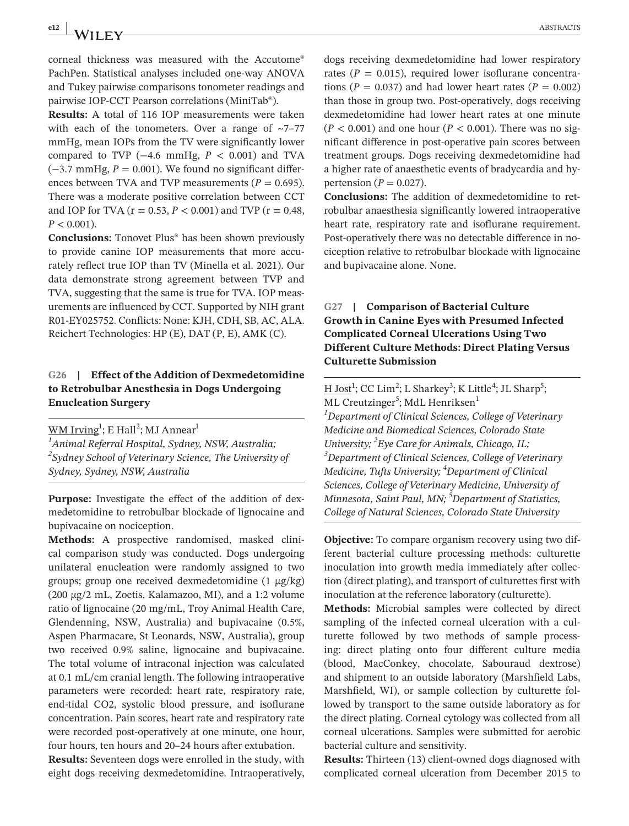corneal thickness was measured with the Accutome® PachPen. Statistical analyses included one-way ANOVA and Tukey pairwise comparisons tonometer readings and pairwise IOP-CCT Pearson correlations (MiniTab®).

**Results:** A total of 116 IOP measurements were taken with each of the tonometers. Over a range of  $\sim$ 7–77 mmHg, mean IOPs from the TV were significantly lower compared to TVP  $(-4.6 \text{ mmHg}, P < 0.001)$  and TVA  $(-3.7 \text{ mmHg}, P = 0.001)$ . We found no significant differences between TVA and TVP measurements ( $P = 0.695$ ). There was a moderate positive correlation between CCT and IOP for TVA ( $r = 0.53$ ,  $P < 0.001$ ) and TVP ( $r = 0.48$ ,  $P < 0.001$ ).

**Conclusions:** Tonovet Plus® has been shown previously to provide canine IOP measurements that more accurately reflect true IOP than TV (Minella et al. 2021). Our data demonstrate strong agreement between TVP and TVA, suggesting that the same is true for TVA. IOP measurements are influenced by CCT. Supported by NIH grant R01-EY025752. Conflicts: None: KJH, CDH, SB, AC, ALA. Reichert Technologies: HP (E), DAT (P, E), AMK (C).

## **G26 | Effect of the Addition of Dexmedetomidine to Retrobulbar Anesthesia in Dogs Undergoing Enucleation Surgery**

 $\overline{\mathsf{WM}\:\text{Irving}^1};$  E Hall $^2;$  MJ Annear $^1$ *1 Animal Referral Hospital, Sydney, NSW, Australia; 2 Sydney School of Veterinary Science, The University of Sydney, Sydney, NSW, Australia*

**Purpose:** Investigate the effect of the addition of dexmedetomidine to retrobulbar blockade of lignocaine and bupivacaine on nociception.

**Methods:** A prospective randomised, masked clinical comparison study was conducted. Dogs undergoing unilateral enucleation were randomly assigned to two groups; group one received dexmedetomidine (1 μg/kg) (200 μg/2 mL, Zoetis, Kalamazoo, MI), and a 1:2 volume ratio of lignocaine (20 mg/mL, Troy Animal Health Care, Glendenning, NSW, Australia) and bupivacaine (0.5%, Aspen Pharmacare, St Leonards, NSW, Australia), group two received 0.9% saline, lignocaine and bupivacaine. The total volume of intraconal injection was calculated at 0.1 mL/cm cranial length. The following intraoperative parameters were recorded: heart rate, respiratory rate, end-tidal CO2, systolic blood pressure, and isoflurane concentration. Pain scores, heart rate and respiratory rate were recorded post-operatively at one minute, one hour, four hours, ten hours and 20–24 hours after extubation.

**Results:** Seventeen dogs were enrolled in the study, with eight dogs receiving dexmedetomidine. Intraoperatively, dogs receiving dexmedetomidine had lower respiratory rates ( $P = 0.015$ ), required lower isoflurane concentrations ( $P = 0.037$ ) and had lower heart rates ( $P = 0.002$ ) than those in group two. Post-operatively, dogs receiving dexmedetomidine had lower heart rates at one minute  $(P < 0.001)$  and one hour  $(P < 0.001)$ . There was no significant difference in post-operative pain scores between treatment groups. Dogs receiving dexmedetomidine had a higher rate of anaesthetic events of bradycardia and hypertension ( $P = 0.027$ ).

**Conclusions:** The addition of dexmedetomidine to retrobulbar anaesthesia significantly lowered intraoperative heart rate, respiratory rate and isoflurane requirement. Post-operatively there was no detectable difference in nociception relative to retrobulbar blockade with lignocaine and bupivacaine alone. None.

# **G27 | Comparison of Bacterial Culture Growth in Canine Eyes with Presumed Infected Complicated Corneal Ulcerations Using Two Different Culture Methods: Direct Plating Versus Culturette Submission**

 $\underline{H}\,\underline{\text{Jost}}^1$ ; CC Lim<sup>2</sup>; L Sharkey<sup>3</sup>; K Little<sup>4</sup>; JL Sharp<sup>5</sup>; ML Creutzinger<sup>5</sup>; MdL Henriksen<sup>1</sup> *1 Department of Clinical Sciences, College of Veterinary Medicine and Biomedical Sciences, Colorado State University; 2 Eye Care for Animals, Chicago, IL; 3 Department of Clinical Sciences, College of Veterinary Medicine, Tufts University; 4 Department of Clinical Sciences, College of Veterinary Medicine, University of Minnesota, Saint Paul, MN; 5 Department of Statistics, College of Natural Sciences, Colorado State University*

**Objective:** To compare organism recovery using two different bacterial culture processing methods: culturette inoculation into growth media immediately after collection (direct plating), and transport of culturettes first with inoculation at the reference laboratory (culturette).

**Methods:** Microbial samples were collected by direct sampling of the infected corneal ulceration with a culturette followed by two methods of sample processing: direct plating onto four different culture media (blood, MacConkey, chocolate, Sabouraud dextrose) and shipment to an outside laboratory (Marshfield Labs, Marshfield, WI), or sample collection by culturette followed by transport to the same outside laboratory as for the direct plating. Corneal cytology was collected from all corneal ulcerations. Samples were submitted for aerobic bacterial culture and sensitivity.

**Results:** Thirteen (13) client-owned dogs diagnosed with complicated corneal ulceration from December 2015 to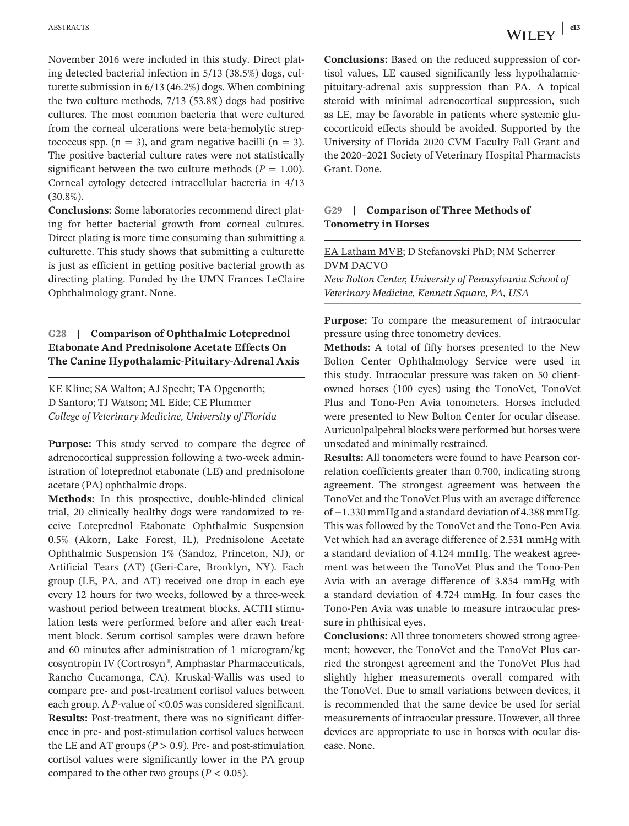November 2016 were included in this study. Direct plating detected bacterial infection in 5/13 (38.5%) dogs, culturette submission in 6/13 (46.2%) dogs. When combining the two culture methods, 7/13 (53.8%) dogs had positive cultures. The most common bacteria that were cultured from the corneal ulcerations were beta-hemolytic streptococcus spp.  $(n = 3)$ , and gram negative bacilli  $(n = 3)$ . The positive bacterial culture rates were not statistically significant between the two culture methods ( $P = 1.00$ ). Corneal cytology detected intracellular bacteria in 4/13 (30.8%).

**Conclusions:** Some laboratories recommend direct plating for better bacterial growth from corneal cultures. Direct plating is more time consuming than submitting a culturette. This study shows that submitting a culturette is just as efficient in getting positive bacterial growth as directing plating. Funded by the UMN Frances LeClaire Ophthalmology grant. None.

# **G28 | Comparison of Ophthalmic Loteprednol Etabonate And Prednisolone Acetate Effects On The Canine Hypothalamic-Pituitary-Adrenal Axis**

KE Kline; SA Walton; AJ Specht; TA Opgenorth; D Santoro; TJ Watson; ML Eide; CE Plummer *College of Veterinary Medicine, University of Florida*

**Purpose:** This study served to compare the degree of adrenocortical suppression following a two-week administration of loteprednol etabonate (LE) and prednisolone acetate (PA) ophthalmic drops.

**Methods:** In this prospective, double-blinded clinical trial, 20 clinically healthy dogs were randomized to receive Loteprednol Etabonate Ophthalmic Suspension 0.5% (Akorn, Lake Forest, IL), Prednisolone Acetate Ophthalmic Suspension 1% (Sandoz, Princeton, NJ), or Artificial Tears (AT) (Geri-Care, Brooklyn, NY). Each group (LE, PA, and AT) received one drop in each eye every 12 hours for two weeks, followed by a three-week washout period between treatment blocks. ACTH stimulation tests were performed before and after each treatment block. Serum cortisol samples were drawn before and 60 minutes after administration of 1 microgram/kg cosyntropin IV (Cortrosyn*®*, Amphastar Pharmaceuticals, Rancho Cucamonga, CA). Kruskal-Wallis was used to compare pre- and post-treatment cortisol values between each group. A *P*-value of <0.05 was considered significant. **Results:** Post-treatment, there was no significant difference in pre- and post-stimulation cortisol values between the LE and AT groups  $(P > 0.9)$ . Pre- and post-stimulation cortisol values were significantly lower in the PA group compared to the other two groups ( $P < 0.05$ ).

**Conclusions:** Based on the reduced suppression of cortisol values, LE caused significantly less hypothalamicpituitary-adrenal axis suppression than PA. A topical steroid with minimal adrenocortical suppression, such as LE, may be favorable in patients where systemic glucocorticoid effects should be avoided. Supported by the University of Florida 2020 CVM Faculty Fall Grant and the 2020–2021 Society of Veterinary Hospital Pharmacists Grant. Done.

#### **G29 | Comparison of Three Methods of Tonometry in Horses**

EA Latham MVB; D Stefanovski PhD; NM Scherrer DVM DACVO

*New Bolton Center, University of Pennsylvania School of Veterinary Medicine, Kennett Square, PA, USA*

**Purpose:** To compare the measurement of intraocular pressure using three tonometry devices.

**Methods:** A total of fifty horses presented to the New Bolton Center Ophthalmology Service were used in this study. Intraocular pressure was taken on 50 clientowned horses (100 eyes) using the TonoVet, TonoVet Plus and Tono-Pen Avia tonometers. Horses included were presented to New Bolton Center for ocular disease. Auricuolpalpebral blocks were performed but horses were unsedated and minimally restrained.

**Results:** All tonometers were found to have Pearson correlation coefficients greater than 0.700, indicating strong agreement. The strongest agreement was between the TonoVet and the TonoVet Plus with an average difference of −1.330 mmHg and a standard deviation of 4.388 mmHg. This was followed by the TonoVet and the Tono-Pen Avia Vet which had an average difference of 2.531 mmHg with a standard deviation of 4.124 mmHg. The weakest agreement was between the TonoVet Plus and the Tono-Pen Avia with an average difference of 3.854 mmHg with a standard deviation of 4.724 mmHg. In four cases the Tono-Pen Avia was unable to measure intraocular pressure in phthisical eyes.

**Conclusions:** All three tonometers showed strong agreement; however, the TonoVet and the TonoVet Plus carried the strongest agreement and the TonoVet Plus had slightly higher measurements overall compared with the TonoVet. Due to small variations between devices, it is recommended that the same device be used for serial measurements of intraocular pressure. However, all three devices are appropriate to use in horses with ocular disease. None.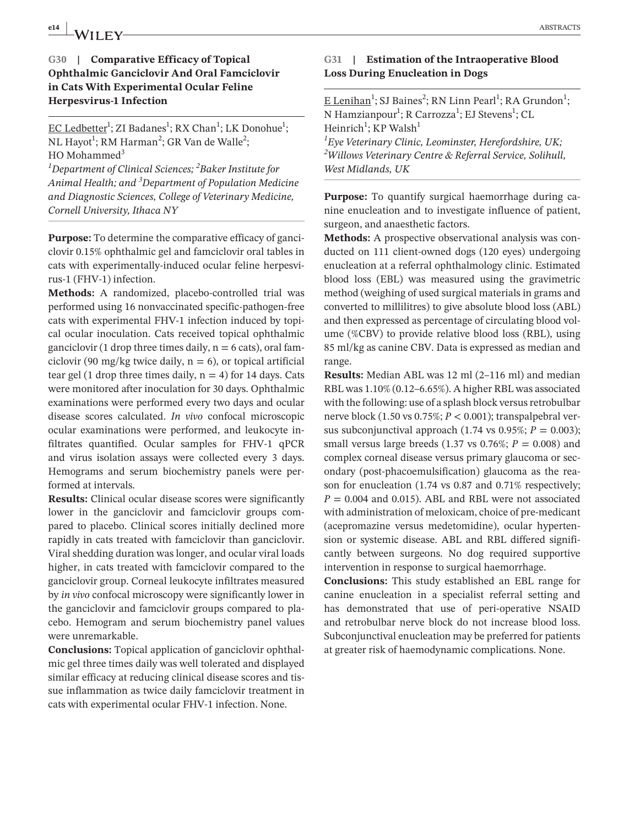# **e14 ABSTRACTS ABSTRACTS**

# **G30 | Comparative Efficacy of Topical Ophthalmic Ganciclovir And Oral Famciclovir in Cats With Experimental Ocular Feline Herpesvirus-1 Infection**

EC Ledbetter<sup>1</sup>; ZI Badanes<sup>1</sup>; RX Chan<sup>1</sup>; LK Donohue<sup>1</sup>; NL Hayot<sup>1</sup>; RM Harman<sup>2</sup>; GR Van de Walle<sup>2</sup>;  $HO$  Mohammed<sup>3</sup> *1 Department of Clinical Sciences; <sup>2</sup> Baker Institute for Animal Health; and 3 Department of Population Medicine and Diagnostic Sciences, College of Veterinary Medicine, Cornell University, Ithaca NY*

**Purpose:** To determine the comparative efficacy of ganciclovir 0.15% ophthalmic gel and famciclovir oral tables in cats with experimentally-induced ocular feline herpesvirus-1 (FHV-1) infection.

**Methods:** A randomized, placebo-controlled trial was performed using 16 nonvaccinated specific-pathogen-free cats with experimental FHV-1 infection induced by topical ocular inoculation. Cats received topical ophthalmic ganciclovir (1 drop three times daily,  $n = 6$  cats), oral famciclovir (90 mg/kg twice daily,  $n = 6$ ), or topical artificial tear gel (1 drop three times daily,  $n = 4$ ) for 14 days. Cats were monitored after inoculation for 30 days. Ophthalmic examinations were performed every two days and ocular disease scores calculated. *In vivo* confocal microscopic ocular examinations were performed, and leukocyte infiltrates quantified. Ocular samples for FHV-1 qPCR and virus isolation assays were collected every 3 days. Hemograms and serum biochemistry panels were performed at intervals.

**Results:** Clinical ocular disease scores were significantly lower in the ganciclovir and famciclovir groups compared to placebo. Clinical scores initially declined more rapidly in cats treated with famciclovir than ganciclovir. Viral shedding duration was longer, and ocular viral loads higher, in cats treated with famciclovir compared to the ganciclovir group. Corneal leukocyte infiltrates measured by *in vivo* confocal microscopy were significantly lower in the ganciclovir and famciclovir groups compared to placebo. Hemogram and serum biochemistry panel values were unremarkable.

**Conclusions:** Topical application of ganciclovir ophthalmic gel three times daily was well tolerated and displayed similar efficacy at reducing clinical disease scores and tissue inflammation as twice daily famciclovir treatment in cats with experimental ocular FHV-1 infection. None.

#### **G31 | Estimation of the Intraoperative Blood Loss During Enucleation in Dogs**

 $E$  Lenihan<sup>1</sup>; SJ Baines<sup>2</sup>; RN Linn Pearl<sup>1</sup>; RA Grundon<sup>1</sup>; N Hamzianpour<sup>1</sup>; R Carrozza<sup>1</sup>; EJ Stevens<sup>1</sup>; CL Heinrich<sup>1</sup>; KP Walsh<sup>1</sup>

*1 Eye Veterinary Clinic, Leominster, Herefordshire, UK; 2 Willows Veterinary Centre & Referral Service, Solihull, West Midlands, UK*

**Purpose:** To quantify surgical haemorrhage during canine enucleation and to investigate influence of patient, surgeon, and anaesthetic factors.

**Methods:** A prospective observational analysis was conducted on 111 client-owned dogs (120 eyes) undergoing enucleation at a referral ophthalmology clinic. Estimated blood loss (EBL) was measured using the gravimetric method (weighing of used surgical materials in grams and converted to millilitres) to give absolute blood loss (ABL) and then expressed as percentage of circulating blood volume (%CBV) to provide relative blood loss (RBL), using 85 ml/kg as canine CBV. Data is expressed as median and range.

**Results:** Median ABL was 12 ml (2–116 ml) and median RBL was 1.10% (0.12–6.65%). A higher RBL was associated with the following: use of a splash block versus retrobulbar nerve block (1.50 vs 0.75%; *P* < 0.001); transpalpebral versus subconjunctival approach (1.74 vs  $0.95\%$ ;  $P = 0.003$ ); small versus large breeds (1.37 vs 0.76%; *P* = 0.008) and complex corneal disease versus primary glaucoma or secondary (post-phacoemulsification) glaucoma as the reason for enucleation (1.74 vs 0.87 and 0.71% respectively;  $P = 0.004$  and 0.015). ABL and RBL were not associated with administration of meloxicam, choice of pre-medicant (acepromazine versus medetomidine), ocular hypertension or systemic disease. ABL and RBL differed significantly between surgeons. No dog required supportive intervention in response to surgical haemorrhage.

**Conclusions:** This study established an EBL range for canine enucleation in a specialist referral setting and has demonstrated that use of peri-operative NSAID and retrobulbar nerve block do not increase blood loss. Subconjunctival enucleation may be preferred for patients at greater risk of haemodynamic complications. None.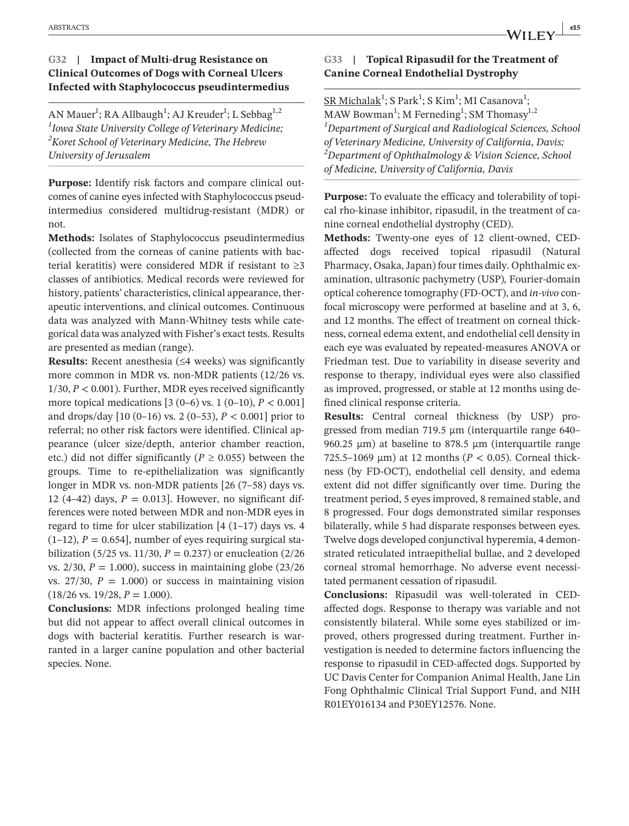#### **G32 | Impact of Multi-drug Resistance on Clinical Outcomes of Dogs with Corneal Ulcers Infected with Staphylococcus pseudintermedius**

AN Mauer<sup>1</sup>; RA Allbaugh<sup>1</sup>; AJ Kreuder<sup>1</sup>; L Sebbag<sup>1,2</sup> *1 Iowa State University College of Veterinary Medicine; 2 Koret School of Veterinary Medicine, The Hebrew University of Jerusalem*

**Purpose:** Identify risk factors and compare clinical outcomes of canine eyes infected with Staphylococcus pseudintermedius considered multidrug-resistant (MDR) or not.

**Methods:** Isolates of Staphylococcus pseudintermedius (collected from the corneas of canine patients with bacterial keratitis) were considered MDR if resistant to ≥3 classes of antibiotics. Medical records were reviewed for history, patients' characteristics, clinical appearance, therapeutic interventions, and clinical outcomes. Continuous data was analyzed with Mann-Whitney tests while categorical data was analyzed with Fisher's exact tests. Results are presented as median (range).

**Results:** Recent anesthesia (≤4 weeks) was significantly more common in MDR vs. non-MDR patients (12/26 vs. 1/30, *P* < 0.001). Further, MDR eyes received significantly more topical medications  $[3 (0-6) \text{ vs. } 1 (0-10), P < 0.001]$ and drops/day [10 (0–16) vs. 2 (0–53), *P* < 0.001] prior to referral; no other risk factors were identified. Clinical appearance (ulcer size/depth, anterior chamber reaction, etc.) did not differ significantly ( $P \ge 0.055$ ) between the groups. Time to re-epithelialization was significantly longer in MDR vs. non-MDR patients [26 (7–58) days vs. 12 (4–42) days,  $P = 0.013$ . However, no significant differences were noted between MDR and non-MDR eyes in regard to time for ulcer stabilization  $[4 (1-17)$  days vs. 4  $(1-12)$ ,  $P = 0.654$ , number of eyes requiring surgical stabilization (5/25 vs. 11/30,  $P = 0.237$ ) or enucleation (2/26) vs.  $2/30$ ,  $P = 1.000$ ), success in maintaining globe  $(23/26)$ vs.  $27/30$ ,  $P = 1.000$ ) or success in maintaining vision  $(18/26 \text{ vs. } 19/28, P = 1.000).$ 

**Conclusions:** MDR infections prolonged healing time but did not appear to affect overall clinical outcomes in dogs with bacterial keratitis. Further research is warranted in a larger canine population and other bacterial species. None.

# **G33 | Topical Ripasudil for the Treatment of Canine Corneal Endothelial Dystrophy**

 $SR Michael<sup>1</sup>; S Park<sup>1</sup>; S Kim<sup>1</sup>; MI Casanova<sup>1</sup>;$ </u> MAW Bowman<sup>1</sup>; M Ferneding<sup>1</sup>; SM Thomasy<sup>1,2</sup> *1 Department of Surgical and Radiological Sciences, School of Veterinary Medicine, University of California, Davis; 2 Department of Ophthalmology & Vision Science, School of Medicine, University of California, Davis*

**Purpose:** To evaluate the efficacy and tolerability of topical rho-kinase inhibitor, ripasudil, in the treatment of canine corneal endothelial dystrophy (CED).

**Methods:** Twenty-one eyes of 12 client-owned, CEDaffected dogs received topical ripasudil (Natural Pharmacy, Osaka, Japan) four times daily. Ophthalmic examination, ultrasonic pachymetry (USP)*,* Fourier-domain optical coherence tomography (FD-OCT), and *in-vivo* confocal microscopy were performed at baseline and at 3, 6, and 12 months. The effect of treatment on corneal thickness, corneal edema extent, and endothelial cell density in each eye was evaluated by repeated-measures ANOVA or Friedman test. Due to variability in disease severity and response to therapy, individual eyes were also classified as improved, progressed, or stable at 12 months using defined clinical response criteria.

**Results:** Central corneal thickness (by USP) progressed from median 719.5 μm (interquartile range 640– 960.25  $μ$ m) at baseline to 878.5  $μ$ m (interquartile range 725.5–1069 μm) at 12 months ( $P < 0.05$ ). Corneal thickness (by FD-OCT), endothelial cell density, and edema extent did not differ significantly over time. During the treatment period, 5 eyes improved, 8 remained stable, and 8 progressed. Four dogs demonstrated similar responses bilaterally, while 5 had disparate responses between eyes. Twelve dogs developed conjunctival hyperemia, 4 demonstrated reticulated intraepithelial bullae, and 2 developed corneal stromal hemorrhage. No adverse event necessitated permanent cessation of ripasudil.

**Conclusions:** Ripasudil was well-tolerated in CEDaffected dogs. Response to therapy was variable and not consistently bilateral. While some eyes stabilized or improved, others progressed during treatment. Further investigation is needed to determine factors influencing the response to ripasudil in CED-affected dogs. Supported by UC Davis Center for Companion Animal Health, Jane Lin Fong Ophthalmic Clinical Trial Support Fund, and NIH R01EY016134 and P30EY12576. None.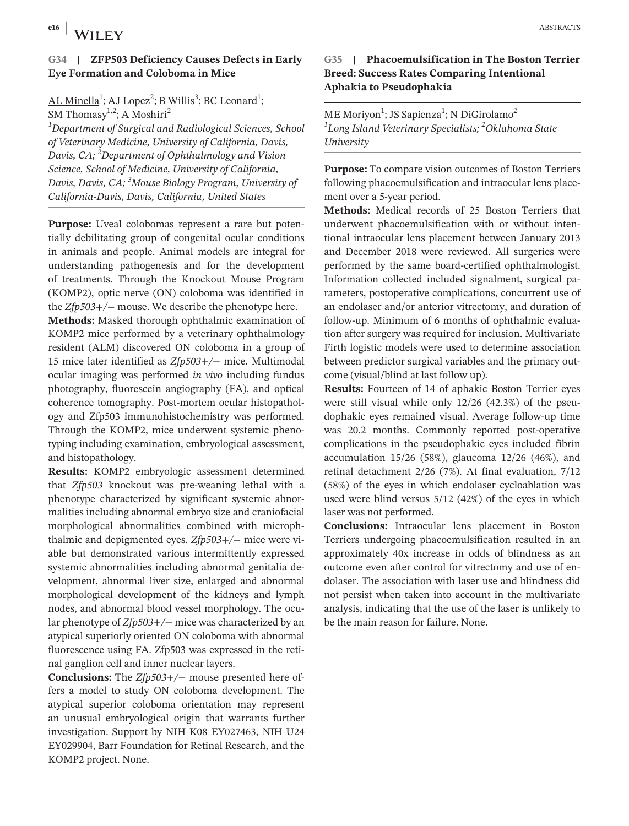#### **G34 | ZFP503 Deficiency Causes Defects in Early Eye Formation and Coloboma in Mice**

AL Minella<sup>1</sup>; AJ Lopez<sup>2</sup>; B Willis<sup>3</sup>; BC Leonard<sup>1</sup>; SM Thomasy<sup>1,2</sup>; A Moshiri<sup>2</sup>

*1 Department of Surgical and Radiological Sciences, School of Veterinary Medicine, University of California, Davis, Davis, CA; <sup>2</sup> Department of Ophthalmology and Vision Science, School of Medicine, University of California, Davis, Davis, CA; <sup>3</sup> Mouse Biology Program, University of California-Davis, Davis, California, United States*

**Purpose:** Uveal colobomas represent a rare but potentially debilitating group of congenital ocular conditions in animals and people. Animal models are integral for understanding pathogenesis and for the development of treatments. Through the Knockout Mouse Program (KOMP2), optic nerve (ON) coloboma was identified in the *Zfp503+/*− mouse. We describe the phenotype here.

**Methods:** Masked thorough ophthalmic examination of KOMP2 mice performed by a veterinary ophthalmology resident (ALM) discovered ON coloboma in a group of 15 mice later identified as *Zfp503+/*− mice. Multimodal ocular imaging was performed *in vivo* including fundus photography, fluorescein angiography (FA), and optical coherence tomography. Post-mortem ocular histopathology and Zfp503 immunohistochemistry was performed. Through the KOMP2, mice underwent systemic phenotyping including examination, embryological assessment, and histopathology.

**Results:** KOMP2 embryologic assessment determined that *Zfp503* knockout was pre-weaning lethal with a phenotype characterized by significant systemic abnormalities including abnormal embryo size and craniofacial morphological abnormalities combined with microphthalmic and depigmented eyes. *Zfp503+/*− mice were viable but demonstrated various intermittently expressed systemic abnormalities including abnormal genitalia development, abnormal liver size, enlarged and abnormal morphological development of the kidneys and lymph nodes, and abnormal blood vessel morphology. The ocular phenotype of *Zfp503+/*− mice was characterized by an atypical superiorly oriented ON coloboma with abnormal fluorescence using FA. Zfp503 was expressed in the retinal ganglion cell and inner nuclear layers.

**Conclusions:** The *Zfp503+/*− mouse presented here offers a model to study ON coloboma development. The atypical superior coloboma orientation may represent an unusual embryological origin that warrants further investigation. Support by NIH K08 EY027463, NIH U24 EY029904, Barr Foundation for Retinal Research, and the KOMP2 project. None.

#### **G35 | Phacoemulsification in The Boston Terrier Breed: Success Rates Comparing Intentional Aphakia to Pseudophakia**

# <u>ME Moriyon</u><sup>1</sup>; JS Sapienza<sup>1</sup>; N DiGirolamo<sup>2</sup> *1 Long Island Veterinary Specialists; <sup>2</sup> Oklahoma State University*

**Purpose:** To compare vision outcomes of Boston Terriers following phacoemulsification and intraocular lens placement over a 5-year period.

**Methods:** Medical records of 25 Boston Terriers that underwent phacoemulsification with or without intentional intraocular lens placement between January 2013 and December 2018 were reviewed. All surgeries were performed by the same board-certified ophthalmologist. Information collected included signalment, surgical parameters, postoperative complications, concurrent use of an endolaser and/or anterior vitrectomy, and duration of follow-up. Minimum of 6 months of ophthalmic evaluation after surgery was required for inclusion. Multivariate Firth logistic models were used to determine association between predictor surgical variables and the primary outcome (visual/blind at last follow up).

**Results:** Fourteen of 14 of aphakic Boston Terrier eyes were still visual while only 12/26 (42.3%) of the pseudophakic eyes remained visual. Average follow-up time was 20.2 months. Commonly reported post-operative complications in the pseudophakic eyes included fibrin accumulation 15/26 (58%), glaucoma 12/26 (46%), and retinal detachment 2/26 (7%). At final evaluation, 7/12 (58%) of the eyes in which endolaser cycloablation was used were blind versus 5/12 (42%) of the eyes in which laser was not performed.

**Conclusions:** Intraocular lens placement in Boston Terriers undergoing phacoemulsification resulted in an approximately 40x increase in odds of blindness as an outcome even after control for vitrectomy and use of endolaser. The association with laser use and blindness did not persist when taken into account in the multivariate analysis, indicating that the use of the laser is unlikely to be the main reason for failure. None.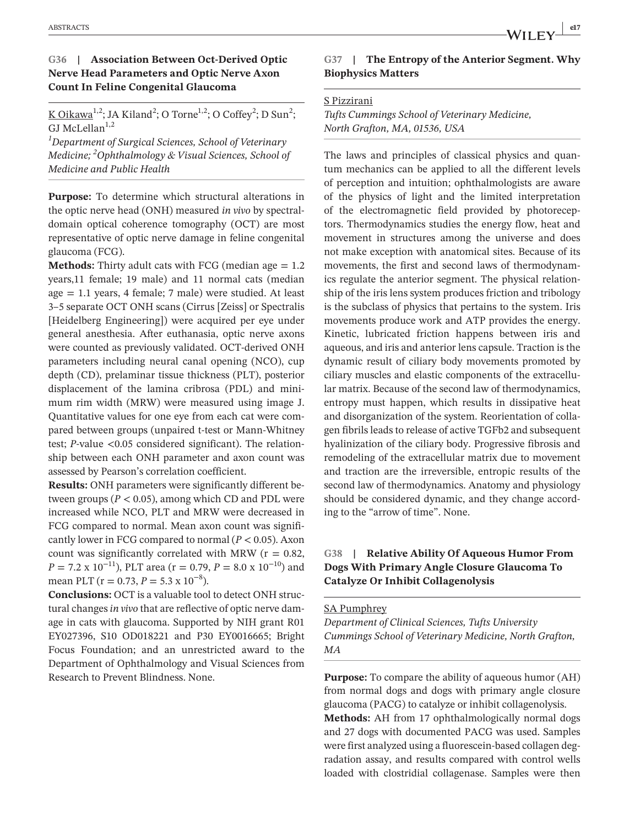# **G36 | Association Between Oct-Derived Optic Nerve Head Parameters and Optic Nerve Axon Count In Feline Congenital Glaucoma**

<u>K Oikawa<sup>1,2</sup></u>; JA Kiland<sup>2</sup>; O Torne<sup>1,2</sup>; O Coffey<sup>2</sup>; D Sun<sup>2</sup>; GJ McLellan $^{1,2}$ 

*1 Department of Surgical Sciences, School of Veterinary Medicine; 2 Ophthalmology & Visual Sciences, School of Medicine and Public Health*

**Purpose:** To determine which structural alterations in the optic nerve head (ONH) measured *in vivo* by spectraldomain optical coherence tomography (OCT) are most representative of optic nerve damage in feline congenital glaucoma (FCG).

**Methods:** Thirty adult cats with FCG (median age  $= 1.2$ ) years,11 female; 19 male) and 11 normal cats (median age = 1.1 years, 4 female; 7 male) were studied. At least 3–5 separate OCT ONH scans (Cirrus [Zeiss] or Spectralis [Heidelberg Engineering]) were acquired per eye under general anesthesia. After euthanasia, optic nerve axons were counted as previously validated. OCT-derived ONH parameters including neural canal opening (NCO), cup depth (CD), prelaminar tissue thickness (PLT), posterior displacement of the lamina cribrosa (PDL) and minimum rim width (MRW) were measured using image J. Quantitative values for one eye from each cat were compared between groups (unpaired t-test or Mann-Whitney test; *P*-value <0.05 considered significant). The relationship between each ONH parameter and axon count was assessed by Pearson's correlation coefficient.

**Results:** ONH parameters were significantly different between groups ( $P < 0.05$ ), among which CD and PDL were increased while NCO, PLT and MRW were decreased in FCG compared to normal. Mean axon count was significantly lower in FCG compared to normal  $(P < 0.05)$ . Axon count was significantly correlated with MRW ( $r = 0.82$ , *P* = 7.2 x 10<sup>−11</sup>), PLT area (r = 0.79, *P* = 8.0 x 10<sup>−10</sup>) and mean PLT ( $r = 0.73$ ,  $P = 5.3 \times 10^{-8}$ ).

**Conclusions:** OCT is a valuable tool to detect ONH structural changes *in vivo* that are reflective of optic nerve damage in cats with glaucoma. Supported by NIH grant R01 EY027396, S10 OD018221 and P30 EY0016665; Bright Focus Foundation; and an unrestricted award to the Department of Ophthalmology and Visual Sciences from Research to Prevent Blindness. None.

# **G37 | The Entropy of the Anterior Segment. Why Biophysics Matters**

#### S Pizzirani

*Tufts Cummings School of Veterinary Medicine, North Grafton, MA, 01536, USA*

The laws and principles of classical physics and quantum mechanics can be applied to all the different levels of perception and intuition; ophthalmologists are aware of the physics of light and the limited interpretation of the electromagnetic field provided by photoreceptors. Thermodynamics studies the energy flow, heat and movement in structures among the universe and does not make exception with anatomical sites. Because of its movements, the first and second laws of thermodynamics regulate the anterior segment. The physical relationship of the iris lens system produces friction and tribology is the subclass of physics that pertains to the system. Iris movements produce work and ATP provides the energy. Kinetic, lubricated friction happens between iris and aqueous, and iris and anterior lens capsule. Traction is the dynamic result of ciliary body movements promoted by ciliary muscles and elastic components of the extracellular matrix. Because of the second law of thermodynamics, entropy must happen, which results in dissipative heat and disorganization of the system. Reorientation of collagen fibrils leads to release of active TGFb2 and subsequent hyalinization of the ciliary body. Progressive fibrosis and remodeling of the extracellular matrix due to movement and traction are the irreversible, entropic results of the second law of thermodynamics. Anatomy and physiology should be considered dynamic, and they change according to the "arrow of time". None.

# **G38 | Relative Ability Of Aqueous Humor From Dogs With Primary Angle Closure Glaucoma To Catalyze Or Inhibit Collagenolysis**

#### SA Pumphrey

*Department of Clinical Sciences, Tufts University Cummings School of Veterinary Medicine, North Grafton, MA*

**Purpose:** To compare the ability of aqueous humor (AH) from normal dogs and dogs with primary angle closure glaucoma (PACG) to catalyze or inhibit collagenolysis. **Methods:** AH from 17 ophthalmologically normal dogs and 27 dogs with documented PACG was used. Samples were first analyzed using a fluorescein-based collagen degradation assay, and results compared with control wells loaded with clostridial collagenase. Samples were then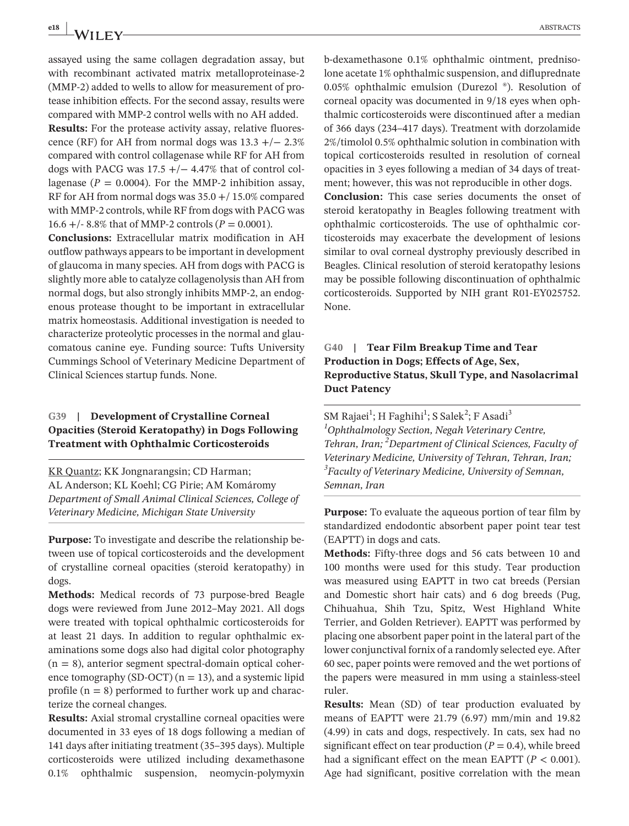assayed using the same collagen degradation assay, but with recombinant activated matrix metalloproteinase-2 (MMP-2) added to wells to allow for measurement of protease inhibition effects. For the second assay, results were compared with MMP-2 control wells with no AH added.

**Results:** For the protease activity assay, relative fluorescence (RF) for AH from normal dogs was  $13.3 +/- 2.3\%$ compared with control collagenase while RF for AH from dogs with PACG was  $17.5 +/- 4.47\%$  that of control collagenase ( $P = 0.0004$ ). For the MMP-2 inhibition assay, RF for AH from normal dogs was 35.0 +/ 15.0% compared with MMP-2 controls, while RF from dogs with PACG was 16.6 +/- 8.8% that of MMP-2 controls ( $P = 0.0001$ ).

**Conclusions:** Extracellular matrix modification in AH outflow pathways appears to be important in development of glaucoma in many species. AH from dogs with PACG is slightly more able to catalyze collagenolysis than AH from normal dogs, but also strongly inhibits MMP-2, an endogenous protease thought to be important in extracellular matrix homeostasis. Additional investigation is needed to characterize proteolytic processes in the normal and glaucomatous canine eye. Funding source: Tufts University Cummings School of Veterinary Medicine Department of Clinical Sciences startup funds. None.

#### **G39 | Development of Crystalline Corneal Opacities (Steroid Keratopathy) in Dogs Following Treatment with Ophthalmic Corticosteroids**

KR Quantz; KK Jongnarangsin; CD Harman; AL Anderson; KL Koehl; CG Pirie; AM Komáromy *Department of Small Animal Clinical Sciences, College of Veterinary Medicine, Michigan State University*

**Purpose:** To investigate and describe the relationship between use of topical corticosteroids and the development of crystalline corneal opacities (steroid keratopathy) in dogs.

**Methods:** Medical records of 73 purpose-bred Beagle dogs were reviewed from June 2012–May 2021. All dogs were treated with topical ophthalmic corticosteroids for at least 21 days. In addition to regular ophthalmic examinations some dogs also had digital color photography  $(n = 8)$ , anterior segment spectral-domain optical coherence tomography (SD-OCT) ( $n = 13$ ), and a systemic lipid profile  $(n = 8)$  performed to further work up and characterize the corneal changes.

**Results:** Axial stromal crystalline corneal opacities were documented in 33 eyes of 18 dogs following a median of 141 days after initiating treatment (35–395 days). Multiple corticosteroids were utilized including dexamethasone 0.1% ophthalmic suspension, neomycin-polymyxin b-dexamethasone 0.1% ophthalmic ointment, prednisolone acetate 1% ophthalmic suspension, and difluprednate 0.05% ophthalmic emulsion (Durezol ®). Resolution of corneal opacity was documented in 9/18 eyes when ophthalmic corticosteroids were discontinued after a median of 366 days (234–417 days). Treatment with dorzolamide 2%/timolol 0.5% ophthalmic solution in combination with topical corticosteroids resulted in resolution of corneal opacities in 3 eyes following a median of 34 days of treatment; however, this was not reproducible in other dogs.

**Conclusion:** This case series documents the onset of steroid keratopathy in Beagles following treatment with ophthalmic corticosteroids. The use of ophthalmic corticosteroids may exacerbate the development of lesions similar to oval corneal dystrophy previously described in Beagles. Clinical resolution of steroid keratopathy lesions may be possible following discontinuation of ophthalmic corticosteroids. Supported by NIH grant R01-EY025752. None.

# **G40 | Tear Film Breakup Time and Tear Production in Dogs; Effects of Age, Sex, Reproductive Status, Skull Type, and Nasolacrimal Duct Patency**

SM Rajaei<sup>1</sup>; H Faghihi<sup>1</sup>; S Salek<sup>2</sup>; F Asadi<sup>3</sup> *1 Ophthalmology Section, Negah Veterinary Centre, Tehran, Iran; <sup>2</sup> Department of Clinical Sciences, Faculty of Veterinary Medicine, University of Tehran, Tehran, Iran; 3 Faculty of Veterinary Medicine, University of Semnan, Semnan, Iran*

**Purpose:** To evaluate the aqueous portion of tear film by standardized endodontic absorbent paper point tear test (EAPTT) in dogs and cats.

**Methods:** Fifty-three dogs and 56 cats between 10 and 100 months were used for this study. Tear production was measured using EAPTT in two cat breeds (Persian and Domestic short hair cats) and 6 dog breeds (Pug, Chihuahua, Shih Tzu, Spitz, West Highland White Terrier, and Golden Retriever). EAPTT was performed by placing one absorbent paper point in the lateral part of the lower conjunctival fornix of a randomly selected eye. After 60 sec, paper points were removed and the wet portions of the papers were measured in mm using a stainless-steel ruler.

**Results:** Mean (SD) of tear production evaluated by means of EAPTT were 21.79 (6.97) mm/min and 19.82 (4.99) in cats and dogs, respectively. In cats, sex had no significant effect on tear production  $(P = 0.4)$ , while breed had a significant effect on the mean EAPTT  $(P < 0.001)$ . Age had significant, positive correlation with the mean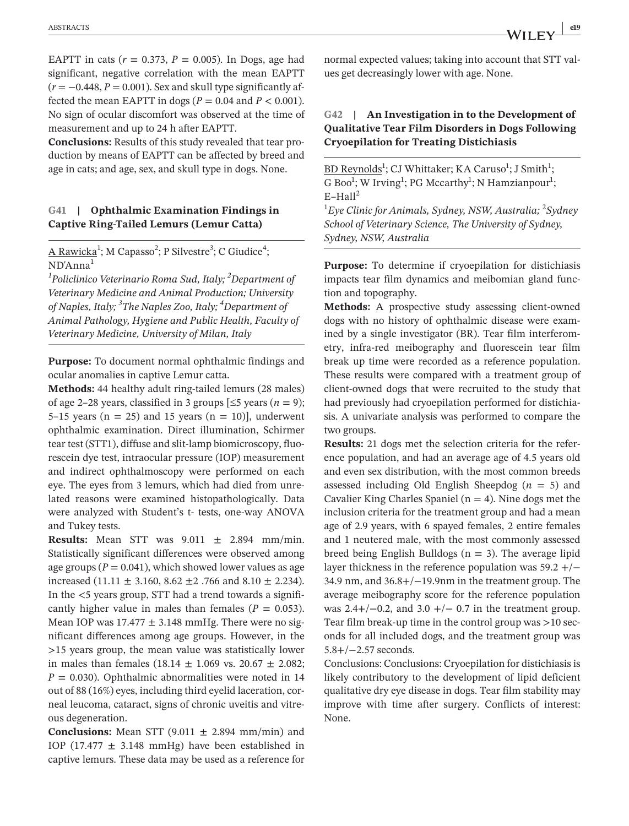EAPTT in cats  $(r = 0.373, P = 0.005)$ . In Dogs, age had significant, negative correlation with the mean EAPTT  $(r = -0.448, P = 0.001)$ . Sex and skull type significantly affected the mean EAPTT in dogs ( $P = 0.04$  and  $P < 0.001$ ). No sign of ocular discomfort was observed at the time of measurement and up to 24 h after EAPTT.

**Conclusions:** Results of this study revealed that tear production by means of EAPTT can be affected by breed and age in cats; and age, sex, and skull type in dogs. None.

#### **G41 | Ophthalmic Examination Findings in Captive Ring-Tailed Lemurs (Lemur Catta)**

A Rawicka<sup>1</sup>; M Capasso<sup>2</sup>; P Silvestre<sup>3</sup>; C Giudice<sup>4</sup>; ND'Anna1

*1 Policlinico Veterinario Roma Sud, Italy; <sup>2</sup> Department of Veterinary Medicine and Animal Production; University of Naples, Italy; 3 The Naples Zoo, Italy; 4 Department of Animal Pathology, Hygiene and Public Health, Faculty of Veterinary Medicine, University of Milan, Italy*

**Purpose:** To document normal ophthalmic findings and ocular anomalies in captive Lemur catta.

**Methods:** 44 healthy adult ring-tailed lemurs (28 males) of age 2–28 years, classified in 3 groups  $\leq$  5 years (*n* = 9); 5–15 years ( $n = 25$ ) and 15 years ( $n = 10$ ), underwent ophthalmic examination. Direct illumination, Schirmer tear test (STT1), diffuse and slit-lamp biomicroscopy, fluorescein dye test, intraocular pressure (IOP) measurement and indirect ophthalmoscopy were performed on each eye. The eyes from 3 lemurs, which had died from unrelated reasons were examined histopathologically. Data were analyzed with Student's t- tests, one-way ANOVA and Tukey tests.

**Results:** Mean STT was  $9.011 \pm 2.894$  mm/min. Statistically significant differences were observed among age groups ( $P = 0.041$ ), which showed lower values as age increased  $(11.11 \pm 3.160, 8.62 \pm 2.766$  and  $8.10 \pm 2.234)$ . In the <5 years group, STT had a trend towards a significantly higher value in males than females ( $P = 0.053$ ). Mean IOP was  $17.477 \pm 3.148$  mmHg. There were no significant differences among age groups. However, in the >15 years group, the mean value was statistically lower in males than females  $(18.14 \pm 1.069 \text{ vs. } 20.67 \pm 2.082)$ ;  $P = 0.030$ . Ophthalmic abnormalities were noted in 14 out of 88 (16%) eyes, including third eyelid laceration, corneal leucoma, cataract, signs of chronic uveitis and vitreous degeneration.

**Conclusions:** Mean STT  $(9.011 \pm 2.894 \text{ mm/min})$  and IOP (17.477  $\pm$  3.148 mmHg) have been established in captive lemurs. These data may be used as a reference for

normal expected values; taking into account that STT values get decreasingly lower with age. None.

#### **G42 | An Investigation in to the Development of Qualitative Tear Film Disorders in Dogs Following Cryoepilation for Treating Distichiasis**

BD Reynolds<sup>1</sup>; CJ Whittaker; KA Caruso<sup>1</sup>; J Smith<sup>1</sup>; G Boo<sup>1</sup>; W Irving<sup>1</sup>; PG Mccarthy<sup>1</sup>; N Hamzianpour<sup>1</sup>;  $E$ –Hall<sup>2</sup>

<sup>1</sup> Eye Clinic for Animals, Sydney, NSW, Australia; <sup>2</sup>Sydney *School of Veterinary Science, The University of Sydney, Sydney, NSW, Australia*

**Purpose:** To determine if cryoepilation for distichiasis impacts tear film dynamics and meibomian gland function and topography.

**Methods:** A prospective study assessing client-owned dogs with no history of ophthalmic disease were examined by a single investigator (BR). Tear film interferometry, infra-red meibography and fluorescein tear film break up time were recorded as a reference population. These results were compared with a treatment group of client-owned dogs that were recruited to the study that had previously had cryoepilation performed for distichiasis. A univariate analysis was performed to compare the two groups.

**Results:** 21 dogs met the selection criteria for the reference population, and had an average age of 4.5 years old and even sex distribution, with the most common breeds assessed including Old English Sheepdog  $(n = 5)$  and Cavalier King Charles Spaniel ( $n = 4$ ). Nine dogs met the inclusion criteria for the treatment group and had a mean age of 2.9 years, with 6 spayed females, 2 entire females and 1 neutered male, with the most commonly assessed breed being English Bulldogs ( $n = 3$ ). The average lipid layer thickness in the reference population was 59.2 +/− 34.9 nm, and 36.8+/−19.9nm in the treatment group. The average meibography score for the reference population was  $2.4+/-0.2$ , and  $3.0+/-0.7$  in the treatment group. Tear film break-up time in the control group was >10 seconds for all included dogs, and the treatment group was 5.8+/−2.57 seconds.

Conclusions: Conclusions: Cryoepilation for distichiasis is likely contributory to the development of lipid deficient qualitative dry eye disease in dogs. Tear film stability may improve with time after surgery. Conflicts of interest: None.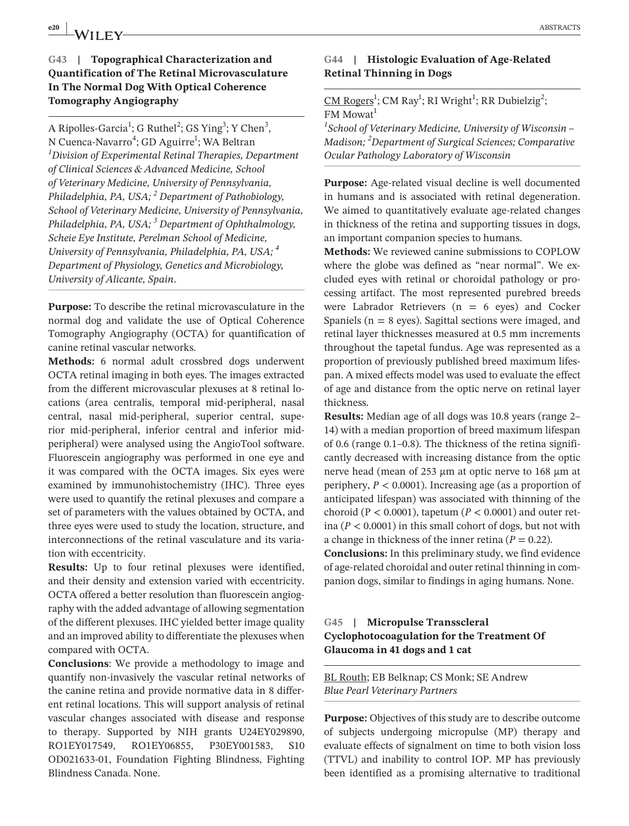# **G43 | Topographical Characterization and Quantification of The Retinal Microvasculature In The Normal Dog With Optical Coherence Tomography Angiography**

A Ripolles-Garcia<sup>1</sup>; G Ruthel<sup>2</sup>; GS Ying<sup>3</sup>; Y Chen<sup>3</sup>, N Cuenca-Navarro<sup>4</sup>; GD Aguirre<sup>1</sup>; WA Beltran *1 Division of Experimental Retinal Therapies, Department of Clinical Sciences & Advanced Medicine, School of Veterinary Medicine, University of Pennsylvania, Philadelphia, PA, USA; <sup>2</sup> Department of Pathobiology, School of Veterinary Medicine, University of Pennsylvania, Philadelphia, PA, USA; 3 Department of Ophthalmology, Scheie Eye Institute, Perelman School of Medicine, University of Pennsylvania, Philadelphia, PA, USA; 4 Department of Physiology, Genetics and Microbiology, University of Alicante, Spain*.

**Purpose:** To describe the retinal microvasculature in the normal dog and validate the use of Optical Coherence Tomography Angiography (OCTA) for quantification of canine retinal vascular networks.

**Methods:** 6 normal adult crossbred dogs underwent OCTA retinal imaging in both eyes. The images extracted from the different microvascular plexuses at 8 retinal locations (area centralis, temporal mid-peripheral, nasal central, nasal mid-peripheral, superior central, superior mid-peripheral, inferior central and inferior midperipheral) were analysed using the AngioTool software. Fluorescein angiography was performed in one eye and it was compared with the OCTA images. Six eyes were examined by immunohistochemistry (IHC). Three eyes were used to quantify the retinal plexuses and compare a set of parameters with the values obtained by OCTA, and three eyes were used to study the location, structure, and interconnections of the retinal vasculature and its variation with eccentricity.

**Results:** Up to four retinal plexuses were identified, and their density and extension varied with eccentricity. OCTA offered a better resolution than fluorescein angiography with the added advantage of allowing segmentation of the different plexuses. IHC yielded better image quality and an improved ability to differentiate the plexuses when compared with OCTA.

**Conclusions**: We provide a methodology to image and quantify non-invasively the vascular retinal networks of the canine retina and provide normative data in 8 different retinal locations. This will support analysis of retinal vascular changes associated with disease and response to therapy. Supported by NIH grants U24EY029890, RO1EY017549, RO1EY06855, P30EY001583, S10 OD021633-01, Foundation Fighting Blindness, Fighting Blindness Canada. None.

#### **G44 | Histologic Evaluation of Age-Related Retinal Thinning in Dogs**

 $CM Rogers<sup>1</sup>$ ; CM Ray<sup>1</sup>; RI Wright<sup>1</sup>; RR Dubielzig<sup>2</sup>;  $FM$  Mowat<sup>1</sup>

*1 School of Veterinary Medicine, University of Wisconsin – Madison; 2 Department of Surgical Sciences; Comparative Ocular Pathology Laboratory of Wisconsin*

**Purpose:** Age-related visual decline is well documented in humans and is associated with retinal degeneration. We aimed to quantitatively evaluate age-related changes in thickness of the retina and supporting tissues in dogs, an important companion species to humans.

**Methods:** We reviewed canine submissions to COPLOW where the globe was defined as "near normal". We excluded eyes with retinal or choroidal pathology or processing artifact. The most represented purebred breeds were Labrador Retrievers ( $n = 6$  eyes) and Cocker Spaniels ( $n = 8$  eyes). Sagittal sections were imaged, and retinal layer thicknesses measured at 0.5 mm increments throughout the tapetal fundus. Age was represented as a proportion of previously published breed maximum lifespan. A mixed effects model was used to evaluate the effect of age and distance from the optic nerve on retinal layer thickness.

**Results:** Median age of all dogs was 10.8 years (range 2– 14) with a median proportion of breed maximum lifespan of 0.6 (range 0.1–0.8). The thickness of the retina significantly decreased with increasing distance from the optic nerve head (mean of 253 µm at optic nerve to 168 µm at periphery, *P* < 0.0001). Increasing age (as a proportion of anticipated lifespan) was associated with thinning of the choroid ( $P < 0.0001$ ), tapetum ( $P < 0.0001$ ) and outer retina ( $P < 0.0001$ ) in this small cohort of dogs, but not with a change in thickness of the inner retina ( $P = 0.22$ ).

**Conclusions:** In this preliminary study, we find evidence of age-related choroidal and outer retinal thinning in companion dogs, similar to findings in aging humans. None.

#### **G45 | Micropulse Transscleral Cyclophotocoagulation for the Treatment Of Glaucoma in 41 dogs and 1 cat**

BL Routh; EB Belknap; CS Monk; SE Andrew *Blue Pearl Veterinary Partners*

**Purpose:** Objectives of this study are to describe outcome of subjects undergoing micropulse (MP) therapy and evaluate effects of signalment on time to both vision loss (TTVL) and inability to control IOP. MP has previously been identified as a promising alternative to traditional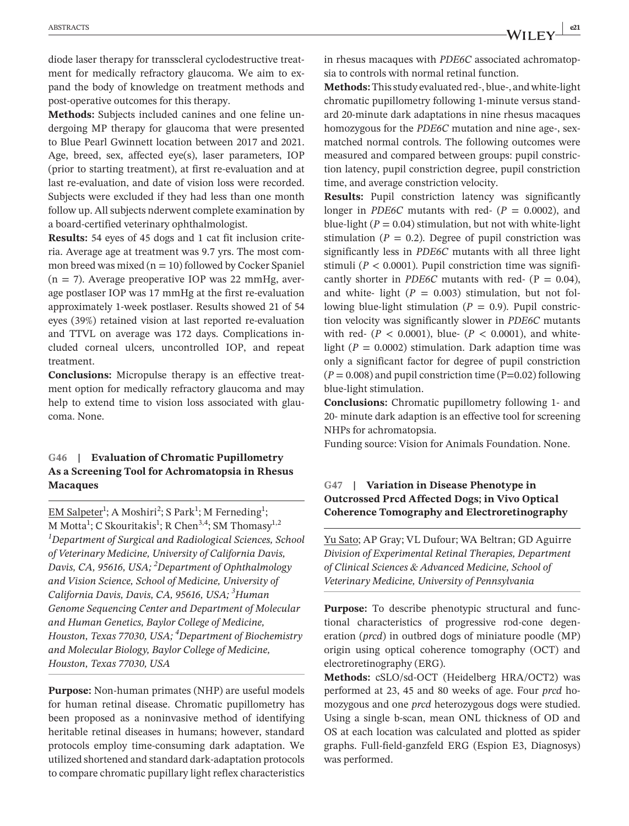diode laser therapy for transscleral cyclodestructive treatment for medically refractory glaucoma. We aim to expand the body of knowledge on treatment methods and post-operative outcomes for this therapy.

**Methods:** Subjects included canines and one feline undergoing MP therapy for glaucoma that were presented to Blue Pearl Gwinnett location between 2017 and 2021. Age, breed, sex, affected eye(s), laser parameters, IOP (prior to starting treatment), at first re-evaluation and at last re-evaluation, and date of vision loss were recorded. Subjects were excluded if they had less than one month follow up. All subjects nderwent complete examination by a board-certified veterinary ophthalmologist.

**Results:** 54 eyes of 45 dogs and 1 cat fit inclusion criteria. Average age at treatment was 9.7 yrs. The most common breed was mixed  $(n = 10)$  followed by Cocker Spaniel  $(n = 7)$ . Average preoperative IOP was 22 mmHg, average postlaser IOP was 17 mmHg at the first re-evaluation approximately 1-week postlaser. Results showed 21 of 54 eyes (39%) retained vision at last reported re-evaluation and TTVL on average was 172 days. Complications included corneal ulcers, uncontrolled IOP, and repeat treatment.

**Conclusions:** Micropulse therapy is an effective treatment option for medically refractory glaucoma and may help to extend time to vision loss associated with glaucoma. None.

#### **G46 | Evaluation of Chromatic Pupillometry As a Screening Tool for Achromatopsia in Rhesus Macaques**

EM Salpeter<sup>1</sup>; A Moshiri<sup>2</sup>; S Park<sup>1</sup>; M Ferneding<sup>1</sup>; M Motta $^1$ ; C Skouritakis $^1$ ; R Chen $^{3,4}$ ; SM Thomasy $^{1,2}$ *1 Department of Surgical and Radiological Sciences, School of Veterinary Medicine, University of California Davis, Davis, CA, 95616, USA; <sup>2</sup> Department of Ophthalmology and Vision Science, School of Medicine, University of California Davis, Davis, CA, 95616, USA; <sup>3</sup> Human Genome Sequencing Center and Department of Molecular and Human Genetics, Baylor College of Medicine, Houston, Texas 77030, USA; <sup>4</sup> Department of Biochemistry and Molecular Biology, Baylor College of Medicine, Houston, Texas 77030, USA*

**Purpose:** Non-human primates (NHP) are useful models for human retinal disease. Chromatic pupillometry has been proposed as a noninvasive method of identifying heritable retinal diseases in humans; however, standard protocols employ time-consuming dark adaptation. We utilized shortened and standard dark-adaptation protocols to compare chromatic pupillary light reflex characteristics

in rhesus macaques with *PDE6C* associated achromatopsia to controls with normal retinal function.

**Methods:** This study evaluated red-, blue-, and white-light chromatic pupillometry following 1-minute versus standard 20-minute dark adaptations in nine rhesus macaques homozygous for the *PDE6C* mutation and nine age-, sexmatched normal controls. The following outcomes were measured and compared between groups: pupil constriction latency, pupil constriction degree, pupil constriction time, and average constriction velocity.

**Results:** Pupil constriction latency was significantly longer in *PDE6C* mutants with red-  $(P = 0.0002)$ , and blue-light  $(P = 0.04)$  stimulation, but not with white-light stimulation ( $P = 0.2$ ). Degree of pupil constriction was significantly less in *PDE6C* mutants with all three light stimuli ( $P < 0.0001$ ). Pupil constriction time was significantly shorter in *PDE6C* mutants with red-  $(P = 0.04)$ , and white- light  $(P = 0.003)$  stimulation, but not following blue-light stimulation ( $P = 0.9$ ). Pupil constriction velocity was significantly slower in *PDE6C* mutants with red-  $(P < 0.0001)$ , blue-  $(P < 0.0001)$ , and whitelight ( $P = 0.0002$ ) stimulation. Dark adaption time was only a significant factor for degree of pupil constriction  $(P = 0.008)$  and pupil constriction time  $(P=0.02)$  following blue-light stimulation.

**Conclusions:** Chromatic pupillometry following 1- and 20- minute dark adaption is an effective tool for screening NHPs for achromatopsia.

Funding source: Vision for Animals Foundation. None.

# **G47 | Variation in Disease Phenotype in Outcrossed Prcd Affected Dogs; in Vivo Optical Coherence Tomography and Electroretinography**

Yu Sato; AP Gray; VL Dufour; WA Beltran; GD Aguirre *Division of Experimental Retinal Therapies, Department of Clinical Sciences & Advanced Medicine, School of Veterinary Medicine, University of Pennsylvania*

**Purpose:** To describe phenotypic structural and functional characteristics of progressive rod-cone degeneration (*prcd*) in outbred dogs of miniature poodle (MP) origin using optical coherence tomography (OCT) and electroretinography (ERG).

**Methods:** cSLO/sd-OCT (Heidelberg HRA/OCT2) was performed at 23, 45 and 80 weeks of age. Four *prcd* homozygous and one *prcd* heterozygous dogs were studied. Using a single b-scan, mean ONL thickness of OD and OS at each location was calculated and plotted as spider graphs. Full-field-ganzfeld ERG (Espion E3, Diagnosys) was performed.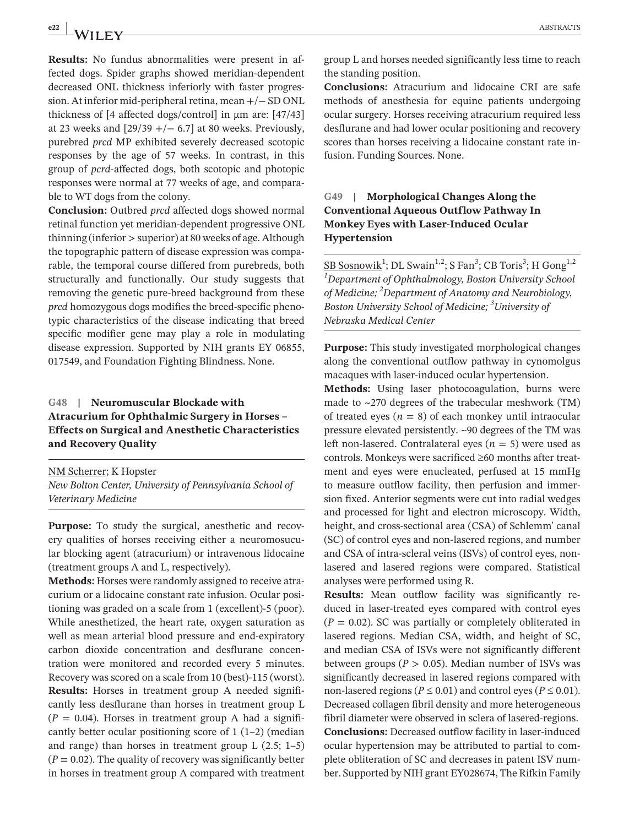**e22 | ABSTRACTS ABSTRACTS** 

**Results:** No fundus abnormalities were present in affected dogs. Spider graphs showed meridian-dependent decreased ONL thickness inferiorly with faster progression. At inferior mid-peripheral retina, mean +/− SD ONL thickness of  $[4$  affected dogs/control] in  $\mu$ m are:  $[47/43]$ at 23 weeks and  $[29/39 + (-6.7]$  at 80 weeks. Previously, purebred *prcd* MP exhibited severely decreased scotopic responses by the age of 57 weeks. In contrast, in this group of *pcrd*-affected dogs, both scotopic and photopic responses were normal at 77 weeks of age, and comparable to WT dogs from the colony.

**Conclusion:** Outbred *prcd* affected dogs showed normal retinal function yet meridian-dependent progressive ONL thinning (inferior > superior) at 80 weeks of age. Although the topographic pattern of disease expression was comparable, the temporal course differed from purebreds, both structurally and functionally. Our study suggests that removing the genetic pure-breed background from these *prcd* homozygous dogs modifies the breed-specific phenotypic characteristics of the disease indicating that breed specific modifier gene may play a role in modulating disease expression. Supported by NIH grants EY 06855, 017549, and Foundation Fighting Blindness. None.

# **G48 | Neuromuscular Blockade with Atracurium for Ophthalmic Surgery in Horses – Effects on Surgical and Anesthetic Characteristics and Recovery Quality**

NM Scherrer; K Hopster *New Bolton Center, University of Pennsylvania School of Veterinary Medicine*

**Purpose:** To study the surgical, anesthetic and recovery qualities of horses receiving either a neuromosucular blocking agent (atracurium) or intravenous lidocaine (treatment groups A and L, respectively).

**Methods:** Horses were randomly assigned to receive atracurium or a lidocaine constant rate infusion. Ocular positioning was graded on a scale from 1 (excellent)-5 (poor). While anesthetized, the heart rate, oxygen saturation as well as mean arterial blood pressure and end-expiratory carbon dioxide concentration and desflurane concentration were monitored and recorded every 5 minutes. Recovery was scored on a scale from 10 (best)-115 (worst). **Results:** Horses in treatment group A needed significantly less desflurane than horses in treatment group L  $(P = 0.04)$ . Horses in treatment group A had a significantly better ocular positioning score of  $1(1-2)$  (median and range) than horses in treatment group  $L$  (2.5; 1–5)  $(P = 0.02)$ . The quality of recovery was significantly better in horses in treatment group A compared with treatment group L and horses needed significantly less time to reach the standing position.

**Conclusions:** Atracurium and lidocaine CRI are safe methods of anesthesia for equine patients undergoing ocular surgery. Horses receiving atracurium required less desflurane and had lower ocular positioning and recovery scores than horses receiving a lidocaine constant rate infusion. Funding Sources. None.

# **G49 | Morphological Changes Along the Conventional Aqueous Outflow Pathway In Monkey Eyes with Laser-Induced Ocular Hypertension**

<u>SB Sosnowik<sup>1</sup>; DL Swain<sup>1,2</sup>; S Fan<sup>3</sup>; CB Toris<sup>3</sup>; H Gong<sup>1,2</sup></u> *1 Department of Ophthalmology, Boston University School of Medicine; 2 Department of Anatomy and Neurobiology, Boston University School of Medicine; 3 University of Nebraska Medical Center*

**Purpose:** This study investigated morphological changes along the conventional outflow pathway in cynomolgus macaques with laser-induced ocular hypertension.

**Methods:** Using laser photocoagulation, burns were made to  $\sim$ 270 degrees of the trabecular meshwork (TM) of treated eyes  $(n = 8)$  of each monkey until intraocular pressure elevated persistently. ~90 degrees of the TM was left non-lasered. Contralateral eyes (*n* = 5) were used as controls. Monkeys were sacrificed ≥60 months after treatment and eyes were enucleated, perfused at 15 mmHg to measure outflow facility, then perfusion and immersion fixed. Anterior segments were cut into radial wedges and processed for light and electron microscopy. Width, height, and cross-sectional area (CSA) of Schlemm' canal (SC) of control eyes and non-lasered regions, and number and CSA of intra-scleral veins (ISVs) of control eyes, nonlasered and lasered regions were compared. Statistical analyses were performed using R.

**Results:** Mean outflow facility was significantly reduced in laser-treated eyes compared with control eyes  $(P = 0.02)$ . SC was partially or completely obliterated in lasered regions. Median CSA, width, and height of SC, and median CSA of ISVs were not significantly different between groups ( $P > 0.05$ ). Median number of ISVs was significantly decreased in lasered regions compared with non-lasered regions ( $P \le 0.01$ ) and control eyes ( $P \le 0.01$ ). Decreased collagen fibril density and more heterogeneous fibril diameter were observed in sclera of lasered-regions. **Conclusions:** Decreased outflow facility in laser-induced ocular hypertension may be attributed to partial to complete obliteration of SC and decreases in patent ISV number. Supported by NIH grant EY028674, The Rifkin Family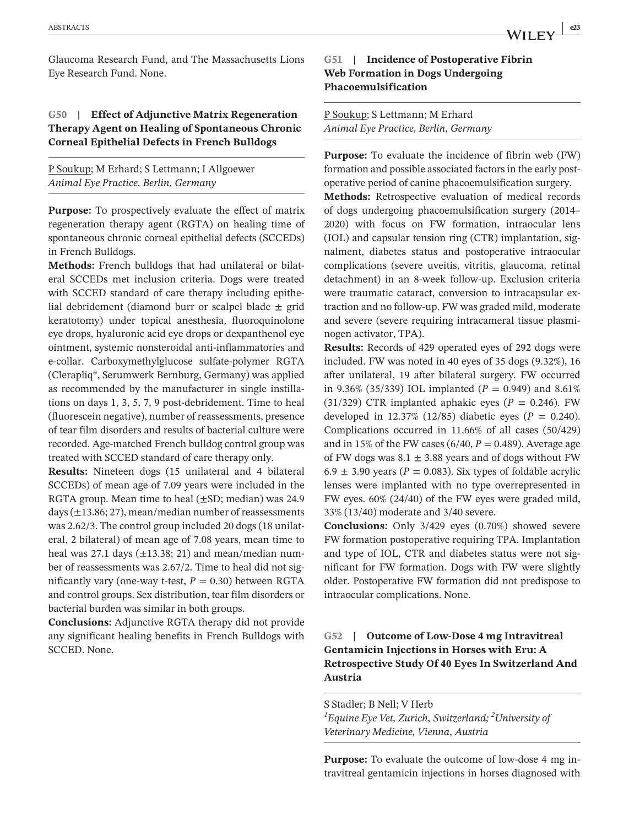Glaucoma Research Fund, and The Massachusetts Lions Eye Research Fund. None.

#### **G50 | Effect of Adjunctive Matrix Regeneration Therapy Agent on Healing of Spontaneous Chronic Corneal Epithelial Defects in French Bulldogs**

P Soukup; M Erhard; S Lettmann; I Allgoewer *Animal Eye Practice, Berlin, Germany*

**Purpose:** To prospectively evaluate the effect of matrix regeneration therapy agent (RGTA) on healing time of spontaneous chronic corneal epithelial defects (SCCEDs) in French Bulldogs.

**Methods:** French bulldogs that had unilateral or bilateral SCCEDs met inclusion criteria. Dogs were treated with SCCED standard of care therapy including epithelial debridement (diamond burr or scalpel blade  $\pm$  grid keratotomy) under topical anesthesia, fluoroquinolone eye drops, hyaluronic acid eye drops or dexpanthenol eye ointment, systemic nonsteroidal anti-inflammatories and e-collar. Carboxymethylglucose sulfate-polymer RGTA (Clerapliq®, Serumwerk Bernburg, Germany) was applied as recommended by the manufacturer in single instillations on days 1, 3, 5, 7, 9 post-debridement. Time to heal (fluorescein negative), number of reassessments, presence of tear film disorders and results of bacterial culture were recorded. Age-matched French bulldog control group was treated with SCCED standard of care therapy only.

**Results:** Nineteen dogs (15 unilateral and 4 bilateral SCCEDs) of mean age of 7.09 years were included in the RGTA group. Mean time to heal (±SD; median) was 24.9 days  $(\pm 13.86; 27)$ , mean/median number of reassessments was 2.62/3. The control group included 20 dogs (18 unilateral, 2 bilateral) of mean age of 7.08 years, mean time to heal was 27.1 days  $(\pm 13.38; 21)$  and mean/median number of reassessments was 2.67/2. Time to heal did not significantly vary (one-way t-test,  $P = 0.30$ ) between RGTA and control groups. Sex distribution, tear film disorders or bacterial burden was similar in both groups.

**Conclusions:** Adjunctive RGTA therapy did not provide any significant healing benefits in French Bulldogs with SCCED. None.

#### **G51 | Incidence of Postoperative Fibrin Web Formation in Dogs Undergoing Phacoemulsification**

#### P Soukup; S Lettmann; M Erhard *Animal Eye Practice, Berlin, Germany*

**Purpose:** To evaluate the incidence of fibrin web (FW) formation and possible associated factors in the early postoperative period of canine phacoemulsification surgery.

**Methods:** Retrospective evaluation of medical records of dogs undergoing phacoemulsification surgery (2014– 2020) with focus on FW formation, intraocular lens (IOL) and capsular tension ring (CTR) implantation, signalment, diabetes status and postoperative intraocular complications (severe uveitis, vitritis, glaucoma, retinal detachment) in an 8-week follow-up. Exclusion criteria were traumatic cataract, conversion to intracapsular extraction and no follow-up. FW was graded mild, moderate and severe (severe requiring intracameral tissue plasminogen activator, TPA).

**Results:** Records of 429 operated eyes of 292 dogs were included. FW was noted in 40 eyes of 35 dogs (9.32%), 16 after unilateral, 19 after bilateral surgery. FW occurred in 9.36% (35/339) IOL implanted ( $P = 0.949$ ) and 8.61% (31/329) CTR implanted aphakic eyes ( $P = 0.246$ ). FW developed in 12.37% (12/85) diabetic eyes ( $P = 0.240$ ). Complications occurred in 11.66% of all cases (50/429) and in 15% of the FW cases (6/40, *P* = 0.489). Average age of FW dogs was  $8.1 \pm 3.88$  years and of dogs without FW 6.9  $\pm$  3.90 years ( $P = 0.083$ ). Six types of foldable acrylic lenses were implanted with no type overrepresented in FW eyes. 60% (24/40) of the FW eyes were graded mild, 33% (13/40) moderate and 3/40 severe.

**Conclusions:** Only 3/429 eyes (0.70%) showed severe FW formation postoperative requiring TPA. Implantation and type of IOL, CTR and diabetes status were not significant for FW formation. Dogs with FW were slightly older. Postoperative FW formation did not predispose to intraocular complications. None.

# **G52 | Outcome of Low-Dose 4 mg Intravitreal Gentamicin Injections in Horses with Eru: A Retrospective Study Of 40 Eyes In Switzerland And Austria**

S Stadler; B Nell; V Herb *1 Equine Eye Vet, Zurich, Switzerland; 2 University of Veterinary Medicine, Vienna, Austria*

**Purpose:** To evaluate the outcome of low-dose 4 mg intravitreal gentamicin injections in horses diagnosed with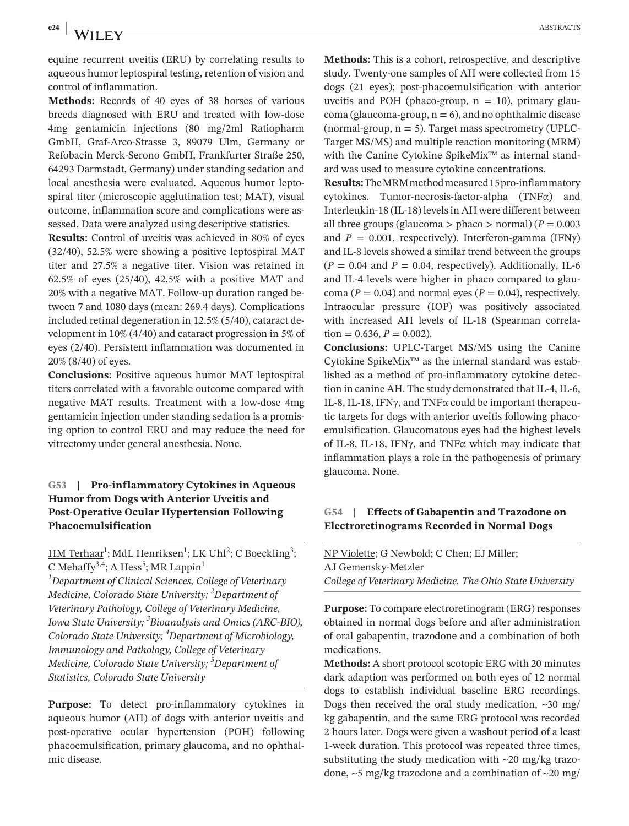equine recurrent uveitis (ERU) by correlating results to aqueous humor leptospiral testing, retention of vision and control of inflammation.

**Methods:** Records of 40 eyes of 38 horses of various breeds diagnosed with ERU and treated with low-dose 4mg gentamicin injections (80 mg/2ml Ratiopharm GmbH, Graf-Arco-Strasse 3, 89079 Ulm, Germany or Refobacin Merck-Serono GmbH, Frankfurter Straße 250, 64293 Darmstadt, Germany) under standing sedation and local anesthesia were evaluated. Aqueous humor leptospiral titer (microscopic agglutination test; MAT), visual outcome, inflammation score and complications were assessed. Data were analyzed using descriptive statistics.

**Results:** Control of uveitis was achieved in 80% of eyes (32/40), 52.5% were showing a positive leptospiral MAT titer and 27.5% a negative titer. Vision was retained in 62.5% of eyes (25/40), 42.5% with a positive MAT and 20% with a negative MAT. Follow-up duration ranged between 7 and 1080 days (mean: 269.4 days). Complications included retinal degeneration in 12.5% (5/40), cataract development in 10% (4/40) and cataract progression in 5% of eyes (2/40). Persistent inflammation was documented in 20% (8/40) of eyes.

**Conclusions:** Positive aqueous humor MAT leptospiral titers correlated with a favorable outcome compared with negative MAT results. Treatment with a low-dose 4mg gentamicin injection under standing sedation is a promising option to control ERU and may reduce the need for vitrectomy under general anesthesia. None.

# **G53 | Pro-inflammatory Cytokines in Aqueous Humor from Dogs with Anterior Uveitis and Post-Operative Ocular Hypertension Following Phacoemulsification**

<u>HM Terhaar</u><sup>1</sup>; MdL Henriksen<sup>1</sup>; LK Uhl<sup>2</sup>; C Boeckling<sup>3</sup>; C Mehaffy<sup>3,4</sup>; A Hess<sup>5</sup>; MR Lappin<sup>1</sup> *1 Department of Clinical Sciences, College of Veterinary Medicine, Colorado State University; 2 Department of Veterinary Pathology, College of Veterinary Medicine, Iowa State University; 3 Bioanalysis and Omics (ARC-BIO), Colorado State University; 4 Department of Microbiology, Immunology and Pathology, College of Veterinary Medicine, Colorado State University; 5 Department of Statistics, Colorado State University*

**Purpose:** To detect pro-inflammatory cytokines in aqueous humor (AH) of dogs with anterior uveitis and post-operative ocular hypertension (POH) following phacoemulsification, primary glaucoma, and no ophthalmic disease.

**Methods:** This is a cohort, retrospective, and descriptive study. Twenty-one samples of AH were collected from 15 dogs (21 eyes); post-phacoemulsification with anterior uveitis and POH (phaco-group,  $n = 10$ ), primary glaucoma (glaucoma-group,  $n = 6$ ), and no ophthalmic disease (normal-group,  $n = 5$ ). Target mass spectrometry (UPLC-Target MS/MS) and multiple reaction monitoring (MRM) with the Canine Cytokine SpikeMix™ as internal standard was used to measure cytokine concentrations.

**Results:** The MRM method measured 15 pro-inflammatory cytokines. Tumor-necrosis-factor-alpha (TNFα) and Interleukin-18 (IL-18) levels in AH were different between all three groups (glaucoma  $>$  phaco  $>$  normal) ( $P = 0.003$ and  $P = 0.001$ , respectively). Interferon-gamma (IFN $\gamma$ ) and IL-8 levels showed a similar trend between the groups  $(P = 0.04$  and  $P = 0.04$ , respectively). Additionally, IL-6 and IL-4 levels were higher in phaco compared to glaucoma ( $P = 0.04$ ) and normal eyes ( $P = 0.04$ ), respectively. Intraocular pressure (IOP) was positively associated with increased AH levels of IL-18 (Spearman correlation =  $0.636$ ,  $P = 0.002$ ).

**Conclusions:** UPLC-Target MS/MS using the Canine Cytokine SpikeMix™ as the internal standard was established as a method of pro-inflammatory cytokine detection in canine AH. The study demonstrated that IL-4, IL-6, IL-8, IL-18, IFNγ, and TNFα could be important therapeutic targets for dogs with anterior uveitis following phacoemulsification. Glaucomatous eyes had the highest levels of IL-8, IL-18, IFNγ, and TNFα which may indicate that inflammation plays a role in the pathogenesis of primary glaucoma. None.

#### **G54 | Effects of Gabapentin and Trazodone on Electroretinograms Recorded in Normal Dogs**

NP Violette; G Newbold; C Chen; EJ Miller; AJ Gemensky-Metzler *College of Veterinary Medicine, The Ohio State University*

**Purpose:** To compare electroretinogram (ERG) responses obtained in normal dogs before and after administration of oral gabapentin, trazodone and a combination of both medications.

**Methods:** A short protocol scotopic ERG with 20 minutes dark adaption was performed on both eyes of 12 normal dogs to establish individual baseline ERG recordings. Dogs then received the oral study medication,  $\sim$ 30 mg/ kg gabapentin, and the same ERG protocol was recorded 2 hours later. Dogs were given a washout period of a least 1-week duration. This protocol was repeated three times, substituting the study medication with  $\sim$ 20 mg/kg trazodone,  $\sim$ 5 mg/kg trazodone and a combination of  $\sim$ 20 mg/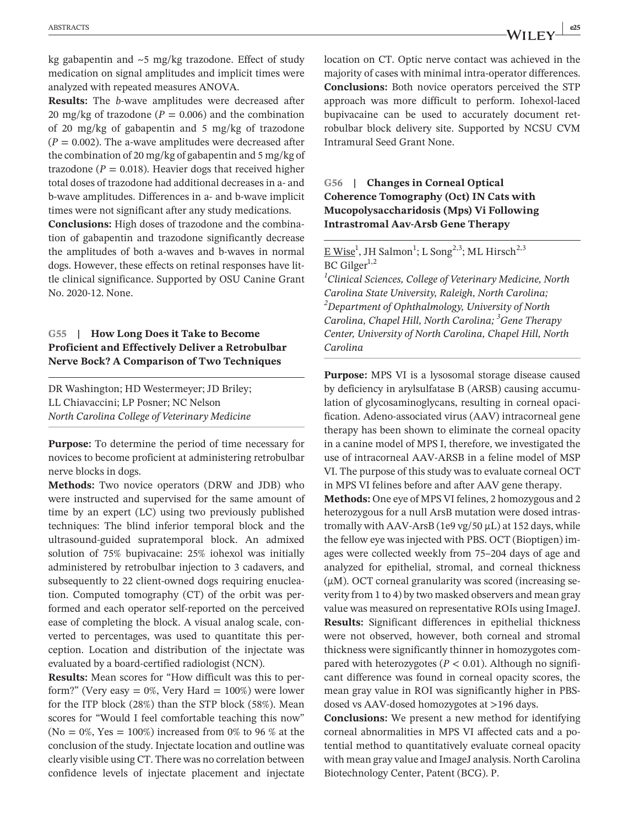kg gabapentin and  $\sim$ 5 mg/kg trazodone. Effect of study medication on signal amplitudes and implicit times were analyzed with repeated measures ANOVA.

**Results:** The *b*-wave amplitudes were decreased after 20 mg/kg of trazodone ( $P = 0.006$ ) and the combination of 20 mg/kg of gabapentin and 5 mg/kg of trazodone  $(P = 0.002)$ . The a-wave amplitudes were decreased after the combination of 20 mg/kg of gabapentin and 5 mg/kg of trazodone ( $P = 0.018$ ). Heavier dogs that received higher total doses of trazodone had additional decreases in a- and b-wave amplitudes. Differences in a- and b-wave implicit times were not significant after any study medications.

**Conclusions:** High doses of trazodone and the combination of gabapentin and trazodone significantly decrease the amplitudes of both a-waves and b-waves in normal dogs. However, these effects on retinal responses have little clinical significance. Supported by OSU Canine Grant No. 2020-12. None.

#### **G55 | How Long Does it Take to Become Proficient and Effectively Deliver a Retrobulbar Nerve Bock? A Comparison of Two Techniques**

DR Washington; HD Westermeyer; JD Briley; LL Chiavaccini; LP Posner; NC Nelson *North Carolina College of Veterinary Medicine*

**Purpose:** To determine the period of time necessary for novices to become proficient at administering retrobulbar nerve blocks in dogs.

**Methods:** Two novice operators (DRW and JDB) who were instructed and supervised for the same amount of time by an expert (LC) using two previously published techniques: The blind inferior temporal block and the ultrasound-guided supratemporal block. An admixed solution of 75% bupivacaine: 25% iohexol was initially administered by retrobulbar injection to 3 cadavers, and subsequently to 22 client-owned dogs requiring enucleation. Computed tomography (CT) of the orbit was performed and each operator self-reported on the perceived ease of completing the block. A visual analog scale, converted to percentages, was used to quantitate this perception. Location and distribution of the injectate was evaluated by a board-certified radiologist (NCN).

**Results:** Mean scores for "How difficult was this to perform?" (Very easy  $= 0\%$ , Very Hard  $= 100\%$ ) were lower for the ITP block (28%) than the STP block (58%). Mean scores for "Would I feel comfortable teaching this now" (No =  $0\%$ , Yes =  $100\%$ ) increased from 0% to 96 % at the conclusion of the study. Injectate location and outline was clearly visible using CT. There was no correlation between confidence levels of injectate placement and injectate location on CT. Optic nerve contact was achieved in the majority of cases with minimal intra-operator differences. **Conclusions:** Both novice operators perceived the STP approach was more difficult to perform. Iohexol-laced bupivacaine can be used to accurately document retrobulbar block delivery site. Supported by NCSU CVM Intramural Seed Grant None.

#### **G56 | Changes in Corneal Optical Coherence Tomography (Oct) IN Cats with Mucopolysaccharidosis (Mps) Vi Following Intrastromal Aav-Arsb Gene Therapy**

 $E \text{ Wise}^1$ , JH Salmon $^1$ ; L Song $^{2,3}$ ; ML Hirsch $^{2,3}$ BC Gilger $^{1,2}$ 

*1 Clinical Sciences, College of Veterinary Medicine, North Carolina State University, Raleigh, North Carolina; 2 Department of Ophthalmology, University of North Carolina, Chapel Hill, North Carolina; <sup>3</sup> Gene Therapy Center, University of North Carolina, Chapel Hill, North Carolina*

**Purpose:** MPS VI is a lysosomal storage disease caused by deficiency in arylsulfatase B (ARSB) causing accumulation of glycosaminoglycans, resulting in corneal opacification. Adeno-associated virus (AAV) intracorneal gene therapy has been shown to eliminate the corneal opacity in a canine model of MPS I, therefore, we investigated the use of intracorneal AAV-ARSB in a feline model of MSP VI. The purpose of this study was to evaluate corneal OCT in MPS VI felines before and after AAV gene therapy.

**Methods:** One eye of MPS VI felines, 2 homozygous and 2 heterozygous for a null ArsB mutation were dosed intrastromally with AAV-ArsB (1e9 vg/50 μL) at 152 days, while the fellow eye was injected with PBS. OCT (Bioptigen) images were collected weekly from 75–204 days of age and analyzed for epithelial, stromal, and corneal thickness  $(\mu M)$ . OCT corneal granularity was scored (increasing severity from 1 to 4) by two masked observers and mean gray value was measured on representative ROIs using ImageJ. **Results:** Significant differences in epithelial thickness were not observed, however, both corneal and stromal thickness were significantly thinner in homozygotes compared with heterozygotes ( $P < 0.01$ ). Although no significant difference was found in corneal opacity scores, the mean gray value in ROI was significantly higher in PBSdosed vs AAV-dosed homozygotes at >196 days.

**Conclusions:** We present a new method for identifying corneal abnormalities in MPS VI affected cats and a potential method to quantitatively evaluate corneal opacity with mean gray value and ImageJ analysis. North Carolina Biotechnology Center, Patent (BCG). P.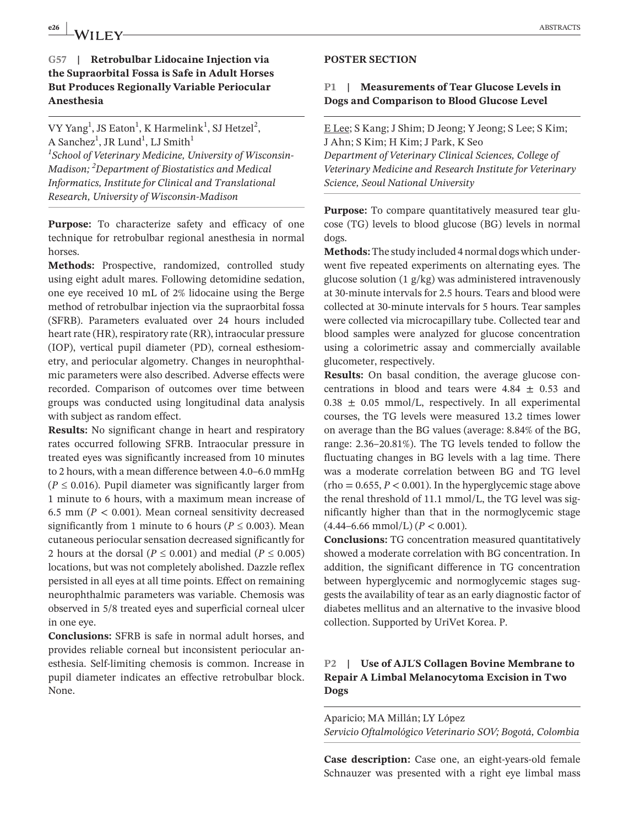# **e26**  $\int \mathbf{A} \mathbf{A} \mathbf{I} \mathbf{I} \mathbf{F} \mathbf{V}$  ABSTRACTS

## **G57 | Retrobulbar Lidocaine Injection via the Supraorbital Fossa is Safe in Adult Horses But Produces Regionally Variable Periocular Anesthesia**

VY Yang<sup>1</sup>, JS Eaton<sup>1</sup>, K Harmelink<sup>1</sup>, SJ Hetzel<sup>2</sup>, A Sanchez<sup>1</sup>, JR Lund<sup>1</sup>, LJ Smith<sup>1</sup> *1 School of Veterinary Medicine, University of Wisconsin-Madison; <sup>2</sup> Department of Biostatistics and Medical Informatics, Institute for Clinical and Translational Research, University of Wisconsin-Madison*

**Purpose:** To characterize safety and efficacy of one technique for retrobulbar regional anesthesia in normal horses.

**Methods:** Prospective, randomized, controlled study using eight adult mares. Following detomidine sedation, one eye received 10 mL of 2% lidocaine using the Berge method of retrobulbar injection via the supraorbital fossa (SFRB). Parameters evaluated over 24 hours included heart rate (HR), respiratory rate (RR), intraocular pressure (IOP), vertical pupil diameter (PD), corneal esthesiometry, and periocular algometry. Changes in neurophthalmic parameters were also described. Adverse effects were recorded. Comparison of outcomes over time between groups was conducted using longitudinal data analysis with subject as random effect.

**Results:** No significant change in heart and respiratory rates occurred following SFRB. Intraocular pressure in treated eyes was significantly increased from 10 minutes to 2 hours, with a mean difference between 4.0–6.0 mmHg  $(P \le 0.016)$ . Pupil diameter was significantly larger from 1 minute to 6 hours, with a maximum mean increase of 6.5 mm ( $P < 0.001$ ). Mean corneal sensitivity decreased significantly from 1 minute to 6 hours ( $P \le 0.003$ ). Mean cutaneous periocular sensation decreased significantly for 2 hours at the dorsal ( $P \le 0.001$ ) and medial ( $P \le 0.005$ ) locations, but was not completely abolished. Dazzle reflex persisted in all eyes at all time points. Effect on remaining neurophthalmic parameters was variable. Chemosis was observed in 5/8 treated eyes and superficial corneal ulcer in one eye.

**Conclusions:** SFRB is safe in normal adult horses, and provides reliable corneal but inconsistent periocular anesthesia. Self-limiting chemosis is common. Increase in pupil diameter indicates an effective retrobulbar block. None.

#### **POSTER SECTION**

#### **P1 | Measurements of Tear Glucose Levels in Dogs and Comparison to Blood Glucose Level**

E Lee; S Kang; J Shim; D Jeong; Y Jeong; S Lee; S Kim; J Ahn; S Kim; H Kim; J Park, K Seo *Department of Veterinary Clinical Sciences, College of Veterinary Medicine and Research Institute for Veterinary Science, Seoul National University*

**Purpose:** To compare quantitatively measured tear glucose (TG) levels to blood glucose (BG) levels in normal dogs.

**Methods:** The study included 4 normal dogs which underwent five repeated experiments on alternating eyes. The glucose solution (1 g/kg) was administered intravenously at 30-minute intervals for 2.5 hours. Tears and blood were collected at 30-minute intervals for 5 hours. Tear samples were collected via microcapillary tube. Collected tear and blood samples were analyzed for glucose concentration using a colorimetric assay and commercially available glucometer, respectively.

**Results:** On basal condition, the average glucose concentrations in blood and tears were  $4.84 \pm 0.53$  and  $0.38 \pm 0.05$  mmol/L, respectively. In all experimental courses, the TG levels were measured 13.2 times lower on average than the BG values (average: 8.84% of the BG, range: 2.36–20.81%). The TG levels tended to follow the fluctuating changes in BG levels with a lag time. There was a moderate correlation between BG and TG level  $(rho = 0.655, P < 0.001)$ . In the hyperglycemic stage above the renal threshold of 11.1 mmol/L, the TG level was significantly higher than that in the normoglycemic stage  $(4.44-6.66$  mmol/L)  $(P < 0.001)$ .

**Conclusions:** TG concentration measured quantitatively showed a moderate correlation with BG concentration. In addition, the significant difference in TG concentration between hyperglycemic and normoglycemic stages suggests the availability of tear as an early diagnostic factor of diabetes mellitus and an alternative to the invasive blood collection. Supported by UriVet Korea. P.

# **P2 | Use of AJL´S Collagen Bovine Membrane to Repair A Limbal Melanocytoma Excision in Two Dogs**

Aparicio; MA Millán; LY López *Servicio Oftalmológico Veterinario SOV; Bogotá, Colombia*

**Case description:** Case one, an eight-years-old female Schnauzer was presented with a right eye limbal mass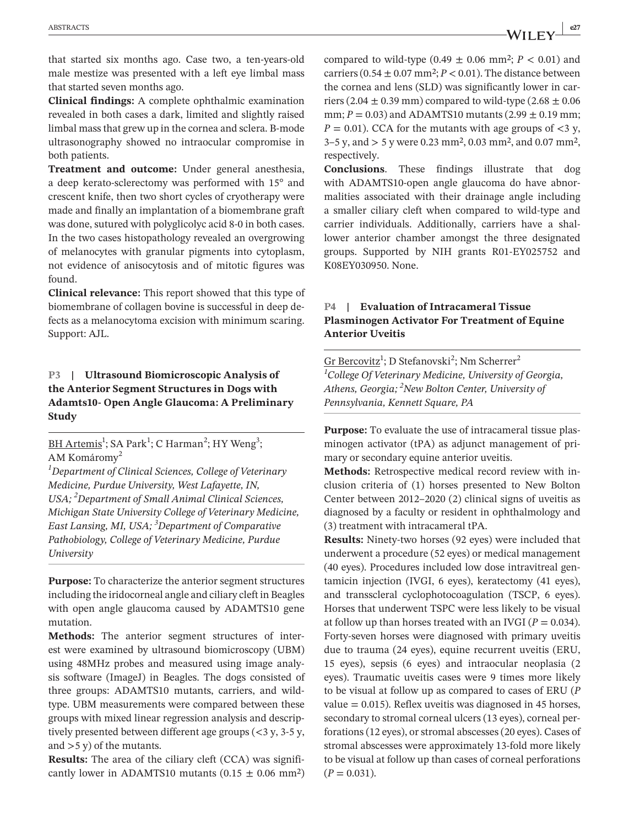that started six months ago. Case two, a ten-years-old male mestize was presented with a left eye limbal mass that started seven months ago.

**Clinical findings:** A complete ophthalmic examination revealed in both cases a dark, limited and slightly raised limbal mass that grew up in the cornea and sclera. B-mode ultrasonography showed no intraocular compromise in both patients.

**Treatment and outcome:** Under general anesthesia, a deep kerato-sclerectomy was performed with 15° and crescent knife, then two short cycles of cryotherapy were made and finally an implantation of a biomembrane graft was done, sutured with polyglicolyc acid 8-0 in both cases. In the two cases histopathology revealed an overgrowing of melanocytes with granular pigments into cytoplasm, not evidence of anisocytosis and of mitotic figures was found.

**Clinical relevance:** This report showed that this type of biomembrane of collagen bovine is successful in deep defects as a melanocytoma excision with minimum scaring. Support: AJL.

## **P3 | Ultrasound Biomicroscopic Analysis of the Anterior Segment Structures in Dogs with Adamts10- Open Angle Glaucoma: A Preliminary Study**

BH Artemis<sup>1</sup>; SA Park<sup>1</sup>; C Harman<sup>2</sup>; HY Weng<sup>3</sup>; AM Komáromy<sup>2</sup>

*1 Department of Clinical Sciences, College of Veterinary Medicine, Purdue University, West Lafayette, IN, USA; <sup>2</sup> Department of Small Animal Clinical Sciences, Michigan State University College of Veterinary Medicine, East Lansing, MI, USA; <sup>3</sup> Department of Comparative Pathobiology, College of Veterinary Medicine, Purdue University*

**Purpose:** To characterize the anterior segment structures including the iridocorneal angle and ciliary cleft in Beagles with open angle glaucoma caused by ADAMTS10 gene mutation.

**Methods:** The anterior segment structures of interest were examined by ultrasound biomicroscopy (UBM) using 48MHz probes and measured using image analysis software (ImageJ) in Beagles. The dogs consisted of three groups: ADAMTS10 mutants, carriers, and wildtype. UBM measurements were compared between these groups with mixed linear regression analysis and descriptively presented between different age groups (<3 y, 3-5 y, and >5 y) of the mutants.

**Results:** The area of the ciliary cleft (CCA) was significantly lower in ADAMTS10 mutants  $(0.15 \pm 0.06 \text{ mm}^2)$  compared to wild-type  $(0.49 \pm 0.06 \text{ mm}^2; P < 0.01)$  and carriers ( $0.54 \pm 0.07$  mm<sup>2</sup>;  $P < 0.01$ ). The distance between the cornea and lens (SLD) was significantly lower in carriers (2.04  $\pm$  0.39 mm) compared to wild-type (2.68  $\pm$  0.06 mm;  $P = 0.03$ ) and ADAMTS10 mutants (2.99  $\pm$  0.19 mm;  $P = 0.01$ ). CCA for the mutants with age groups of  $\langle 3 \rangle$ y, 3–5 y, and > 5 y were 0.23 mm², 0.03 mm², and 0.07 mm², respectively.

**Conclusions**. These findings illustrate that dog with ADAMTS10-open angle glaucoma do have abnormalities associated with their drainage angle including a smaller ciliary cleft when compared to wild-type and carrier individuals. Additionally, carriers have a shallower anterior chamber amongst the three designated groups. Supported by NIH grants R01-EY025752 and K08EY030950. None.

# **P4 | Evaluation of Intracameral Tissue Plasminogen Activator For Treatment of Equine Anterior Uveitis**

Gr Bercovitz<sup>1</sup>; D Stefanovski<sup>2</sup>; Nm Scherrer<sup>2</sup> *1 College Of Veterinary Medicine, University of Georgia, Athens, Georgia; 2 New Bolton Center, University of Pennsylvania, Kennett Square, PA*

**Purpose:** To evaluate the use of intracameral tissue plasminogen activator (tPA) as adjunct management of primary or secondary equine anterior uveitis.

**Methods:** Retrospective medical record review with inclusion criteria of (1) horses presented to New Bolton Center between 2012–2020 (2) clinical signs of uveitis as diagnosed by a faculty or resident in ophthalmology and (3) treatment with intracameral tPA.

**Results:** Ninety-two horses (92 eyes) were included that underwent a procedure (52 eyes) or medical management (40 eyes). Procedures included low dose intravitreal gentamicin injection (IVGI, 6 eyes), keratectomy (41 eyes), and transscleral cyclophotocoagulation (TSCP, 6 eyes). Horses that underwent TSPC were less likely to be visual at follow up than horses treated with an IVGI ( $P = 0.034$ ). Forty-seven horses were diagnosed with primary uveitis due to trauma (24 eyes), equine recurrent uveitis (ERU, 15 eyes), sepsis (6 eyes) and intraocular neoplasia (2 eyes). Traumatic uveitis cases were 9 times more likely to be visual at follow up as compared to cases of ERU (*P* value  $= 0.015$ ). Reflex uveitis was diagnosed in 45 horses, secondary to stromal corneal ulcers (13 eyes), corneal perforations (12 eyes), or stromal abscesses (20 eyes). Cases of stromal abscesses were approximately 13-fold more likely to be visual at follow up than cases of corneal perforations  $(P = 0.031)$ .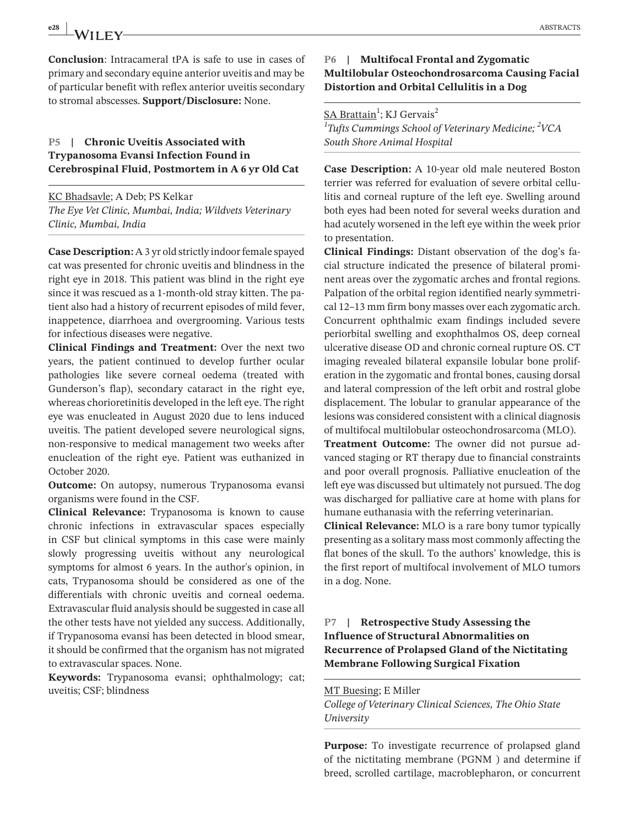**Conclusion**: Intracameral tPA is safe to use in cases of primary and secondary equine anterior uveitis and may be of particular benefit with reflex anterior uveitis secondary to stromal abscesses. **Support/Disclosure:** None.

#### **P5 | Chronic Uveitis Associated with Trypanosoma Evansi Infection Found in Cerebrospinal Fluid, Postmortem in A 6 yr Old Cat**

KC Bhadsavle; A Deb; PS Kelkar *The Eye Vet Clinic, Mumbai, India; Wildvets Veterinary Clinic, Mumbai, India*

**Case Description:** A 3 yr old strictly indoor female spayed cat was presented for chronic uveitis and blindness in the right eye in 2018. This patient was blind in the right eye since it was rescued as a 1-month-old stray kitten. The patient also had a history of recurrent episodes of mild fever, inappetence, diarrhoea and overgrooming. Various tests for infectious diseases were negative.

**Clinical Findings and Treatment:** Over the next two years, the patient continued to develop further ocular pathologies like severe corneal oedema (treated with Gunderson's flap), secondary cataract in the right eye, whereas chorioretinitis developed in the left eye. The right eye was enucleated in August 2020 due to lens induced uveitis. The patient developed severe neurological signs, non-responsive to medical management two weeks after enucleation of the right eye. Patient was euthanized in October 2020.

**Outcome:** On autopsy, numerous Trypanosoma evansi organisms were found in the CSF.

**Clinical Relevance:** Trypanosoma is known to cause chronic infections in extravascular spaces especially in CSF but clinical symptoms in this case were mainly slowly progressing uveitis without any neurological symptoms for almost 6 years. In the author's opinion, in cats, Trypanosoma should be considered as one of the differentials with chronic uveitis and corneal oedema. Extravascular fluid analysis should be suggested in case all the other tests have not yielded any success. Additionally, if Trypanosoma evansi has been detected in blood smear, it should be confirmed that the organism has not migrated to extravascular spaces. None.

**Keywords:** Trypanosoma evansi; ophthalmology; cat; uveitis; CSF; blindness

#### **P6 | Multifocal Frontal and Zygomatic Multilobular Osteochondrosarcoma Causing Facial Distortion and Orbital Cellulitis in a Dog**

<u>SA Brattain</u><sup>1</sup>; KJ Gervais<sup>2</sup>

*1 Tufts Cummings School of Veterinary Medicine; <sup>2</sup> VCA South Shore Animal Hospital*

**Case Description:** A 10-year old male neutered Boston terrier was referred for evaluation of severe orbital cellulitis and corneal rupture of the left eye. Swelling around both eyes had been noted for several weeks duration and had acutely worsened in the left eye within the week prior to presentation.

**Clinical Findings:** Distant observation of the dog's facial structure indicated the presence of bilateral prominent areas over the zygomatic arches and frontal regions. Palpation of the orbital region identified nearly symmetrical 12–13 mm firm bony masses over each zygomatic arch. Concurrent ophthalmic exam findings included severe periorbital swelling and exophthalmos OS, deep corneal ulcerative disease OD and chronic corneal rupture OS. CT imaging revealed bilateral expansile lobular bone proliferation in the zygomatic and frontal bones, causing dorsal and lateral compression of the left orbit and rostral globe displacement. The lobular to granular appearance of the lesions was considered consistent with a clinical diagnosis of multifocal multilobular osteochondrosarcoma (MLO).

**Treatment Outcome:** The owner did not pursue advanced staging or RT therapy due to financial constraints and poor overall prognosis. Palliative enucleation of the left eye was discussed but ultimately not pursued. The dog was discharged for palliative care at home with plans for humane euthanasia with the referring veterinarian.

**Clinical Relevance:** MLO is a rare bony tumor typically presenting as a solitary mass most commonly affecting the flat bones of the skull. To the authors' knowledge, this is the first report of multifocal involvement of MLO tumors in a dog. None.

# **P7 | Retrospective Study Assessing the Influence of Structural Abnormalities on Recurrence of Prolapsed Gland of the Nictitating Membrane Following Surgical Fixation**

#### MT Buesing; E Miller

*College of Veterinary Clinical Sciences, The Ohio State University*

**Purpose:** To investigate recurrence of prolapsed gland of the nictitating membrane (PGNM ) and determine if breed, scrolled cartilage, macroblepharon, or concurrent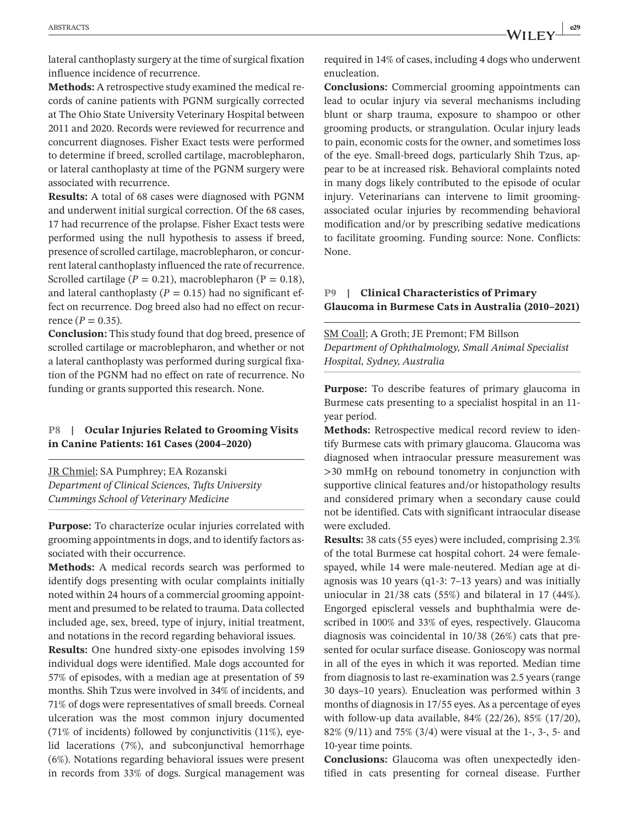lateral canthoplasty surgery at the time of surgical fixation influence incidence of recurrence.

**Methods:** A retrospective study examined the medical records of canine patients with PGNM surgically corrected at The Ohio State University Veterinary Hospital between 2011 and 2020. Records were reviewed for recurrence and concurrent diagnoses. Fisher Exact tests were performed to determine if breed, scrolled cartilage, macroblepharon, or lateral canthoplasty at time of the PGNM surgery were associated with recurrence.

**Results:** A total of 68 cases were diagnosed with PGNM and underwent initial surgical correction. Of the 68 cases, 17 had recurrence of the prolapse. Fisher Exact tests were performed using the null hypothesis to assess if breed, presence of scrolled cartilage, macroblepharon, or concurrent lateral canthoplasty influenced the rate of recurrence. Scrolled cartilage  $(P = 0.21)$ , macroblepharon  $(P = 0.18)$ , and lateral canthoplasty ( $P = 0.15$ ) had no significant effect on recurrence. Dog breed also had no effect on recurrence  $(P = 0.35)$ .

**Conclusion:** This study found that dog breed, presence of scrolled cartilage or macroblepharon, and whether or not a lateral canthoplasty was performed during surgical fixation of the PGNM had no effect on rate of recurrence. No funding or grants supported this research. None.

#### **P8 | Ocular Injuries Related to Grooming Visits in Canine Patients: 161 Cases (2004–2020)**

JR Chmiel; SA Pumphrey; EA Rozanski *Department of Clinical Sciences, Tufts University Cummings School of Veterinary Medicine*

**Purpose:** To characterize ocular injuries correlated with grooming appointments in dogs, and to identify factors associated with their occurrence.

**Methods:** A medical records search was performed to identify dogs presenting with ocular complaints initially noted within 24 hours of a commercial grooming appointment and presumed to be related to trauma. Data collected included age, sex, breed, type of injury, initial treatment, and notations in the record regarding behavioral issues.

**Results:** One hundred sixty-one episodes involving 159 individual dogs were identified. Male dogs accounted for 57% of episodes, with a median age at presentation of 59 months. Shih Tzus were involved in 34% of incidents, and 71% of dogs were representatives of small breeds. Corneal ulceration was the most common injury documented (71% of incidents) followed by conjunctivitis (11%), eyelid lacerations (7%), and subconjunctival hemorrhage (6%). Notations regarding behavioral issues were present in records from 33% of dogs. Surgical management was

required in 14% of cases, including 4 dogs who underwent enucleation.

**Conclusions:** Commercial grooming appointments can lead to ocular injury via several mechanisms including blunt or sharp trauma, exposure to shampoo or other grooming products, or strangulation. Ocular injury leads to pain, economic costs for the owner, and sometimes loss of the eye. Small-breed dogs, particularly Shih Tzus, appear to be at increased risk. Behavioral complaints noted in many dogs likely contributed to the episode of ocular injury. Veterinarians can intervene to limit groomingassociated ocular injuries by recommending behavioral modification and/or by prescribing sedative medications to facilitate grooming. Funding source: None. Conflicts: None.

#### **P9 | Clinical Characteristics of Primary Glaucoma in Burmese Cats in Australia (2010–2021)**

SM Coall; A Groth; JE Premont; FM Billson *Department of Ophthalmology, Small Animal Specialist Hospital, Sydney, Australia*

**Purpose:** To describe features of primary glaucoma in Burmese cats presenting to a specialist hospital in an 11 year period.

**Methods:** Retrospective medical record review to identify Burmese cats with primary glaucoma. Glaucoma was diagnosed when intraocular pressure measurement was >30 mmHg on rebound tonometry in conjunction with supportive clinical features and/or histopathology results and considered primary when a secondary cause could not be identified. Cats with significant intraocular disease were excluded.

**Results:** 38 cats (55 eyes) were included, comprising 2.3% of the total Burmese cat hospital cohort. 24 were femalespayed, while 14 were male-neutered. Median age at diagnosis was 10 years (q1-3: 7–13 years) and was initially uniocular in 21/38 cats (55%) and bilateral in 17 (44%). Engorged episcleral vessels and buphthalmia were described in 100% and 33% of eyes, respectively. Glaucoma diagnosis was coincidental in 10/38 (26%) cats that presented for ocular surface disease. Gonioscopy was normal in all of the eyes in which it was reported. Median time from diagnosis to last re-examination was 2.5 years (range 30 days–10 years). Enucleation was performed within 3 months of diagnosis in 17/55 eyes. As a percentage of eyes with follow-up data available, 84% (22/26), 85% (17/20), 82% (9/11) and 75% (3/4) were visual at the 1-, 3-, 5- and 10-year time points.

**Conclusions:** Glaucoma was often unexpectedly identified in cats presenting for corneal disease. Further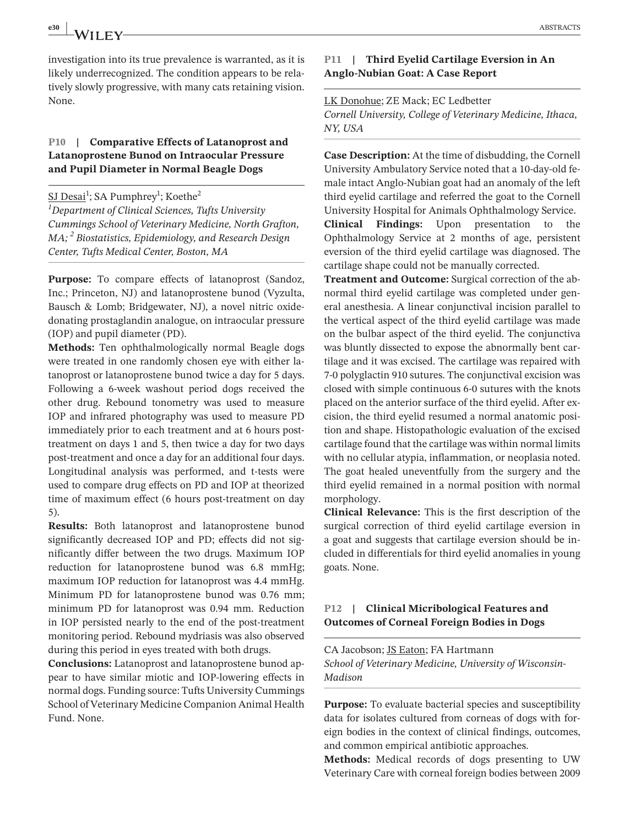**e30**  $\frac{1}{2}$  **ABSTRACTS** 

investigation into its true prevalence is warranted, as it is likely underrecognized. The condition appears to be relatively slowly progressive, with many cats retaining vision. None.

#### **P10 | Comparative Effects of Latanoprost and Latanoprostene Bunod on Intraocular Pressure and Pupil Diameter in Normal Beagle Dogs**

<u>SJ Desai</u><sup>1</sup>; SA Pumphrey<sup>1</sup>; Koethe<sup>2</sup> *1 Department of Clinical Sciences, Tufts University Cummings School of Veterinary Medicine, North Grafton, MA; <sup>2</sup> Biostatistics, Epidemiology, and Research Design Center, Tufts Medical Center, Boston, MA*

**Purpose:** To compare effects of latanoprost (Sandoz, Inc.; Princeton, NJ) and latanoprostene bunod (Vyzulta, Bausch & Lomb; Bridgewater, NJ), a novel nitric oxidedonating prostaglandin analogue, on intraocular pressure (IOP) and pupil diameter (PD).

**Methods:** Ten ophthalmologically normal Beagle dogs were treated in one randomly chosen eye with either latanoprost or latanoprostene bunod twice a day for 5 days. Following a 6-week washout period dogs received the other drug. Rebound tonometry was used to measure IOP and infrared photography was used to measure PD immediately prior to each treatment and at 6 hours posttreatment on days 1 and 5, then twice a day for two days post-treatment and once a day for an additional four days. Longitudinal analysis was performed, and t-tests were used to compare drug effects on PD and IOP at theorized time of maximum effect (6 hours post-treatment on day 5).

**Results:** Both latanoprost and latanoprostene bunod significantly decreased IOP and PD; effects did not significantly differ between the two drugs. Maximum IOP reduction for latanoprostene bunod was 6.8 mmHg; maximum IOP reduction for latanoprost was 4.4 mmHg. Minimum PD for latanoprostene bunod was 0.76 mm; minimum PD for latanoprost was 0.94 mm. Reduction in IOP persisted nearly to the end of the post-treatment monitoring period. Rebound mydriasis was also observed during this period in eyes treated with both drugs.

**Conclusions:** Latanoprost and latanoprostene bunod appear to have similar miotic and IOP-lowering effects in normal dogs. Funding source: Tufts University Cummings School of Veterinary Medicine Companion Animal Health Fund. None.

#### **P11 | Third Eyelid Cartilage Eversion in An Anglo-Nubian Goat: A Case Report**

LK Donohue; ZE Mack; EC Ledbetter *Cornell University, College of Veterinary Medicine, Ithaca, NY, USA*

**Case Description:** At the time of disbudding, the Cornell University Ambulatory Service noted that a 10-day-old female intact Anglo-Nubian goat had an anomaly of the left third eyelid cartilage and referred the goat to the Cornell University Hospital for Animals Ophthalmology Service.

**Clinical Findings:** Upon presentation to the Ophthalmology Service at 2 months of age, persistent eversion of the third eyelid cartilage was diagnosed. The cartilage shape could not be manually corrected.

**Treatment and Outcome:** Surgical correction of the abnormal third eyelid cartilage was completed under general anesthesia. A linear conjunctival incision parallel to the vertical aspect of the third eyelid cartilage was made on the bulbar aspect of the third eyelid. The conjunctiva was bluntly dissected to expose the abnormally bent cartilage and it was excised. The cartilage was repaired with 7-0 polyglactin 910 sutures. The conjunctival excision was closed with simple continuous 6-0 sutures with the knots placed on the anterior surface of the third eyelid. After excision, the third eyelid resumed a normal anatomic position and shape. Histopathologic evaluation of the excised cartilage found that the cartilage was within normal limits with no cellular atypia, inflammation, or neoplasia noted. The goat healed uneventfully from the surgery and the third eyelid remained in a normal position with normal morphology.

**Clinical Relevance:** This is the first description of the surgical correction of third eyelid cartilage eversion in a goat and suggests that cartilage eversion should be included in differentials for third eyelid anomalies in young goats. None.

#### **P12 | Clinical Micribological Features and Outcomes of Corneal Foreign Bodies in Dogs**

CA Jacobson; JS Eaton; FA Hartmann *School of Veterinary Medicine, University of Wisconsin-Madison*

**Purpose:** To evaluate bacterial species and susceptibility data for isolates cultured from corneas of dogs with foreign bodies in the context of clinical findings, outcomes, and common empirical antibiotic approaches.

**Methods:** Medical records of dogs presenting to UW Veterinary Care with corneal foreign bodies between 2009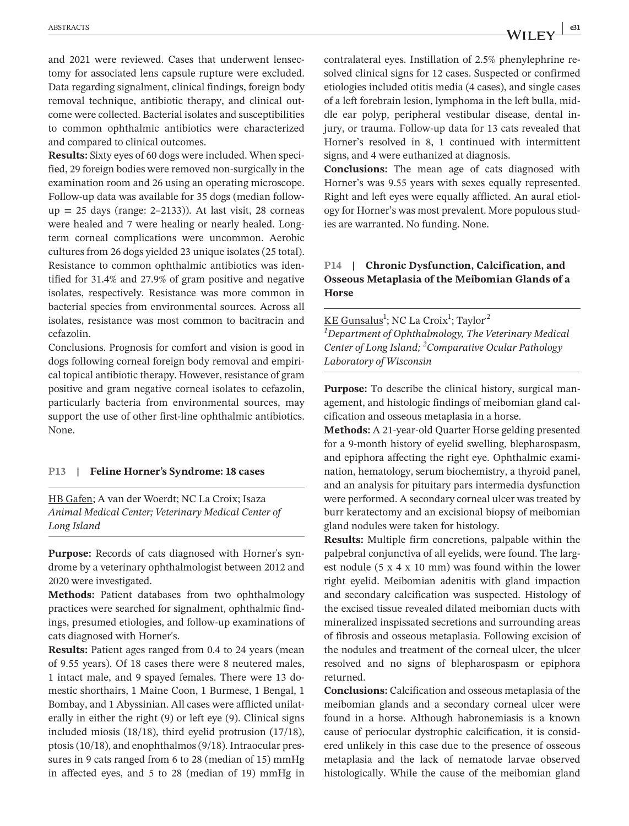and 2021 were reviewed. Cases that underwent lensectomy for associated lens capsule rupture were excluded. Data regarding signalment, clinical findings, foreign body removal technique, antibiotic therapy, and clinical outcome were collected. Bacterial isolates and susceptibilities to common ophthalmic antibiotics were characterized and compared to clinical outcomes.

**Results:** Sixty eyes of 60 dogs were included. When specified, 29 foreign bodies were removed non-surgically in the examination room and 26 using an operating microscope. Follow-up data was available for 35 dogs (median follow $up = 25$  days (range: 2–2133)). At last visit, 28 corneas were healed and 7 were healing or nearly healed. Longterm corneal complications were uncommon. Aerobic cultures from 26 dogs yielded 23 unique isolates (25 total). Resistance to common ophthalmic antibiotics was identified for 31.4% and 27.9% of gram positive and negative isolates, respectively. Resistance was more common in bacterial species from environmental sources. Across all isolates, resistance was most common to bacitracin and cefazolin.

Conclusions. Prognosis for comfort and vision is good in dogs following corneal foreign body removal and empirical topical antibiotic therapy. However, resistance of gram positive and gram negative corneal isolates to cefazolin, particularly bacteria from environmental sources, may support the use of other first-line ophthalmic antibiotics. None.

#### **P13 | Feline Horner's Syndrome: 18 cases**

HB Gafen; A van der Woerdt; NC La Croix; Isaza *Animal Medical Center; Veterinary Medical Center of Long Island*

**Purpose:** Records of cats diagnosed with Horner's syndrome by a veterinary ophthalmologist between 2012 and 2020 were investigated.

**Methods:** Patient databases from two ophthalmology practices were searched for signalment, ophthalmic findings, presumed etiologies, and follow-up examinations of cats diagnosed with Horner's.

**Results:** Patient ages ranged from 0.4 to 24 years (mean of 9.55 years). Of 18 cases there were 8 neutered males, 1 intact male, and 9 spayed females. There were 13 domestic shorthairs, 1 Maine Coon, 1 Burmese, 1 Bengal, 1 Bombay, and 1 Abyssinian. All cases were afflicted unilaterally in either the right (9) or left eye (9). Clinical signs included miosis (18/18), third eyelid protrusion (17/18), ptosis (10/18), and enophthalmos (9/18). Intraocular pressures in 9 cats ranged from 6 to 28 (median of 15) mmHg in affected eyes, and 5 to 28 (median of 19) mmHg in contralateral eyes. Instillation of 2.5% phenylephrine resolved clinical signs for 12 cases. Suspected or confirmed etiologies included otitis media (4 cases), and single cases of a left forebrain lesion, lymphoma in the left bulla, middle ear polyp, peripheral vestibular disease, dental injury, or trauma. Follow-up data for 13 cats revealed that Horner's resolved in 8, 1 continued with intermittent signs, and 4 were euthanized at diagnosis.

**Conclusions:** The mean age of cats diagnosed with Horner's was 9.55 years with sexes equally represented. Right and left eyes were equally afflicted. An aural etiology for Horner's was most prevalent. More populous studies are warranted. No funding. None.

# **P14 | Chronic Dysfunction, Calcification, and Osseous Metaplasia of the Meibomian Glands of a Horse**

<u>KE Gunsalus</u><sup>1</sup>; NC La Croix<sup>1</sup>; Taylor<sup>2</sup>

*1 Department of Ophthalmology, The Veterinary Medical Center of Long Island; <sup>2</sup> Comparative Ocular Pathology Laboratory of Wisconsin*

**Purpose:** To describe the clinical history, surgical management, and histologic findings of meibomian gland calcification and osseous metaplasia in a horse.

**Methods:** A 21-year-old Quarter Horse gelding presented for a 9-month history of eyelid swelling, blepharospasm, and epiphora affecting the right eye. Ophthalmic examination, hematology, serum biochemistry, a thyroid panel, and an analysis for pituitary pars intermedia dysfunction were performed. A secondary corneal ulcer was treated by burr keratectomy and an excisional biopsy of meibomian gland nodules were taken for histology.

**Results:** Multiple firm concretions, palpable within the palpebral conjunctiva of all eyelids, were found. The largest nodule (5 x 4 x 10 mm) was found within the lower right eyelid. Meibomian adenitis with gland impaction and secondary calcification was suspected. Histology of the excised tissue revealed dilated meibomian ducts with mineralized inspissated secretions and surrounding areas of fibrosis and osseous metaplasia. Following excision of the nodules and treatment of the corneal ulcer, the ulcer resolved and no signs of blepharospasm or epiphora returned.

**Conclusions:** Calcification and osseous metaplasia of the meibomian glands and a secondary corneal ulcer were found in a horse. Although habronemiasis is a known cause of periocular dystrophic calcification, it is considered unlikely in this case due to the presence of osseous metaplasia and the lack of nematode larvae observed histologically. While the cause of the meibomian gland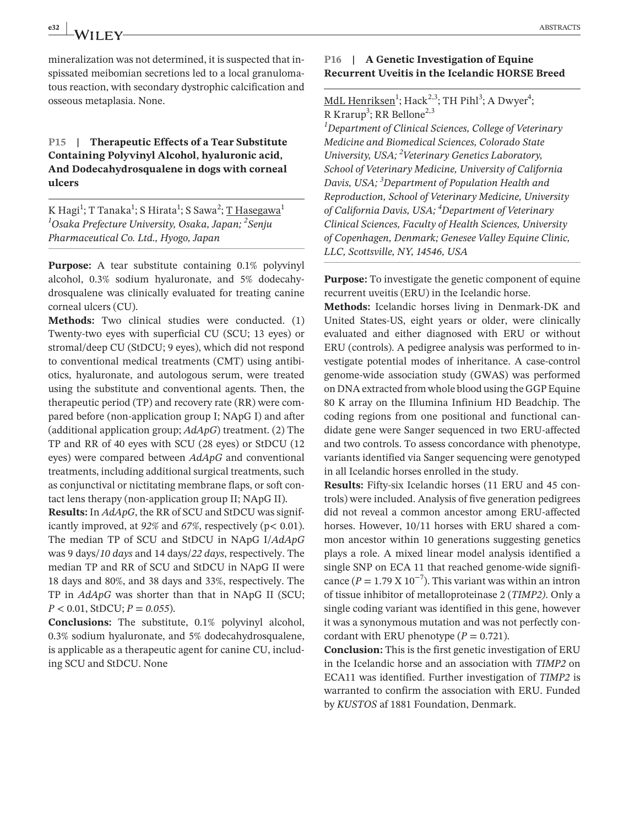**e32 | ABSTRACTS ABSTRACTS** 

mineralization was not determined, it is suspected that inspissated meibomian secretions led to a local granulomatous reaction, with secondary dystrophic calcification and osseous metaplasia. None.

# **P15 | Therapeutic Effects of a Tear Substitute Containing Polyvinyl Alcohol, hyaluronic acid, And Dodecahydrosqualene in dogs with corneal ulcers**

K Hagi<sup>1</sup>; T Tanaka<sup>1</sup>; S Hirata<sup>1</sup>; S Sawa<sup>2</sup>; <u>T Hasegawa</u><sup>1</sup> *1 Osaka Prefecture University, Osaka, Japan; 2 Senju Pharmaceutical Co. Ltd., Hyogo, Japan*

**Purpose:** A tear substitute containing 0.1% polyvinyl alcohol, 0.3% sodium hyaluronate, and 5% dodecahydrosqualene was clinically evaluated for treating canine corneal ulcers (CU).

**Methods:** Two clinical studies were conducted. (1) Twenty-two eyes with superficial CU (SCU; 13 eyes) or stromal/deep CU (StDCU; 9 eyes), which did not respond to conventional medical treatments (CMT) using antibiotics, hyaluronate, and autologous serum, were treated using the substitute and conventional agents. Then, the therapeutic period (TP) and recovery rate (RR) were compared before (non-application group I; NApG I) and after (additional application group; *AdApG*) treatment. (2) The TP and RR of 40 eyes with SCU (28 eyes) or StDCU (12 eyes) were compared between *AdApG* and conventional treatments, including additional surgical treatments, such as conjunctival or nictitating membrane flaps, or soft contact lens therapy (non-application group II; NApG II).

**Results:** In *AdApG*, the RR of SCU and StDCU was significantly improved, at *92%* and *67%*, respectively (p< 0.01). The median TP of SCU and StDCU in NApG I/*AdApG* was 9 days/*10 days* and 14 days/*22 days*, respectively. The median TP and RR of SCU and StDCU in NApG II were 18 days and 80%, and 38 days and 33%, respectively. The TP in *AdApG* was shorter than that in NApG II (SCU; *P* < 0.01, StDCU; *P* = *0.055*).

**Conclusions:** The substitute, 0.1% polyvinyl alcohol, 0.3% sodium hyaluronate, and 5% dodecahydrosqualene, is applicable as a therapeutic agent for canine CU, including SCU and StDCU. None

# **P16 | A Genetic Investigation of Equine Recurrent Uveitis in the Icelandic HORSE Breed**

# MdL Henriksen<sup>1</sup>; Hack<sup>2,3</sup>; TH Pihl<sup>3</sup>; A Dwyer<sup>4</sup>; R Krarup<sup>3</sup>; RR Bellone<sup>2,3</sup>

*1 Department of Clinical Sciences, College of Veterinary Medicine and Biomedical Sciences, Colorado State University, USA; 2 Veterinary Genetics Laboratory, School of Veterinary Medicine, University of California Davis, USA; <sup>3</sup> Department of Population Health and Reproduction, School of Veterinary Medicine, University of California Davis, USA; 4 Department of Veterinary Clinical Sciences, Faculty of Health Sciences, University of Copenhagen, Denmark; Genesee Valley Equine Clinic, LLC, Scottsville, NY, 14546, USA*

**Purpose:** To investigate the genetic component of equine recurrent uveitis (ERU) in the Icelandic horse.

**Methods:** Icelandic horses living in Denmark-DK and United States-US, eight years or older, were clinically evaluated and either diagnosed with ERU or without ERU (controls). A pedigree analysis was performed to investigate potential modes of inheritance. A case-control genome-wide association study (GWAS) was performed on DNA extracted from whole blood using the GGP Equine 80 K array on the Illumina Infinium HD Beadchip. The coding regions from one positional and functional candidate gene were Sanger sequenced in two ERU-affected and two controls. To assess concordance with phenotype, variants identified via Sanger sequencing were genotyped in all Icelandic horses enrolled in the study.

**Results:** Fifty-six Icelandic horses (11 ERU and 45 controls) were included. Analysis of five generation pedigrees did not reveal a common ancestor among ERU-affected horses. However, 10/11 horses with ERU shared a common ancestor within 10 generations suggesting genetics plays a role. A mixed linear model analysis identified a single SNP on ECA 11 that reached genome-wide significance ( $P = 1.79 \times 10^{-7}$ ). This variant was within an intron of tissue inhibitor of metalloproteinase 2 (*TIMP2)*. Only a single coding variant was identified in this gene, however it was a synonymous mutation and was not perfectly concordant with ERU phenotype  $(P = 0.721)$ .

**Conclusion:** This is the first genetic investigation of ERU in the Icelandic horse and an association with *TIMP2* on ECA11 was identified. Further investigation of *TIMP2* is warranted to confirm the association with ERU. Funded by *KUSTOS* af 1881 Foundation, Denmark.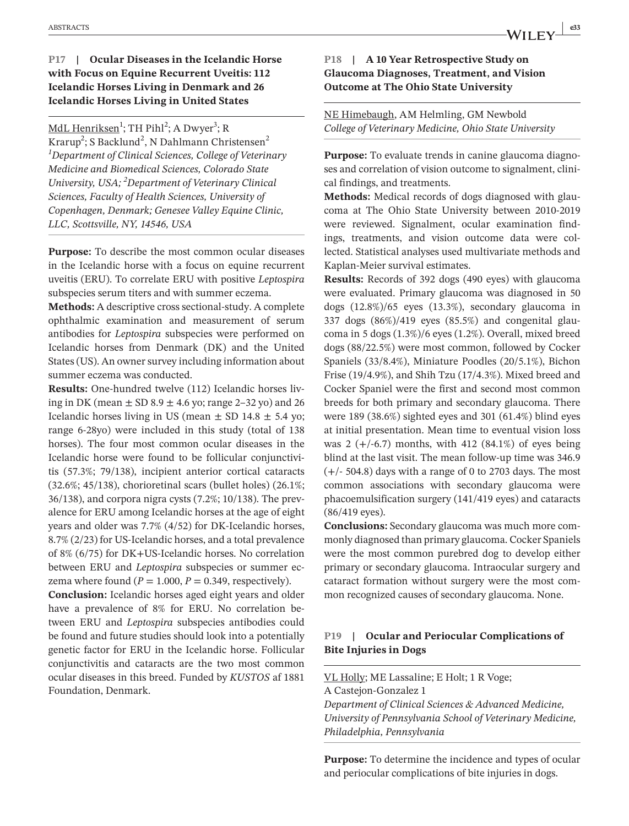# **P17 | Ocular Diseases in the Icelandic Horse with Focus on Equine Recurrent Uveitis: 112 Icelandic Horses Living in Denmark and 26 Icelandic Horses Living in United States**

<u>MdL Henriksen</u><sup>1</sup>; TH Pihl<sup>2</sup>; A Dwyer<sup>3</sup>; R Krarup<sup>2</sup>; S Backlund<sup>2</sup>, N Dahlmann Christensen<sup>2</sup> *1 Department of Clinical Sciences, College of Veterinary Medicine and Biomedical Sciences, Colorado State University, USA; 2 Department of Veterinary Clinical Sciences, Faculty of Health Sciences, University of Copenhagen, Denmark; Genesee Valley Equine Clinic, LLC, Scottsville, NY, 14546, USA*

**Purpose:** To describe the most common ocular diseases in the Icelandic horse with a focus on equine recurrent uveitis (ERU). To correlate ERU with positive *Leptospira* subspecies serum titers and with summer eczema.

**Methods:** A descriptive cross sectional-study. A complete ophthalmic examination and measurement of serum antibodies for *Leptospira* subspecies were performed on Icelandic horses from Denmark (DK) and the United States (US). An owner survey including information about summer eczema was conducted.

**Results:** One-hundred twelve (112) Icelandic horses living in DK (mean  $\pm$  SD 8.9  $\pm$  4.6 yo; range 2–32 yo) and 26 Icelandic horses living in US (mean  $\pm$  SD 14.8  $\pm$  5.4 yo; range 6-28yo) were included in this study (total of 138 horses). The four most common ocular diseases in the Icelandic horse were found to be follicular conjunctivitis (57.3%; 79/138), incipient anterior cortical cataracts (32.6%; 45/138), chorioretinal scars (bullet holes) (26.1%; 36/138), and corpora nigra cysts (7.2%; 10/138). The prevalence for ERU among Icelandic horses at the age of eight years and older was 7.7% (4/52) for DK-Icelandic horses, 8.7% (2/23) for US-Icelandic horses, and a total prevalence of 8% (6/75) for DK+US-Icelandic horses. No correlation between ERU and *Leptospira* subspecies or summer eczema where found  $(P = 1.000, P = 0.349$ , respectively).

**Conclusion:** Icelandic horses aged eight years and older have a prevalence of 8% for ERU. No correlation between ERU and *Leptospira* subspecies antibodies could be found and future studies should look into a potentially genetic factor for ERU in the Icelandic horse. Follicular conjunctivitis and cataracts are the two most common ocular diseases in this breed. Funded by *KUSTOS* af 1881 Foundation, Denmark.

#### **P18 | A 10 Year Retrospective Study on Glaucoma Diagnoses, Treatment, and Vision Outcome at The Ohio State University**

#### NE Himebaugh, AM Helmling, GM Newbold *College of Veterinary Medicine, Ohio State University*

**Purpose:** To evaluate trends in canine glaucoma diagnoses and correlation of vision outcome to signalment, clinical findings, and treatments.

**Methods:** Medical records of dogs diagnosed with glaucoma at The Ohio State University between 2010-2019 were reviewed. Signalment, ocular examination findings, treatments, and vision outcome data were collected. Statistical analyses used multivariate methods and Kaplan-Meier survival estimates.

**Results:** Records of 392 dogs (490 eyes) with glaucoma were evaluated. Primary glaucoma was diagnosed in 50 dogs (12.8%)/65 eyes (13.3%), secondary glaucoma in 337 dogs (86%)/419 eyes (85.5%) and congenital glaucoma in 5 dogs (1.3%)/6 eyes (1.2%). Overall, mixed breed dogs (88/22.5%) were most common, followed by Cocker Spaniels (33/8.4%), Miniature Poodles (20/5.1%), Bichon Frise (19/4.9%), and Shih Tzu (17/4.3%). Mixed breed and Cocker Spaniel were the first and second most common breeds for both primary and secondary glaucoma. There were 189 (38.6%) sighted eyes and 301 (61.4%) blind eyes at initial presentation. Mean time to eventual vision loss was  $2 (+/-6.7)$  months, with 412 (84.1%) of eyes being blind at the last visit. The mean follow-up time was 346.9 (+/- 504.8) days with a range of 0 to 2703 days. The most common associations with secondary glaucoma were phacoemulsification surgery (141/419 eyes) and cataracts (86/419 eyes).

**Conclusions:** Secondary glaucoma was much more commonly diagnosed than primary glaucoma. Cocker Spaniels were the most common purebred dog to develop either primary or secondary glaucoma. Intraocular surgery and cataract formation without surgery were the most common recognized causes of secondary glaucoma. None.

# **P19 | Ocular and Periocular Complications of Bite Injuries in Dogs**

VL Holly; ME Lassaline; E Holt; 1 R Voge; A Castejon-Gonzalez 1 *Department of Clinical Sciences & Advanced Medicine, University of Pennsylvania School of Veterinary Medicine, Philadelphia, Pennsylvania*

**Purpose:** To determine the incidence and types of ocular and periocular complications of bite injuries in dogs.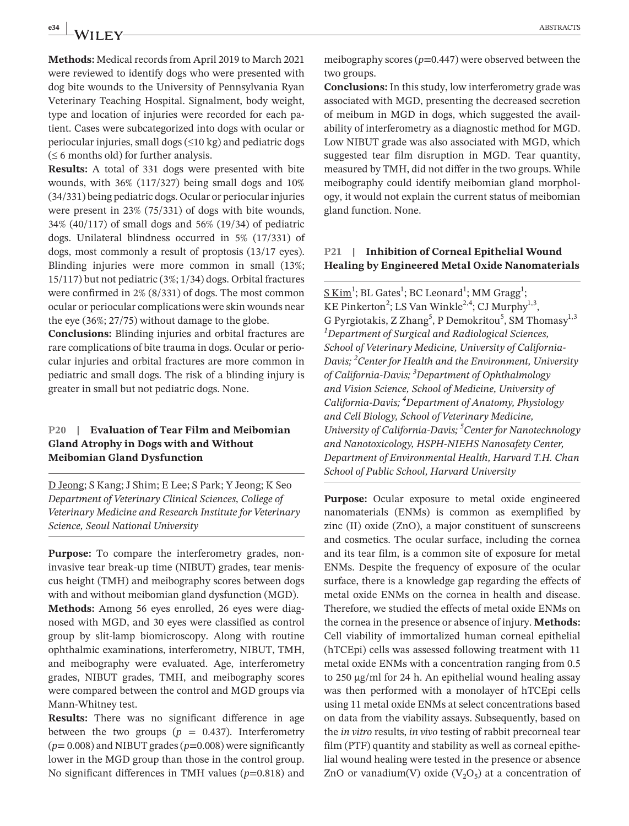**e34 ABSTRACTS ABSTRACTS** 

**Methods:** Medical records from April 2019 to March 2021 were reviewed to identify dogs who were presented with dog bite wounds to the University of Pennsylvania Ryan Veterinary Teaching Hospital. Signalment, body weight, type and location of injuries were recorded for each patient. Cases were subcategorized into dogs with ocular or periocular injuries, small dogs (≤10 kg) and pediatric dogs  $($  ≤ 6 months old) for further analysis.

**Results:** A total of 331 dogs were presented with bite wounds, with 36% (117/327) being small dogs and 10% (34/331) being pediatric dogs. Ocular or periocular injuries were present in 23% (75/331) of dogs with bite wounds, 34% (40/117) of small dogs and 56% (19/34) of pediatric dogs. Unilateral blindness occurred in 5% (17/331) of dogs, most commonly a result of proptosis (13/17 eyes). Blinding injuries were more common in small (13%; 15/117) but not pediatric (3%; 1/34) dogs. Orbital fractures were confirmed in 2% (8/331) of dogs. The most common ocular or periocular complications were skin wounds near the eye (36%; 27/75) without damage to the globe.

**Conclusions:** Blinding injuries and orbital fractures are rare complications of bite trauma in dogs. Ocular or periocular injuries and orbital fractures are more common in pediatric and small dogs. The risk of a blinding injury is greater in small but not pediatric dogs. None.

# **P20 | Evaluation of Tear Film and Meibomian Gland Atrophy in Dogs with and Without Meibomian Gland Dysfunction**

D Jeong; S Kang; J Shim; E Lee; S Park; Y Jeong; K Seo *Department of Veterinary Clinical Sciences, College of Veterinary Medicine and Research Institute for Veterinary Science, Seoul National University*

**Purpose:** To compare the interferometry grades, noninvasive tear break-up time (NIBUT) grades, tear meniscus height (TMH) and meibography scores between dogs with and without meibomian gland dysfunction (MGD).

**Methods:** Among 56 eyes enrolled, 26 eyes were diagnosed with MGD, and 30 eyes were classified as control group by slit-lamp biomicroscopy. Along with routine ophthalmic examinations, interferometry, NIBUT, TMH, and meibography were evaluated. Age, interferometry grades, NIBUT grades, TMH, and meibography scores were compared between the control and MGD groups via Mann-Whitney test.

**Results:** There was no significant difference in age between the two groups ( $p = 0.437$ ). Interferometry (*p*= 0.008) and NIBUT grades (*p*=0.008) were significantly lower in the MGD group than those in the control group. No significant differences in TMH values (*p*=0.818) and meibography scores ( $p=0.447$ ) were observed between the two groups.

**Conclusions:** In this study, low interferometry grade was associated with MGD, presenting the decreased secretion of meibum in MGD in dogs, which suggested the availability of interferometry as a diagnostic method for MGD. Low NIBUT grade was also associated with MGD, which suggested tear film disruption in MGD. Tear quantity, measured by TMH, did not differ in the two groups. While meibography could identify meibomian gland morphology, it would not explain the current status of meibomian gland function. None.

#### **P21 | Inhibition of Corneal Epithelial Wound Healing by Engineered Metal Oxide Nanomaterials**

 $\underline{\text{S Kim}}^1$ ; BL Gates<sup>1</sup>; BC Leonard<sup>1</sup>; MM Gragg<sup>1</sup>; KE Pinkerton<sup>2</sup>; LS Van Winkle<sup>2,4</sup>; CJ Murphy<sup>1,3</sup>, G Pyrgiotakis, Z Zhang<sup>5</sup>, P Demokritou<sup>5</sup>, SM Thomasy<sup>1,3</sup> *1 Department of Surgical and Radiological Sciences, School of Veterinary Medicine, University of California-Davis; <sup>2</sup> Center for Health and the Environment, University of California-Davis; <sup>3</sup> Department of Ophthalmology and Vision Science, School of Medicine, University of California-Davis; 4 Department of Anatomy, Physiology and Cell Biology, School of Veterinary Medicine, University of California-Davis; 5 Center for Nanotechnology and Nanotoxicology, HSPH-NIEHS Nanosafety Center, Department of Environmental Health, Harvard T.H. Chan School of Public School, Harvard University*

**Purpose:** Ocular exposure to metal oxide engineered nanomaterials (ENMs) is common as exemplified by zinc (II) oxide (ZnO), a major constituent of sunscreens and cosmetics. The ocular surface, including the cornea and its tear film, is a common site of exposure for metal ENMs. Despite the frequency of exposure of the ocular surface, there is a knowledge gap regarding the effects of metal oxide ENMs on the cornea in health and disease. Therefore, we studied the effects of metal oxide ENMs on the cornea in the presence or absence of injury. **Methods:** Cell viability of immortalized human corneal epithelial (hTCEpi) cells was assessed following treatment with 11 metal oxide ENMs with a concentration ranging from 0.5 to 250 μg/ml for 24 h. An epithelial wound healing assay was then performed with a monolayer of hTCEpi cells using 11 metal oxide ENMs at select concentrations based on data from the viability assays. Subsequently, based on the *in vitro* results, *in vivo* testing of rabbit precorneal tear film (PTF) quantity and stability as well as corneal epithelial wound healing were tested in the presence or absence ZnO or vanadium(V) oxide  $(V_2O_5)$  at a concentration of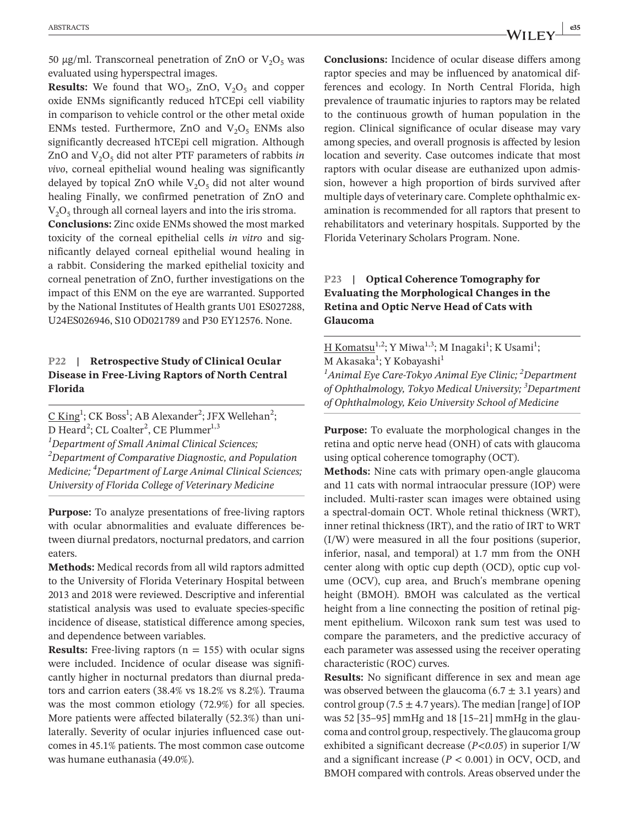50 μg/ml. Transcorneal penetration of ZnO or  $V_2O_5$  was evaluated using hyperspectral images.

**Results:** We found that  $WO_3$ ,  $ZnO$ ,  $V_2O_5$  and copper oxide ENMs significantly reduced hTCEpi cell viability in comparison to vehicle control or the other metal oxide ENMs tested. Furthermore, ZnO and  $V_2O_5$  ENMs also significantly decreased hTCEpi cell migration. Although ZnO and  $V_2O_5$  did not alter PTF parameters of rabbits *in vivo*, corneal epithelial wound healing was significantly delayed by topical ZnO while  $V_2O_5$  did not alter wound healing Finally, we confirmed penetration of ZnO and  $V<sub>2</sub>O<sub>5</sub>$  through all corneal layers and into the iris stroma.

**Conclusions:** Zinc oxide ENMs showed the most marked toxicity of the corneal epithelial cells *in vitro* and significantly delayed corneal epithelial wound healing in a rabbit. Considering the marked epithelial toxicity and corneal penetration of ZnO, further investigations on the impact of this ENM on the eye are warranted. Supported by the National Institutes of Health grants U01 ES027288, U24ES026946, S10 OD021789 and P30 EY12576. None.

#### **P22 | Retrospective Study of Clinical Ocular Disease in Free-Living Raptors of North Central Florida**

 $\underline{C King}^1$ ; CK Boss<sup>1</sup>; AB Alexander<sup>2</sup>; JFX Wellehan<sup>2</sup>; D Heard<sup>2</sup>; CL Coalter<sup>2</sup>, CE Plummer<sup>1,3</sup> *1 Department of Small Animal Clinical Sciences; 2 Department of Comparative Diagnostic, and Population Medicine; 4 Department of Large Animal Clinical Sciences; University of Florida College of Veterinary Medicine*

**Purpose:** To analyze presentations of free-living raptors with ocular abnormalities and evaluate differences between diurnal predators, nocturnal predators, and carrion eaters.

**Methods:** Medical records from all wild raptors admitted to the University of Florida Veterinary Hospital between 2013 and 2018 were reviewed. Descriptive and inferential statistical analysis was used to evaluate species-specific incidence of disease, statistical difference among species, and dependence between variables.

**Results:** Free-living raptors  $(n = 155)$  with ocular signs were included. Incidence of ocular disease was significantly higher in nocturnal predators than diurnal predators and carrion eaters (38.4% vs 18.2% vs 8.2%). Trauma was the most common etiology (72.9%) for all species. More patients were affected bilaterally (52.3%) than unilaterally. Severity of ocular injuries influenced case outcomes in 45.1% patients. The most common case outcome was humane euthanasia (49.0%).

**Conclusions:** Incidence of ocular disease differs among raptor species and may be influenced by anatomical differences and ecology. In North Central Florida, high prevalence of traumatic injuries to raptors may be related to the continuous growth of human population in the region. Clinical significance of ocular disease may vary among species, and overall prognosis is affected by lesion location and severity. Case outcomes indicate that most raptors with ocular disease are euthanized upon admission, however a high proportion of birds survived after multiple days of veterinary care. Complete ophthalmic examination is recommended for all raptors that present to rehabilitators and veterinary hospitals. Supported by the Florida Veterinary Scholars Program. None.

# **P23 | Optical Coherence Tomography for Evaluating the Morphological Changes in the Retina and Optic Nerve Head of Cats with Glaucoma**

H Komatsu<sup>1,2</sup>; Y Miwa<sup>1,3</sup>; M Inagaki<sup>1</sup>; K Usami<sup>1</sup>; M Akasaka<sup>1</sup>; Y Kobayashi<sup>1</sup>

*1 Animal Eye Care-Tokyo Animal Eye Clinic; 2 Department of Ophthalmology, Tokyo Medical University; 3 Department of Ophthalmology, Keio University School of Medicine*

**Purpose:** To evaluate the morphological changes in the retina and optic nerve head (ONH) of cats with glaucoma using optical coherence tomography (OCT).

**Methods:** Nine cats with primary open-angle glaucoma and 11 cats with normal intraocular pressure (IOP) were included. Multi-raster scan images were obtained using a spectral-domain OCT. Whole retinal thickness (WRT), inner retinal thickness (IRT), and the ratio of IRT to WRT (I/W) were measured in all the four positions (superior, inferior, nasal, and temporal) at 1.7 mm from the ONH center along with optic cup depth (OCD), optic cup volume (OCV), cup area, and Bruch's membrane opening height (BMOH). BMOH was calculated as the vertical height from a line connecting the position of retinal pigment epithelium. Wilcoxon rank sum test was used to compare the parameters, and the predictive accuracy of each parameter was assessed using the receiver operating characteristic (ROC) curves.

**Results:** No significant difference in sex and mean age was observed between the glaucoma (6.7  $\pm$  3.1 years) and control group (7.5  $\pm$  4.7 years). The median [range] of IOP was 52 [35–95] mmHg and 18 [15–21] mmHg in the glaucoma and control group, respectively. The glaucoma group exhibited a significant decrease (*P<0.05*) in superior I/W and a significant increase  $(P < 0.001)$  in OCV, OCD, and BMOH compared with controls. Areas observed under the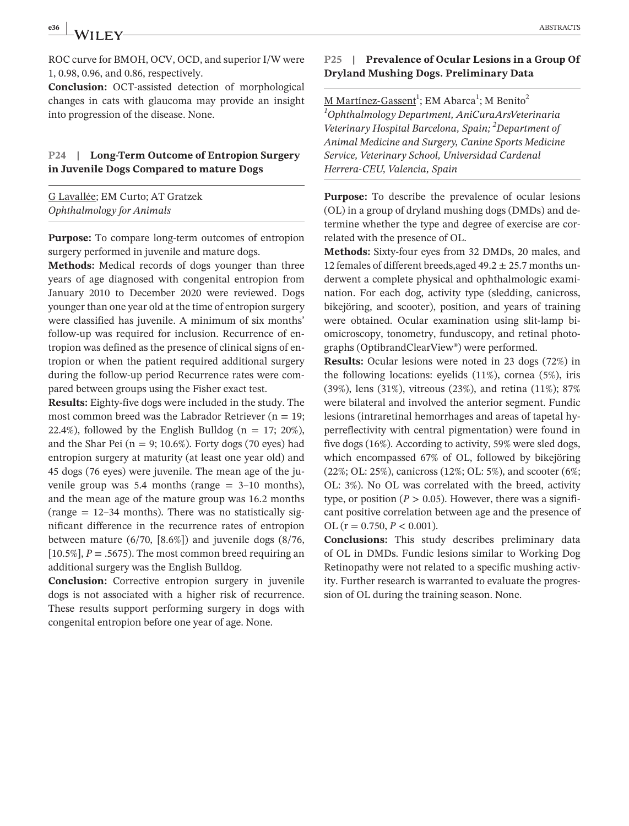ROC curve for BMOH, OCV, OCD, and superior I/W were 1, 0.98, 0.96, and 0.86, respectively.

**Conclusion:** OCT-assisted detection of morphological changes in cats with glaucoma may provide an insight into progression of the disease. None.

#### **P24 | Long-Term Outcome of Entropion Surgery in Juvenile Dogs Compared to mature Dogs**

G Lavallée; EM Curto; AT Gratzek *Ophthalmology for Animals*

**Purpose:** To compare long-term outcomes of entropion surgery performed in juvenile and mature dogs.

**Methods:** Medical records of dogs younger than three years of age diagnosed with congenital entropion from January 2010 to December 2020 were reviewed. Dogs younger than one year old at the time of entropion surgery were classified has juvenile. A minimum of six months' follow-up was required for inclusion. Recurrence of entropion was defined as the presence of clinical signs of entropion or when the patient required additional surgery during the follow-up period Recurrence rates were compared between groups using the Fisher exact test.

**Results:** Eighty-five dogs were included in the study. The most common breed was the Labrador Retriever ( $n = 19$ ; 22.4%), followed by the English Bulldog ( $n = 17$ ; 20%), and the Shar Pei ( $n = 9$ ; 10.6%). Forty dogs (70 eyes) had entropion surgery at maturity (at least one year old) and 45 dogs (76 eyes) were juvenile. The mean age of the juvenile group was  $5.4$  months (range  $= 3-10$  months), and the mean age of the mature group was 16.2 months (range  $= 12-34$  months). There was no statistically significant difference in the recurrence rates of entropion between mature (6/70, [8.6%]) and juvenile dogs (8/76,  $[10.5\%]$ ,  $P = .5675$ ). The most common breed requiring an additional surgery was the English Bulldog.

**Conclusion:** Corrective entropion surgery in juvenile dogs is not associated with a higher risk of recurrence. These results support performing surgery in dogs with congenital entropion before one year of age. None.

#### **P25 | Prevalence of Ocular Lesions in a Group Of Dryland Mushing Dogs. Preliminary Data**

<u>M Martínez-Gassent</u><sup>1</sup>; EM Abarca<sup>1</sup>; M Benito<sup>2</sup> *1 Ophthalmology Department, AniCuraArsVeterinaria Veterinary Hospital Barcelona, Spain; 2 Department of Animal Medicine and Surgery, Canine Sports Medicine Service, Veterinary School, Universidad Cardenal Herrera-CEU, Valencia, Spain*

**Purpose:** To describe the prevalence of ocular lesions (OL) in a group of dryland mushing dogs (DMDs) and determine whether the type and degree of exercise are correlated with the presence of OL.

**Methods:** Sixty-four eyes from 32 DMDs, 20 males, and 12 females of different breeds, aged  $49.2 \pm 25.7$  months underwent a complete physical and ophthalmologic examination. For each dog, activity type (sledding, canicross, bikejöring, and scooter), position, and years of training were obtained. Ocular examination using slit-lamp biomicroscopy, tonometry, funduscopy, and retinal photographs (OptibrandClearView®) were performed.

**Results:** Ocular lesions were noted in 23 dogs (72%) in the following locations: eyelids (11%), cornea (5%), iris (39%), lens (31%), vitreous (23%), and retina (11%); 87% were bilateral and involved the anterior segment. Fundic lesions (intraretinal hemorrhages and areas of tapetal hyperreflectivity with central pigmentation) were found in five dogs (16%). According to activity, 59% were sled dogs, which encompassed 67% of OL, followed by bikejöring (22%; OL: 25%), canicross (12%; OL: 5%), and scooter (6%; OL: 3%). No OL was correlated with the breed, activity type, or position ( $P > 0.05$ ). However, there was a significant positive correlation between age and the presence of OL (r = 0.750, *P* < 0.001).

**Conclusions:** This study describes preliminary data of OL in DMDs. Fundic lesions similar to Working Dog Retinopathy were not related to a specific mushing activity. Further research is warranted to evaluate the progression of OL during the training season. None.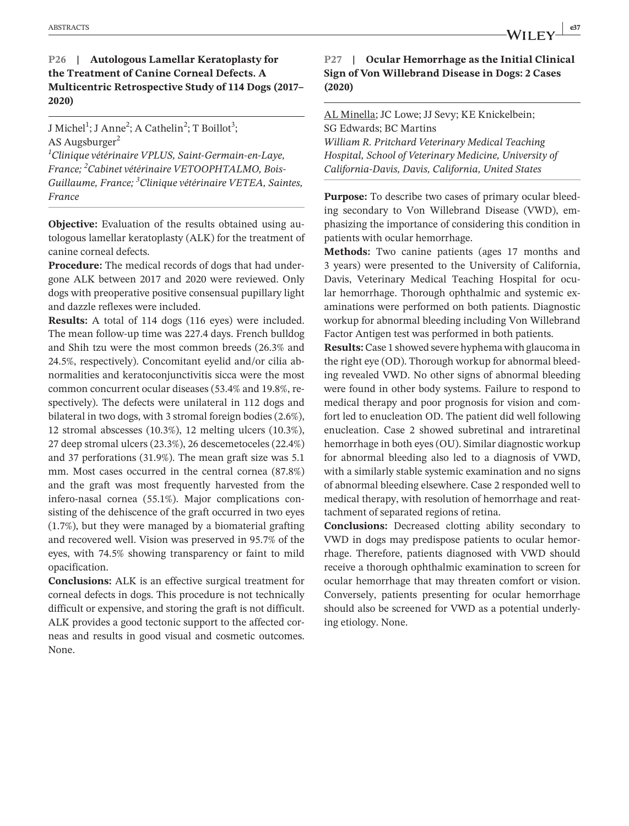# **P26 | Autologous Lamellar Keratoplasty for the Treatment of Canine Corneal Defects. A Multicentric Retrospective Study of 114 Dogs (2017– 2020)**

J Michel<sup>1</sup>; J Anne<sup>2</sup>; A Cathelin<sup>2</sup>; T Boillot<sup>3</sup>; AS Augsburger<sup>2</sup> *1 Clinique vétérinaire VPLUS, Saint-Germain-en-Laye, France; <sup>2</sup> Cabinet vétérinaire VETOOPHTALMO, Bois-Guillaume, France; <sup>3</sup> Clinique vétérinaire VETEA, Saintes, France*

**Objective:** Evaluation of the results obtained using autologous lamellar keratoplasty (ALK) for the treatment of canine corneal defects.

**Procedure:** The medical records of dogs that had undergone ALK between 2017 and 2020 were reviewed. Only dogs with preoperative positive consensual pupillary light and dazzle reflexes were included.

**Results:** A total of 114 dogs (116 eyes) were included. The mean follow-up time was 227.4 days. French bulldog and Shih tzu were the most common breeds (26.3% and 24.5%, respectively). Concomitant eyelid and/or cilia abnormalities and keratoconjunctivitis sicca were the most common concurrent ocular diseases (53.4% and 19.8%, respectively). The defects were unilateral in 112 dogs and bilateral in two dogs, with 3 stromal foreign bodies (2.6%), 12 stromal abscesses (10.3%), 12 melting ulcers (10.3%), 27 deep stromal ulcers (23.3%), 26 descemetoceles (22.4%) and 37 perforations (31.9%). The mean graft size was 5.1 mm. Most cases occurred in the central cornea (87.8%) and the graft was most frequently harvested from the infero-nasal cornea (55.1%). Major complications consisting of the dehiscence of the graft occurred in two eyes (1.7%), but they were managed by a biomaterial grafting and recovered well. Vision was preserved in 95.7% of the eyes, with 74.5% showing transparency or faint to mild opacification.

**Conclusions:** ALK is an effective surgical treatment for corneal defects in dogs. This procedure is not technically difficult or expensive, and storing the graft is not difficult. ALK provides a good tectonic support to the affected corneas and results in good visual and cosmetic outcomes. None.

# **P27 | Ocular Hemorrhage as the Initial Clinical Sign of Von Willebrand Disease in Dogs: 2 Cases (2020)**

## AL Minella; JC Lowe; JJ Sevy; KE Knickelbein; SG Edwards; BC Martins

*William R. Pritchard Veterinary Medical Teaching Hospital, School of Veterinary Medicine, University of California-Davis, Davis, California, United States*

**Purpose:** To describe two cases of primary ocular bleeding secondary to Von Willebrand Disease (VWD), emphasizing the importance of considering this condition in patients with ocular hemorrhage.

**Methods:** Two canine patients (ages 17 months and 3 years) were presented to the University of California, Davis, Veterinary Medical Teaching Hospital for ocular hemorrhage. Thorough ophthalmic and systemic examinations were performed on both patients. Diagnostic workup for abnormal bleeding including Von Willebrand Factor Antigen test was performed in both patients.

**Results:** Case 1 showed severe hyphema with glaucoma in the right eye (OD). Thorough workup for abnormal bleeding revealed VWD. No other signs of abnormal bleeding were found in other body systems. Failure to respond to medical therapy and poor prognosis for vision and comfort led to enucleation OD. The patient did well following enucleation. Case 2 showed subretinal and intraretinal hemorrhage in both eyes (OU). Similar diagnostic workup for abnormal bleeding also led to a diagnosis of VWD, with a similarly stable systemic examination and no signs of abnormal bleeding elsewhere. Case 2 responded well to medical therapy, with resolution of hemorrhage and reattachment of separated regions of retina.

**Conclusions:** Decreased clotting ability secondary to VWD in dogs may predispose patients to ocular hemorrhage. Therefore, patients diagnosed with VWD should receive a thorough ophthalmic examination to screen for ocular hemorrhage that may threaten comfort or vision. Conversely, patients presenting for ocular hemorrhage should also be screened for VWD as a potential underlying etiology. None.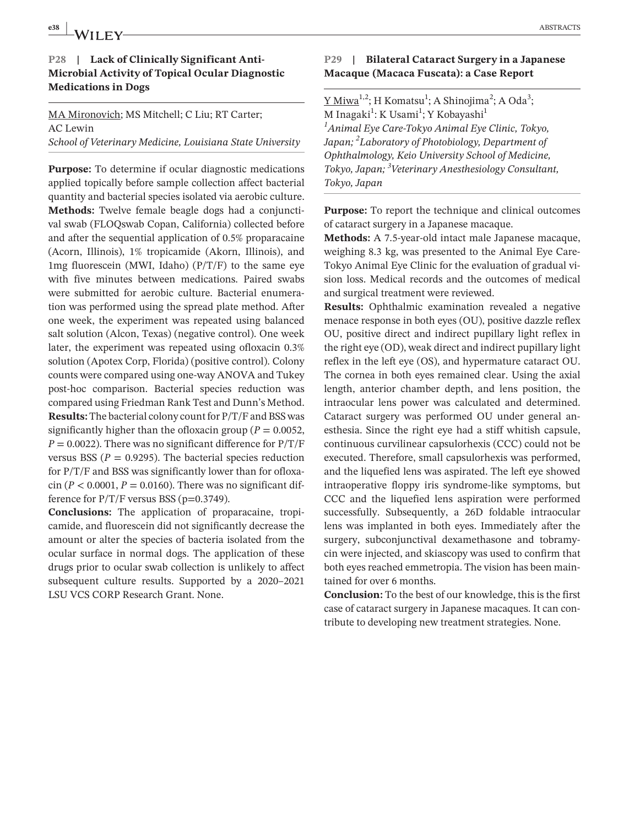# **P28 | Lack of Clinically Significant Anti-Microbial Activity of Topical Ocular Diagnostic Medications in Dogs**

#### MA Mironovich; MS Mitchell; C Liu; RT Carter; AC Lewin *School of Veterinary Medicine, Louisiana State University*

**Purpose:** To determine if ocular diagnostic medications applied topically before sample collection affect bacterial quantity and bacterial species isolated via aerobic culture. **Methods:** Twelve female beagle dogs had a conjunctival swab (FLOQswab Copan, California) collected before and after the sequential application of 0.5% proparacaine (Acorn, Illinois), 1% tropicamide (Akorn, Illinois), and  $1mg$  fluorescein (MWI, Idaho) ( $P/T/F$ ) to the same eye with five minutes between medications. Paired swabs were submitted for aerobic culture. Bacterial enumeration was performed using the spread plate method. After one week, the experiment was repeated using balanced salt solution (Alcon, Texas) (negative control). One week later, the experiment was repeated using ofloxacin 0.3% solution (Apotex Corp, Florida) (positive control). Colony counts were compared using one-way ANOVA and Tukey post-hoc comparison. Bacterial species reduction was compared using Friedman Rank Test and Dunn's Method. **Results:** The bacterial colony count for P/T/F and BSS was significantly higher than the ofloxacin group ( $P = 0.0052$ ,  $P = 0.0022$ ). There was no significant difference for  $P/T/F$ versus BSS ( $P = 0.9295$ ). The bacterial species reduction for P/T/F and BSS was significantly lower than for ofloxacin ( $P < 0.0001$ ,  $P = 0.0160$ ). There was no significant difference for  $P/T/F$  versus BSS (p=0.3749).

**Conclusions:** The application of proparacaine, tropicamide, and fluorescein did not significantly decrease the amount or alter the species of bacteria isolated from the ocular surface in normal dogs. The application of these drugs prior to ocular swab collection is unlikely to affect subsequent culture results. Supported by a 2020–2021 LSU VCS CORP Research Grant. None.

# **P29 | Bilateral Cataract Surgery in a Japanese Macaque (Macaca Fuscata): a Case Report**

<u>Y Miwa<sup>1,2</sup>;</u> H Komatsu<sup>1</sup>; A Shinojima<sup>2</sup>; A Oda<sup>3</sup>; M Inagaki<sup>1</sup>: K Usami<sup>1</sup>; Y Kobayashi<sup>1</sup> *1 Animal Eye Care-Tokyo Animal Eye Clinic, Tokyo, Japan; 2 Laboratory of Photobiology, Department of Ophthalmology, Keio University School of Medicine, Tokyo, Japan; <sup>3</sup> Veterinary Anesthesiology Consultant, Tokyo, Japan*

**Purpose:** To report the technique and clinical outcomes of cataract surgery in a Japanese macaque.

**Methods:** A 7.5-year-old intact male Japanese macaque, weighing 8.3 kg, was presented to the Animal Eye Care-Tokyo Animal Eye Clinic for the evaluation of gradual vision loss. Medical records and the outcomes of medical and surgical treatment were reviewed.

**Results:** Ophthalmic examination revealed a negative menace response in both eyes (OU), positive dazzle reflex OU, positive direct and indirect pupillary light reflex in the right eye (OD), weak direct and indirect pupillary light reflex in the left eye (OS), and hypermature cataract OU. The cornea in both eyes remained clear. Using the axial length, anterior chamber depth, and lens position, the intraocular lens power was calculated and determined. Cataract surgery was performed OU under general anesthesia. Since the right eye had a stiff whitish capsule, continuous curvilinear capsulorhexis (CCC) could not be executed. Therefore, small capsulorhexis was performed, and the liquefied lens was aspirated. The left eye showed intraoperative floppy iris syndrome-like symptoms, but CCC and the liquefied lens aspiration were performed successfully. Subsequently, a 26D foldable intraocular lens was implanted in both eyes. Immediately after the surgery, subconjunctival dexamethasone and tobramycin were injected, and skiascopy was used to confirm that both eyes reached emmetropia. The vision has been maintained for over 6 months.

**Conclusion:** To the best of our knowledge, this is the first case of cataract surgery in Japanese macaques. It can contribute to developing new treatment strategies. None.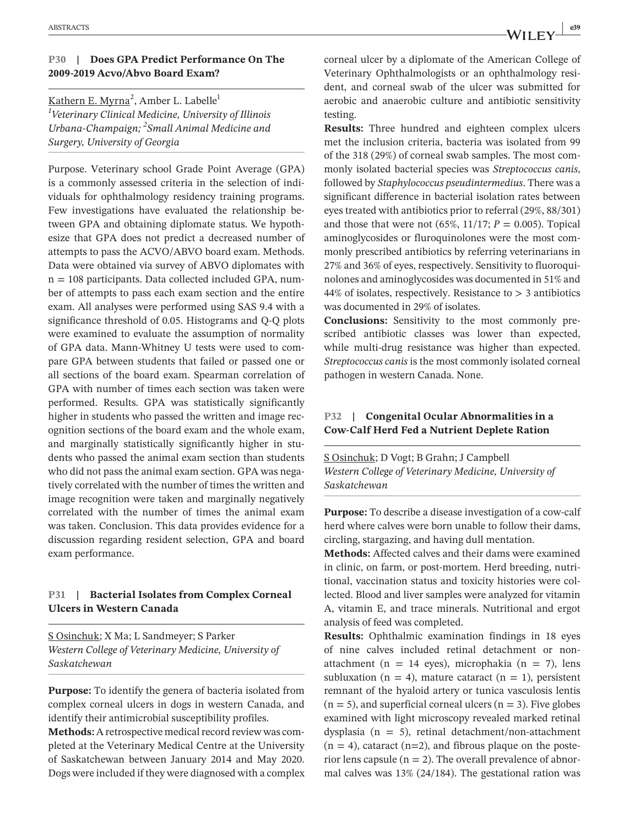#### **P30 | Does GPA Predict Performance On The 2009-2019 Acvo/Abvo Board Exam?**

<u>Kathern E. Myrna</u><sup>2</sup>, Amber L. Labelle<sup>1</sup> *1 Veterinary Clinical Medicine, University of Illinois Urbana-Champaign; <sup>2</sup> Small Animal Medicine and Surgery, University of Georgia*

Purpose. Veterinary school Grade Point Average (GPA) is a commonly assessed criteria in the selection of individuals for ophthalmology residency training programs. Few investigations have evaluated the relationship between GPA and obtaining diplomate status. We hypothesize that GPA does not predict a decreased number of attempts to pass the ACVO/ABVO board exam. Methods. Data were obtained via survey of ABVO diplomates with  $n = 108$  participants. Data collected included GPA, number of attempts to pass each exam section and the entire exam. All analyses were performed using SAS 9.4 with a significance threshold of 0.05. Histograms and Q-Q plots were examined to evaluate the assumption of normality of GPA data. Mann-Whitney U tests were used to compare GPA between students that failed or passed one or all sections of the board exam. Spearman correlation of GPA with number of times each section was taken were performed. Results. GPA was statistically significantly higher in students who passed the written and image recognition sections of the board exam and the whole exam, and marginally statistically significantly higher in students who passed the animal exam section than students who did not pass the animal exam section. GPA was negatively correlated with the number of times the written and image recognition were taken and marginally negatively correlated with the number of times the animal exam was taken. Conclusion. This data provides evidence for a discussion regarding resident selection, GPA and board exam performance.

#### **P31 | Bacterial Isolates from Complex Corneal Ulcers in Western Canada**

S Osinchuk; X Ma; L Sandmeyer; S Parker *Western College of Veterinary Medicine, University of Saskatchewan*

**Purpose:** To identify the genera of bacteria isolated from complex corneal ulcers in dogs in western Canada, and identify their antimicrobial susceptibility profiles.

**Methods:** A retrospective medical record review was completed at the Veterinary Medical Centre at the University of Saskatchewan between January 2014 and May 2020. Dogs were included if they were diagnosed with a complex corneal ulcer by a diplomate of the American College of Veterinary Ophthalmologists or an ophthalmology resident, and corneal swab of the ulcer was submitted for aerobic and anaerobic culture and antibiotic sensitivity testing.

**Results:** Three hundred and eighteen complex ulcers met the inclusion criteria, bacteria was isolated from 99 of the 318 (29%) of corneal swab samples. The most commonly isolated bacterial species was *Streptococcus canis*, followed by *Staphylococcus pseudintermedius*. There was a significant difference in bacterial isolation rates between eyes treated with antibiotics prior to referral (29%, 88/301) and those that were not  $(65\%, 11/17; P = 0.005)$ . Topical aminoglycosides or fluroquinolones were the most commonly prescribed antibiotics by referring veterinarians in 27% and 36% of eyes, respectively. Sensitivity to fluoroquinolones and aminoglycosides was documented in 51% and 44% of isolates, respectively. Resistance to > 3 antibiotics was documented in 29% of isolates.

**Conclusions:** Sensitivity to the most commonly prescribed antibiotic classes was lower than expected, while multi-drug resistance was higher than expected. *Streptococcus canis* is the most commonly isolated corneal pathogen in western Canada. None.

#### **P32 | Congenital Ocular Abnormalities in a Cow-Calf Herd Fed a Nutrient Deplete Ration**

S Osinchuk; D Vogt; B Grahn; J Campbell *Western College of Veterinary Medicine, University of Saskatchewan*

**Purpose:** To describe a disease investigation of a cow-calf herd where calves were born unable to follow their dams, circling, stargazing, and having dull mentation.

**Methods:** Affected calves and their dams were examined in clinic, on farm, or post-mortem. Herd breeding, nutritional, vaccination status and toxicity histories were collected. Blood and liver samples were analyzed for vitamin A, vitamin E, and trace minerals. Nutritional and ergot analysis of feed was completed.

**Results:** Ophthalmic examination findings in 18 eyes of nine calves included retinal detachment or nonattachment (n = 14 eyes), microphakia (n = 7), lens subluxation ( $n = 4$ ), mature cataract ( $n = 1$ ), persistent remnant of the hyaloid artery or tunica vasculosis lentis  $(n = 5)$ , and superficial corneal ulcers  $(n = 3)$ . Five globes examined with light microscopy revealed marked retinal dysplasia ( $n = 5$ ), retinal detachment/non-attachment  $(n = 4)$ , cataract  $(n=2)$ , and fibrous plaque on the posterior lens capsule  $(n = 2)$ . The overall prevalence of abnormal calves was 13% (24/184). The gestational ration was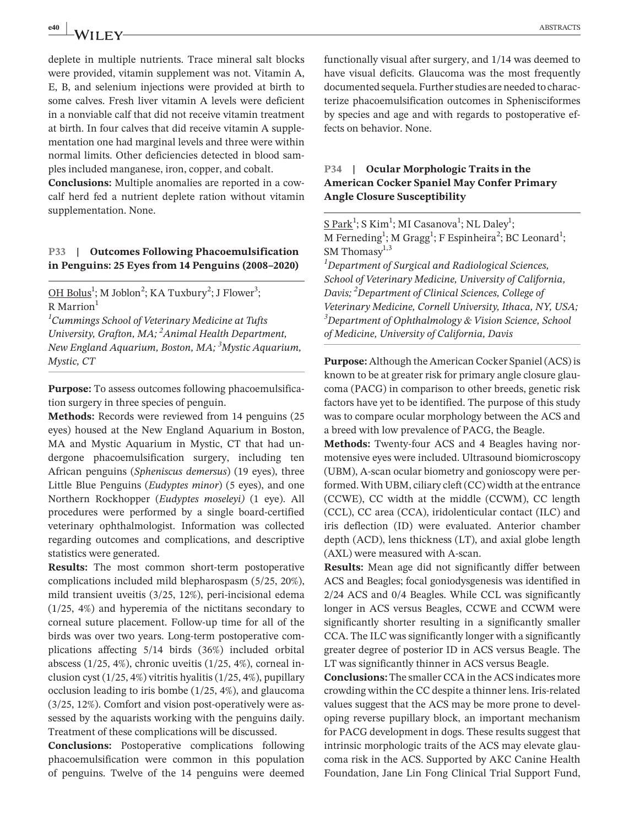deplete in multiple nutrients. Trace mineral salt blocks were provided, vitamin supplement was not. Vitamin A, E, B, and selenium injections were provided at birth to some calves. Fresh liver vitamin A levels were deficient in a nonviable calf that did not receive vitamin treatment at birth. In four calves that did receive vitamin A supplementation one had marginal levels and three were within normal limits. Other deficiencies detected in blood samples included manganese, iron, copper, and cobalt.

**Conclusions:** Multiple anomalies are reported in a cowcalf herd fed a nutrient deplete ration without vitamin supplementation. None.

#### **P33 | Outcomes Following Phacoemulsification in Penguins: 25 Eyes from 14 Penguins (2008–2020)**

OH Bolus<sup>1</sup>; M Joblon<sup>2</sup>; KA Tuxbury<sup>2</sup>; J Flower<sup>3</sup>;  $R$  Marrion<sup>1</sup>

*1 Cummings School of Veterinary Medicine at Tufts University, Grafton, MA; 2 Animal Health Department, New England Aquarium, Boston, MA; <sup>3</sup> Mystic Aquarium, Mystic, CT*

**Purpose:** To assess outcomes following phacoemulsification surgery in three species of penguin.

**Methods:** Records were reviewed from 14 penguins (25 eyes) housed at the New England Aquarium in Boston, MA and Mystic Aquarium in Mystic, CT that had undergone phacoemulsification surgery, including ten African penguins (*Spheniscus demersus*) (19 eyes), three Little Blue Penguins (*Eudyptes minor*) (5 eyes), and one Northern Rockhopper (*Eudyptes moseleyi)* (1 eye). All procedures were performed by a single board-certified veterinary ophthalmologist. Information was collected regarding outcomes and complications, and descriptive statistics were generated.

**Results:** The most common short-term postoperative complications included mild blepharospasm (5/25, 20%), mild transient uveitis (3/25, 12%), peri-incisional edema (1/25, 4%) and hyperemia of the nictitans secondary to corneal suture placement. Follow-up time for all of the birds was over two years. Long-term postoperative complications affecting 5/14 birds (36%) included orbital abscess (1/25, 4%), chronic uveitis (1/25, 4%), corneal inclusion cyst (1/25, 4%) vitritis hyalitis (1/25, 4%), pupillary occlusion leading to iris bombe (1/25, 4%), and glaucoma (3/25, 12%). Comfort and vision post-operatively were assessed by the aquarists working with the penguins daily. Treatment of these complications will be discussed.

**Conclusions:** Postoperative complications following phacoemulsification were common in this population of penguins. Twelve of the 14 penguins were deemed

functionally visual after surgery, and 1/14 was deemed to have visual deficits. Glaucoma was the most frequently documented sequela. Further studies are needed to characterize phacoemulsification outcomes in Sphenisciformes by species and age and with regards to postoperative effects on behavior. None.

#### **P34 | Ocular Morphologic Traits in the American Cocker Spaniel May Confer Primary Angle Closure Susceptibility**

S Park<sup>1</sup>; S Kim<sup>1</sup>; MI Casanova<sup>1</sup>; NL Daley<sup>1</sup>; M Ferneding<sup>1</sup>; M Gragg<sup>1</sup>; F Espinheira<sup>2</sup>; BC Leonard<sup>1</sup>; SM Thomasy $1,3$ 

*1 Department of Surgical and Radiological Sciences, School of Veterinary Medicine, University of California, Davis; <sup>2</sup> Department of Clinical Sciences, College of Veterinary Medicine, Cornell University, Ithaca, NY, USA; 3 Department of Ophthalmology & Vision Science, School of Medicine, University of California, Davis*

**Purpose:** Although the American Cocker Spaniel (ACS) is known to be at greater risk for primary angle closure glaucoma (PACG) in comparison to other breeds, genetic risk factors have yet to be identified. The purpose of this study was to compare ocular morphology between the ACS and a breed with low prevalence of PACG, the Beagle.

**Methods:** Twenty-four ACS and 4 Beagles having normotensive eyes were included. Ultrasound biomicroscopy (UBM), A-scan ocular biometry and gonioscopy were performed. With UBM, ciliary cleft (CC) width at the entrance (CCWE), CC width at the middle (CCWM), CC length (CCL), CC area (CCA), iridolenticular contact (ILC) and iris deflection (ID) were evaluated. Anterior chamber depth (ACD), lens thickness (LT), and axial globe length (AXL) were measured with A-scan.

**Results:** Mean age did not significantly differ between ACS and Beagles; focal goniodysgenesis was identified in 2/24 ACS and 0/4 Beagles. While CCL was significantly longer in ACS versus Beagles, CCWE and CCWM were significantly shorter resulting in a significantly smaller CCA. The ILC was significantly longer with a significantly greater degree of posterior ID in ACS versus Beagle. The LT was significantly thinner in ACS versus Beagle.

**Conclusions:** The smaller CCA in the ACS indicates more crowding within the CC despite a thinner lens. Iris-related values suggest that the ACS may be more prone to developing reverse pupillary block, an important mechanism for PACG development in dogs. These results suggest that intrinsic morphologic traits of the ACS may elevate glaucoma risk in the ACS. Supported by AKC Canine Health Foundation, Jane Lin Fong Clinical Trial Support Fund,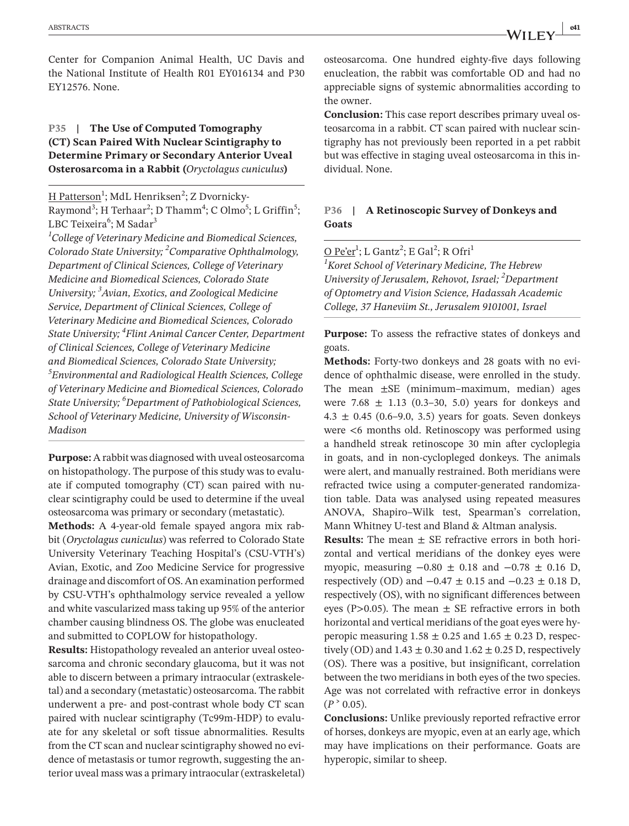Center for Companion Animal Health, UC Davis and the National Institute of Health R01 EY016134 and P30 EY12576. None.

# **P35 | The Use of Computed Tomography (CT) Scan Paired With Nuclear Scintigraphy to Determine Primary or Secondary Anterior Uveal Osterosarcoma in a Rabbit (***Oryctolagus cuniculus***)**

<u>H Patterson</u><sup>1</sup>; MdL Henriksen<sup>2</sup>; Z Dvornicky-Raymond<sup>3</sup>; H Terhaar<sup>2</sup>; D Thamm<sup>4</sup>; C Olmo<sup>5</sup>; L Griffin<sup>5</sup>; LBC Teixeira<sup>6</sup>; M Sadar<sup>3</sup>

*1 College of Veterinary Medicine and Biomedical Sciences, Colorado State University; 2 Comparative Ophthalmology, Department of Clinical Sciences, College of Veterinary Medicine and Biomedical Sciences, Colorado State University; 3 Avian, Exotics, and Zoological Medicine Service, Department of Clinical Sciences, College of Veterinary Medicine and Biomedical Sciences, Colorado State University; 4 Flint Animal Cancer Center, Department of Clinical Sciences, College of Veterinary Medicine and Biomedical Sciences, Colorado State University; 5 Environmental and Radiological Health Sciences, College of Veterinary Medicine and Biomedical Sciences, Colorado State University; 6 Department of Pathobiological Sciences, School of Veterinary Medicine, University of Wisconsin-Madison*

**Purpose:** A rabbit was diagnosed with uveal osteosarcoma on histopathology. The purpose of this study was to evaluate if computed tomography (CT) scan paired with nuclear scintigraphy could be used to determine if the uveal osteosarcoma was primary or secondary (metastatic).

**Methods:** A 4-year-old female spayed angora mix rabbit (*Oryctolagus cuniculus*) was referred to Colorado State University Veterinary Teaching Hospital's (CSU-VTH's) Avian, Exotic, and Zoo Medicine Service for progressive drainage and discomfort of OS. An examination performed by CSU-VTH's ophthalmology service revealed a yellow and white vascularized mass taking up 95% of the anterior chamber causing blindness OS. The globe was enucleated and submitted to COPLOW for histopathology.

**Results:** Histopathology revealed an anterior uveal osteosarcoma and chronic secondary glaucoma, but it was not able to discern between a primary intraocular (extraskeletal) and a secondary (metastatic) osteosarcoma. The rabbit underwent a pre- and post-contrast whole body CT scan paired with nuclear scintigraphy (Tc99m-HDP) to evaluate for any skeletal or soft tissue abnormalities. Results from the CT scan and nuclear scintigraphy showed no evidence of metastasis or tumor regrowth, suggesting the anterior uveal mass was a primary intraocular (extraskeletal)

osteosarcoma. One hundred eighty-five days following enucleation, the rabbit was comfortable OD and had no appreciable signs of systemic abnormalities according to the owner.

**Conclusion:** This case report describes primary uveal osteosarcoma in a rabbit. CT scan paired with nuclear scintigraphy has not previously been reported in a pet rabbit but was effective in staging uveal osteosarcoma in this individual. None.

# **P36 | A Retinoscopic Survey of Donkeys and Goats**

<u>O Pe'er</u><sup>1</sup>; L Gantz<sup>2</sup>; E Gal<sup>2</sup>; R Ofri<sup>1</sup>

*1 Koret School of Veterinary Medicine, The Hebrew University of Jerusalem, Rehovot, Israel; 2 Department of Optometry and Vision Science, Hadassah Academic College, 37 Haneviim St., Jerusalem 9101001, Israel*

**Purpose:** To assess the refractive states of donkeys and goats.

**Methods:** Forty-two donkeys and 28 goats with no evidence of ophthalmic disease, were enrolled in the study. The mean ±SE (minimum–maximum, median) ages were  $7.68 \pm 1.13$  (0.3–30, 5.0) years for donkeys and  $4.3 \pm 0.45$  (0.6–9.0, 3.5) years for goats. Seven donkeys were <6 months old. Retinoscopy was performed using a handheld streak retinoscope 30 min after cycloplegia in goats, and in non-cyclopleged donkeys. The animals were alert, and manually restrained. Both meridians were refracted twice using a computer-generated randomization table. Data was analysed using repeated measures ANOVA, Shapiro–Wilk test, Spearman's correlation, Mann Whitney U-test and Bland & Altman analysis.

**Results:** The mean  $\pm$  SE refractive errors in both horizontal and vertical meridians of the donkey eyes were myopic, measuring  $-0.80 \pm 0.18$  and  $-0.78 \pm 0.16$  D, respectively (OD) and  $-0.47 \pm 0.15$  and  $-0.23 \pm 0.18$  D, respectively (OS), with no significant differences between eyes (P>0.05). The mean  $\pm$  SE refractive errors in both horizontal and vertical meridians of the goat eyes were hyperopic measuring  $1.58 \pm 0.25$  and  $1.65 \pm 0.23$  D, respectively (OD) and  $1.43 \pm 0.30$  and  $1.62 \pm 0.25$  D, respectively (OS). There was a positive, but insignificant, correlation between the two meridians in both eyes of the two species. Age was not correlated with refractive error in donkeys  $(P^{\geq 0.05})$ .

**Conclusions:** Unlike previously reported refractive error of horses, donkeys are myopic, even at an early age, which may have implications on their performance. Goats are hyperopic, similar to sheep.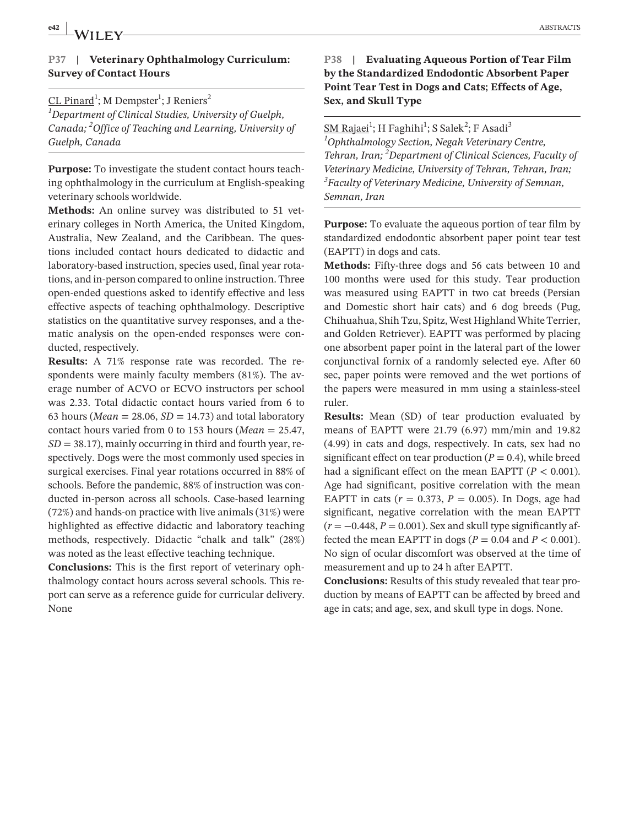#### **P37 | Veterinary Ophthalmology Curriculum: Survey of Contact Hours**

# <u>CL Pinard</u><sup>1</sup>; M Dempster<sup>1</sup>; J Reniers<sup>2</sup> *1 Department of Clinical Studies, University of Guelph, Canada; <sup>2</sup> Office of Teaching and Learning, University of Guelph, Canada*

**Purpose:** To investigate the student contact hours teaching ophthalmology in the curriculum at English-speaking veterinary schools worldwide.

**Methods:** An online survey was distributed to 51 veterinary colleges in North America, the United Kingdom, Australia, New Zealand, and the Caribbean. The questions included contact hours dedicated to didactic and laboratory-based instruction, species used, final year rotations, and in-person compared to online instruction. Three open-ended questions asked to identify effective and less effective aspects of teaching ophthalmology. Descriptive statistics on the quantitative survey responses, and a thematic analysis on the open-ended responses were conducted, respectively.

**Results:** A 71% response rate was recorded. The respondents were mainly faculty members (81%). The average number of ACVO or ECVO instructors per school was 2.33. Total didactic contact hours varied from 6 to 63 hours (*Mean* = 28.06,  $SD = 14.73$ ) and total laboratory contact hours varied from 0 to 153 hours (*Mean* = 25.47, *SD* = 38.17), mainly occurring in third and fourth year, respectively. Dogs were the most commonly used species in surgical exercises. Final year rotations occurred in 88% of schools. Before the pandemic, 88% of instruction was conducted in-person across all schools. Case-based learning (72%) and hands-on practice with live animals (31%) were highlighted as effective didactic and laboratory teaching methods, respectively. Didactic "chalk and talk" (28%) was noted as the least effective teaching technique.

**Conclusions:** This is the first report of veterinary ophthalmology contact hours across several schools. This report can serve as a reference guide for curricular delivery. None

# **P38 | Evaluating Aqueous Portion of Tear Film by the Standardized Endodontic Absorbent Paper Point Tear Test in Dogs and Cats; Effects of Age, Sex, and Skull Type**

<u>SM Rajaei</u><sup>1</sup>; H Faghihi<sup>1</sup>; S Salek<sup>2</sup>; F Asadi<sup>3</sup> *1 Ophthalmology Section, Negah Veterinary Centre, Tehran, Iran; <sup>2</sup> Department of Clinical Sciences, Faculty of Veterinary Medicine, University of Tehran, Tehran, Iran; 3 Faculty of Veterinary Medicine, University of Semnan, Semnan, Iran*

**Purpose:** To evaluate the aqueous portion of tear film by standardized endodontic absorbent paper point tear test (EAPTT) in dogs and cats.

**Methods:** Fifty-three dogs and 56 cats between 10 and 100 months were used for this study. Tear production was measured using EAPTT in two cat breeds (Persian and Domestic short hair cats) and 6 dog breeds (Pug, Chihuahua, Shih Tzu, Spitz, West Highland White Terrier, and Golden Retriever). EAPTT was performed by placing one absorbent paper point in the lateral part of the lower conjunctival fornix of a randomly selected eye. After 60 sec, paper points were removed and the wet portions of the papers were measured in mm using a stainless-steel ruler.

**Results:** Mean (SD) of tear production evaluated by means of EAPTT were 21.79 (6.97) mm/min and 19.82 (4.99) in cats and dogs, respectively. In cats, sex had no significant effect on tear production  $(P = 0.4)$ , while breed had a significant effect on the mean EAPTT  $(P < 0.001)$ . Age had significant, positive correlation with the mean EAPTT in cats  $(r = 0.373, P = 0.005)$ . In Dogs, age had significant, negative correlation with the mean EAPTT  $(r = -0.448, P = 0.001)$ . Sex and skull type significantly affected the mean EAPTT in dogs ( $P = 0.04$  and  $P < 0.001$ ). No sign of ocular discomfort was observed at the time of measurement and up to 24 h after EAPTT.

**Conclusions:** Results of this study revealed that tear production by means of EAPTT can be affected by breed and age in cats; and age, sex, and skull type in dogs. None.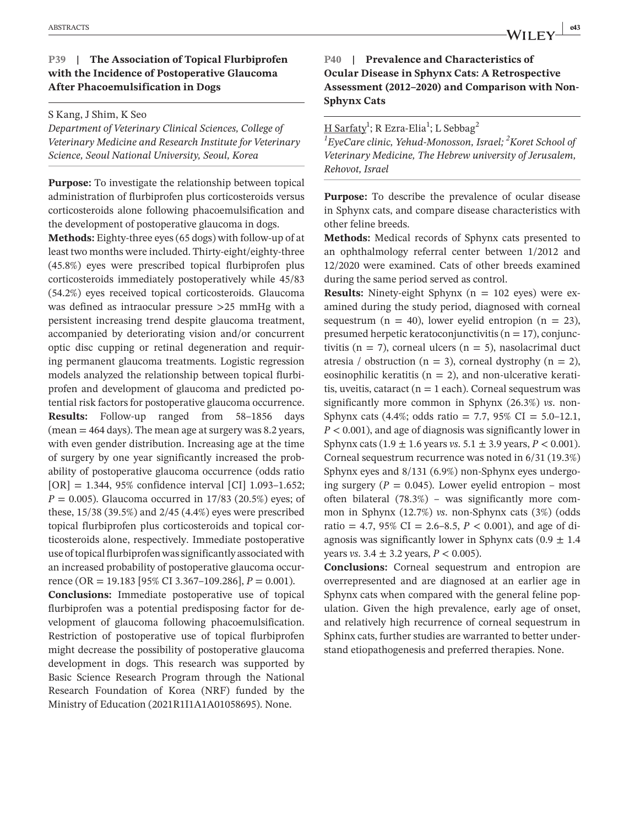# **P39 | The Association of Topical Flurbiprofen with the Incidence of Postoperative Glaucoma After Phacoemulsification in Dogs**

S Kang, J Shim, K Seo

*Department of Veterinary Clinical Sciences, College of Veterinary Medicine and Research Institute for Veterinary Science, Seoul National University, Seoul, Korea*

**Purpose:** To investigate the relationship between topical administration of flurbiprofen plus corticosteroids versus corticosteroids alone following phacoemulsification and the development of postoperative glaucoma in dogs.

**Methods:** Eighty-three eyes (65 dogs) with follow-up of at least two months were included. Thirty-eight/eighty-three (45.8%) eyes were prescribed topical flurbiprofen plus corticosteroids immediately postoperatively while 45/83 (54.2%) eyes received topical corticosteroids. Glaucoma was defined as intraocular pressure >25 mmHg with a persistent increasing trend despite glaucoma treatment, accompanied by deteriorating vision and/or concurrent optic disc cupping or retinal degeneration and requiring permanent glaucoma treatments. Logistic regression models analyzed the relationship between topical flurbiprofen and development of glaucoma and predicted potential risk factors for postoperative glaucoma occurrence. **Results:** Follow-up ranged from 58–1856 days  $(\text{mean} = 464 \text{ days})$ . The mean age at surgery was 8.2 years, with even gender distribution. Increasing age at the time of surgery by one year significantly increased the probability of postoperative glaucoma occurrence (odds ratio [OR] = 1.344, 95% confidence interval [CI] 1.093–1.652; *P* = 0.005). Glaucoma occurred in 17/83 (20.5%) eyes; of these, 15/38 (39.5%) and 2/45 (4.4%) eyes were prescribed topical flurbiprofen plus corticosteroids and topical corticosteroids alone, respectively. Immediate postoperative use of topical flurbiprofen was significantly associated with an increased probability of postoperative glaucoma occurrence (OR = 19.183 [95% CI 3.367–109.286], *P* = 0.001).

**Conclusions:** Immediate postoperative use of topical flurbiprofen was a potential predisposing factor for development of glaucoma following phacoemulsification. Restriction of postoperative use of topical flurbiprofen might decrease the possibility of postoperative glaucoma development in dogs. This research was supported by Basic Science Research Program through the National Research Foundation of Korea (NRF) funded by the Ministry of Education (2021R1I1A1A01058695). None.

# **|** ABSTRACTS **e43**

**P40 | Prevalence and Characteristics of Ocular Disease in Sphynx Cats: A Retrospective Assessment (2012–2020) and Comparison with Non-Sphynx Cats**

<u>H Sarfaty</u><sup>1</sup>; R Ezra-Elia<sup>1</sup>; L Sebbag<sup>2</sup>

*1 EyeCare clinic, Yehud-Monosson, Israel; <sup>2</sup> Koret School of Veterinary Medicine, The Hebrew university of Jerusalem, Rehovot, Israel*

**Purpose:** To describe the prevalence of ocular disease in Sphynx cats, and compare disease characteristics with other feline breeds.

**Methods:** Medical records of Sphynx cats presented to an ophthalmology referral center between 1/2012 and 12/2020 were examined. Cats of other breeds examined during the same period served as control.

**Results:** Ninety-eight Sphynx  $(n = 102$  eyes) were examined during the study period, diagnosed with corneal sequestrum (n = 40), lower eyelid entropion (n = 23), presumed herpetic keratoconjunctivitis ( $n = 17$ ), conjunctivitis ( $n = 7$ ), corneal ulcers ( $n = 5$ ), nasolacrimal duct atresia / obstruction (n = 3), corneal dystrophy (n = 2), eosinophilic keratitis ( $n = 2$ ), and non-ulcerative keratitis, uveitis, cataract ( $n = 1$  each). Corneal sequestrum was significantly more common in Sphynx (26.3%) *vs*. non-Sphynx cats (4.4%; odds ratio = 7.7, 95% CI =  $5.0-12.1$ , *P* < 0.001), and age of diagnosis was significantly lower in Sphynx cats (1.9 ± 1.6 years *vs*. 5.1 ± 3.9 years, *P* < 0.001). Corneal sequestrum recurrence was noted in 6/31 (19.3%) Sphynx eyes and 8/131 (6.9%) non-Sphynx eyes undergoing surgery ( $P = 0.045$ ). Lower eyelid entropion – most often bilateral (78.3%) – was significantly more common in Sphynx (12.7%) *vs*. non-Sphynx cats (3%) (odds ratio = 4.7, 95% CI = 2.6–8.5,  $P < 0.001$ ), and age of diagnosis was significantly lower in Sphynx cats  $(0.9 \pm 1.4)$ years *vs*. 3.4 ± 3.2 years, *P* < 0.005).

**Conclusions:** Corneal sequestrum and entropion are overrepresented and are diagnosed at an earlier age in Sphynx cats when compared with the general feline population. Given the high prevalence, early age of onset, and relatively high recurrence of corneal sequestrum in Sphinx cats, further studies are warranted to better understand etiopathogenesis and preferred therapies. None.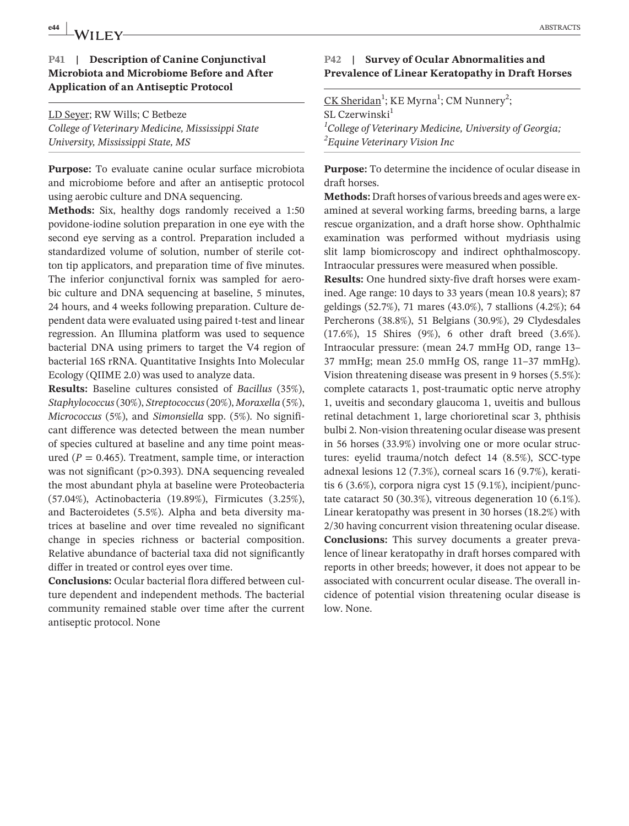# **e44 ABSTRACTS ABSTRACTS**

#### **P41 | Description of Canine Conjunctival Microbiota and Microbiome Before and After Application of an Antiseptic Protocol**

LD Seyer; RW Wills; C Betbeze *College of Veterinary Medicine, Mississippi State University, Mississippi State, MS*

**Purpose:** To evaluate canine ocular surface microbiota and microbiome before and after an antiseptic protocol using aerobic culture and DNA sequencing.

**Methods:** Six, healthy dogs randomly received a 1:50 povidone-iodine solution preparation in one eye with the second eye serving as a control. Preparation included a standardized volume of solution, number of sterile cotton tip applicators, and preparation time of five minutes. The inferior conjunctival fornix was sampled for aerobic culture and DNA sequencing at baseline, 5 minutes, 24 hours, and 4 weeks following preparation. Culture dependent data were evaluated using paired t-test and linear regression. An Illumina platform was used to sequence bacterial DNA using primers to target the V4 region of bacterial 16S rRNA. Quantitative Insights Into Molecular Ecology (QIIME 2.0) was used to analyze data.

**Results:** Baseline cultures consisted of *Bacillus* (35%), *Staphylococcus* (30%), *Streptococcus* (20%), *Moraxella* (5%), *Micrococcus* (5%), and *Simonsiella* spp. (5%). No significant difference was detected between the mean number of species cultured at baseline and any time point measured ( $P = 0.465$ ). Treatment, sample time, or interaction was not significant (p>0.393). DNA sequencing revealed the most abundant phyla at baseline were Proteobacteria (57.04%), Actinobacteria (19.89%), Firmicutes (3.25%), and Bacteroidetes (5.5%). Alpha and beta diversity matrices at baseline and over time revealed no significant change in species richness or bacterial composition. Relative abundance of bacterial taxa did not significantly differ in treated or control eyes over time.

**Conclusions:** Ocular bacterial flora differed between culture dependent and independent methods. The bacterial community remained stable over time after the current antiseptic protocol. None

#### **P42 | Survey of Ocular Abnormalities and Prevalence of Linear Keratopathy in Draft Horses**

CK Sheridan<sup>1</sup>; KE Myrna<sup>1</sup>; CM Nunnery<sup>2</sup>;  $SI$ . Czerwinski $<sup>1</sup>$ </sup> *1 College of Veterinary Medicine, University of Georgia; 2 Equine Veterinary Vision Inc*

**Purpose:** To determine the incidence of ocular disease in draft horses.

**Methods:** Draft horses of various breeds and ages were examined at several working farms, breeding barns, a large rescue organization, and a draft horse show. Ophthalmic examination was performed without mydriasis using slit lamp biomicroscopy and indirect ophthalmoscopy. Intraocular pressures were measured when possible.

**Results:** One hundred sixty-five draft horses were examined. Age range: 10 days to 33 years (mean 10.8 years); 87 geldings (52.7%), 71 mares (43.0%), 7 stallions (4.2%); 64 Percherons (38.8%), 51 Belgians (30.9%), 29 Clydesdales (17.6%), 15 Shires (9%), 6 other draft breed (3.6%). Intraocular pressure: (mean 24.7 mmHg OD, range 13– 37 mmHg; mean 25.0 mmHg OS, range 11–37 mmHg). Vision threatening disease was present in 9 horses (5.5%): complete cataracts 1, post-traumatic optic nerve atrophy 1, uveitis and secondary glaucoma 1, uveitis and bullous retinal detachment 1, large chorioretinal scar 3, phthisis bulbi 2. Non-vision threatening ocular disease was present in 56 horses (33.9%) involving one or more ocular structures: eyelid trauma/notch defect 14 (8.5%), SCC-type adnexal lesions 12 (7.3%), corneal scars 16 (9.7%), keratitis 6 (3.6%), corpora nigra cyst 15 (9.1%), incipient/punctate cataract 50 (30.3%), vitreous degeneration 10 (6.1%). Linear keratopathy was present in 30 horses (18.2%) with 2/30 having concurrent vision threatening ocular disease. **Conclusions:** This survey documents a greater prevalence of linear keratopathy in draft horses compared with reports in other breeds; however, it does not appear to be associated with concurrent ocular disease. The overall incidence of potential vision threatening ocular disease is low. None.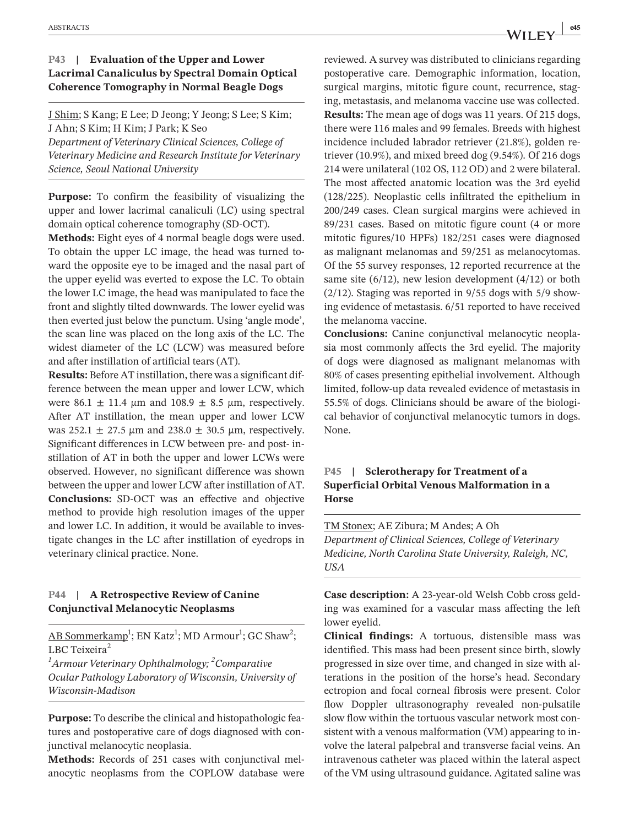#### **P43 | Evaluation of the Upper and Lower Lacrimal Canaliculus by Spectral Domain Optical Coherence Tomography in Normal Beagle Dogs**

J Shim; S Kang; E Lee; D Jeong; Y Jeong; S Lee; S Kim; J Ahn; S Kim; H Kim; J Park; K Seo *Department of Veterinary Clinical Sciences, College of Veterinary Medicine and Research Institute for Veterinary Science, Seoul National University*

**Purpose:** To confirm the feasibility of visualizing the upper and lower lacrimal canaliculi (LC) using spectral domain optical coherence tomography (SD-OCT).

**Methods:** Eight eyes of 4 normal beagle dogs were used. To obtain the upper LC image, the head was turned toward the opposite eye to be imaged and the nasal part of the upper eyelid was everted to expose the LC. To obtain the lower LC image, the head was manipulated to face the front and slightly tilted downwards. The lower eyelid was then everted just below the punctum. Using 'angle mode', the scan line was placed on the long axis of the LC. The widest diameter of the LC (LCW) was measured before and after instillation of artificial tears (AT).

**Results:** Before AT instillation, there was a significant difference between the mean upper and lower LCW, which were 86.1  $\pm$  11.4  $\mu$ m and 108.9  $\pm$  8.5  $\mu$ m, respectively. After AT instillation, the mean upper and lower LCW was  $252.1 \pm 27.5$  µm and  $238.0 \pm 30.5$  µm, respectively. Significant differences in LCW between pre- and post- instillation of AT in both the upper and lower LCWs were observed. However, no significant difference was shown between the upper and lower LCW after instillation of AT. **Conclusions:** SD-OCT was an effective and objective method to provide high resolution images of the upper and lower LC. In addition, it would be available to investigate changes in the LC after instillation of eyedrops in veterinary clinical practice. None.

#### **P44 | A Retrospective Review of Canine Conjunctival Melanocytic Neoplasms**

AB Sommerkamp<sup>1</sup>; EN Katz<sup>1</sup>; MD Armour<sup>1</sup>; GC Shaw<sup>2</sup>; LBC Teixeira $2$ 

*1 Armour Veterinary Ophthalmology; <sup>2</sup> Comparative Ocular Pathology Laboratory of Wisconsin, University of Wisconsin-Madison*

**Purpose:** To describe the clinical and histopathologic features and postoperative care of dogs diagnosed with conjunctival melanocytic neoplasia.

**Methods:** Records of 251 cases with conjunctival melanocytic neoplasms from the COPLOW database were reviewed. A survey was distributed to clinicians regarding postoperative care. Demographic information, location, surgical margins, mitotic figure count, recurrence, staging, metastasis, and melanoma vaccine use was collected. **Results:** The mean age of dogs was 11 years. Of 215 dogs, there were 116 males and 99 females. Breeds with highest incidence included labrador retriever (21.8%), golden retriever (10.9%), and mixed breed dog (9.54%). Of 216 dogs 214 were unilateral (102 OS, 112 OD) and 2 were bilateral. The most affected anatomic location was the 3rd eyelid (128/225). Neoplastic cells infiltrated the epithelium in 200/249 cases. Clean surgical margins were achieved in 89/231 cases. Based on mitotic figure count (4 or more mitotic figures/10 HPFs) 182/251 cases were diagnosed as malignant melanomas and 59/251 as melanocytomas. Of the 55 survey responses, 12 reported recurrence at the same site  $(6/12)$ , new lesion development  $(4/12)$  or both  $(2/12)$ . Staging was reported in 9/55 dogs with 5/9 showing evidence of metastasis. 6/51 reported to have received the melanoma vaccine.

**Conclusions:** Canine conjunctival melanocytic neoplasia most commonly affects the 3rd eyelid. The majority of dogs were diagnosed as malignant melanomas with 80% of cases presenting epithelial involvement. Although limited, follow-up data revealed evidence of metastasis in 55.5% of dogs. Clinicians should be aware of the biological behavior of conjunctival melanocytic tumors in dogs. None.

#### **P45 | Sclerotherapy for Treatment of a Superficial Orbital Venous Malformation in a Horse**

TM Stonex; AE Zibura; M Andes; A Oh *Department of Clinical Sciences, College of Veterinary Medicine, North Carolina State University, Raleigh, NC, USA*

**Case description:** A 23-year-old Welsh Cobb cross gelding was examined for a vascular mass affecting the left lower eyelid.

**Clinical findings:** A tortuous, distensible mass was identified. This mass had been present since birth, slowly progressed in size over time, and changed in size with alterations in the position of the horse's head. Secondary ectropion and focal corneal fibrosis were present. Color flow Doppler ultrasonography revealed non-pulsatile slow flow within the tortuous vascular network most consistent with a venous malformation (VM) appearing to involve the lateral palpebral and transverse facial veins. An intravenous catheter was placed within the lateral aspect of the VM using ultrasound guidance. Agitated saline was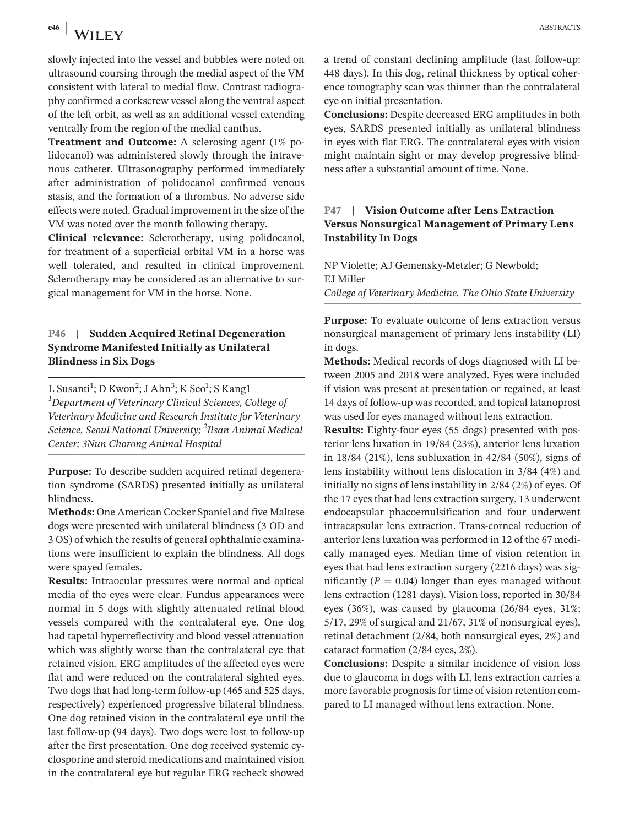**e46 ABSTRACTS ABSTRACTS** 

slowly injected into the vessel and bubbles were noted on ultrasound coursing through the medial aspect of the VM consistent with lateral to medial flow. Contrast radiography confirmed a corkscrew vessel along the ventral aspect of the left orbit, as well as an additional vessel extending ventrally from the region of the medial canthus.

**Treatment and Outcome:** A sclerosing agent (1% polidocanol) was administered slowly through the intravenous catheter. Ultrasonography performed immediately after administration of polidocanol confirmed venous stasis, and the formation of a thrombus. No adverse side effects were noted. Gradual improvement in the size of the VM was noted over the month following therapy.

**Clinical relevance:** Sclerotherapy, using polidocanol, for treatment of a superficial orbital VM in a horse was well tolerated, and resulted in clinical improvement. Sclerotherapy may be considered as an alternative to surgical management for VM in the horse. None.

#### **P46 | Sudden Acquired Retinal Degeneration Syndrome Manifested Initially as Unilateral Blindness in Six Dogs**

<u>L Susanti</u>'; D Kwon<sup>2</sup>; J Ahn<sup>3</sup>; K Seo<sup>1</sup>; S Kang1 *1 Department of Veterinary Clinical Sciences, College of Veterinary Medicine and Research Institute for Veterinary Science, Seoul National University; 2 Ilsan Animal Medical Center; 3Nun Chorong Animal Hospital*

**Purpose:** To describe sudden acquired retinal degeneration syndrome (SARDS) presented initially as unilateral blindness.

**Methods:** One American Cocker Spaniel and five Maltese dogs were presented with unilateral blindness (3 OD and 3 OS) of which the results of general ophthalmic examinations were insufficient to explain the blindness. All dogs were spayed females.

**Results:** Intraocular pressures were normal and optical media of the eyes were clear. Fundus appearances were normal in 5 dogs with slightly attenuated retinal blood vessels compared with the contralateral eye. One dog had tapetal hyperreflectivity and blood vessel attenuation which was slightly worse than the contralateral eye that retained vision. ERG amplitudes of the affected eyes were flat and were reduced on the contralateral sighted eyes. Two dogs that had long-term follow-up (465 and 525 days, respectively) experienced progressive bilateral blindness. One dog retained vision in the contralateral eye until the last follow-up (94 days). Two dogs were lost to follow-up after the first presentation. One dog received systemic cyclosporine and steroid medications and maintained vision in the contralateral eye but regular ERG recheck showed

a trend of constant declining amplitude (last follow-up: 448 days). In this dog, retinal thickness by optical coherence tomography scan was thinner than the contralateral eye on initial presentation.

**Conclusions:** Despite decreased ERG amplitudes in both eyes, SARDS presented initially as unilateral blindness in eyes with flat ERG. The contralateral eyes with vision might maintain sight or may develop progressive blindness after a substantial amount of time. None.

# **P47 | Vision Outcome after Lens Extraction Versus Nonsurgical Management of Primary Lens Instability In Dogs**

NP Violette; AJ Gemensky-Metzler; G Newbold; EJ Miller *College of Veterinary Medicine, The Ohio State University*

**Purpose:** To evaluate outcome of lens extraction versus nonsurgical management of primary lens instability (LI) in dogs.

**Methods:** Medical records of dogs diagnosed with LI between 2005 and 2018 were analyzed. Eyes were included if vision was present at presentation or regained, at least 14 days of follow-up was recorded, and topical latanoprost was used for eyes managed without lens extraction.

**Results:** Eighty-four eyes (55 dogs) presented with posterior lens luxation in 19/84 (23%), anterior lens luxation in 18/84 (21%), lens subluxation in 42/84 (50%), signs of lens instability without lens dislocation in 3/84 (4%) and initially no signs of lens instability in 2/84 (2%) of eyes. Of the 17 eyes that had lens extraction surgery, 13 underwent endocapsular phacoemulsification and four underwent intracapsular lens extraction. Trans-corneal reduction of anterior lens luxation was performed in 12 of the 67 medically managed eyes. Median time of vision retention in eyes that had lens extraction surgery (2216 days) was significantly ( $P = 0.04$ ) longer than eyes managed without lens extraction (1281 days). Vision loss, reported in 30/84 eyes (36%), was caused by glaucoma (26/84 eyes, 31%; 5/17, 29% of surgical and 21/67, 31% of nonsurgical eyes), retinal detachment (2/84, both nonsurgical eyes, 2%) and cataract formation (2/84 eyes, 2%).

**Conclusions:** Despite a similar incidence of vision loss due to glaucoma in dogs with LI, lens extraction carries a more favorable prognosis for time of vision retention compared to LI managed without lens extraction. None.